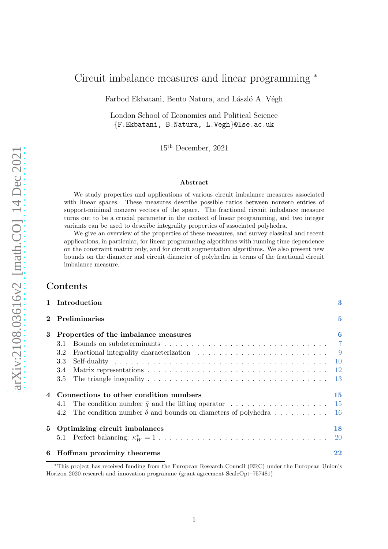# Circuit imbalance measures and linear programming <sup>∗</sup>

Farbod Ekbatani, Bento Natura, and László A. Végh

London School of Economics and Political Science {F.Ekbatani, B.Natura, L.Vegh}@lse.ac.uk

15th December, 2021

#### Abstract

We study properties and applications of various circuit imbalance measures associated with linear spaces. These measures describe possible ratios between nonzero entries of support-minimal nonzero vectors of the space. The fractional circuit imbalance measure turns out to be a crucial parameter in the context of linear programming, and two integer variants can be used to describe integrality properties of associated polyhedra.

We give an overview of the properties of these measures, and survey classical and recent applications, in particular, for linear programming algorithms with running time dependence on the constraint matrix only, and for circuit augmentation algorithms. We also present new bounds on the diameter and circuit diameter of polyhedra in terms of the fractional circuit imbalance measure.

## Contents

|   | 1 Introduction                                                                                                                                                        | 3              |
|---|-----------------------------------------------------------------------------------------------------------------------------------------------------------------------|----------------|
|   | Preliminaries                                                                                                                                                         | $\overline{5}$ |
| 3 | Properties of the imbalance measures<br>3.1<br>Fractional integrality characterization $\ldots \ldots \ldots \ldots \ldots \ldots \ldots \ldots$<br>3.2<br>3.3<br>3.4 | $\bf{6}$       |
|   | 3.5<br>Connections to other condition numbers<br>4.1<br>The condition number $\delta$ and bounds on diameters of polyhedra 16<br>4.2                                  | 15             |
| 5 | Optimizing circuit imbalances                                                                                                                                         | 18<br>-20      |
| 6 | Hoffman proximity theorems                                                                                                                                            | 22             |

<sup>∗</sup>This project has received funding from the European Research Council (ERC) under the European Union's Horizon 2020 research and innovation programme (grant agreement ScaleOpt–757481)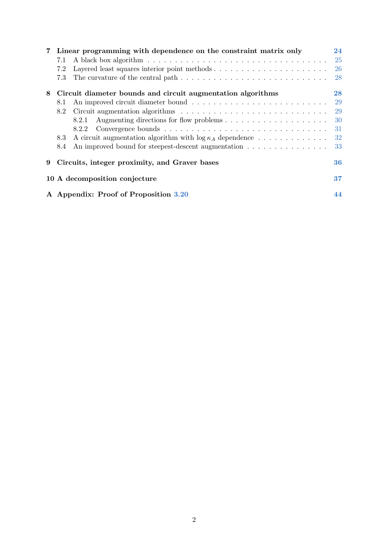| $\overline{7}$ | Linear programming with dependence on the constraint matrix only                                             | 24        |  |  |  |
|----------------|--------------------------------------------------------------------------------------------------------------|-----------|--|--|--|
|                | 7.1                                                                                                          | <b>25</b> |  |  |  |
|                | 7.2                                                                                                          | 26        |  |  |  |
|                | The curvature of the central path $\dots \dots \dots \dots \dots \dots \dots \dots \dots \dots \dots$<br>7.3 | 28        |  |  |  |
| 8              | Circuit diameter bounds and circuit augmentation algorithms                                                  |           |  |  |  |
|                | 8.1                                                                                                          | <b>29</b> |  |  |  |
|                | 8.2                                                                                                          | 29        |  |  |  |
|                | 8.2.1                                                                                                        | 30        |  |  |  |
|                | 8.2.2                                                                                                        | 31        |  |  |  |
|                | A circuit augmentation algorithm with $\log \kappa_A$ dependence<br>8.3                                      | 32        |  |  |  |
|                | An improved bound for steepest-descent augmentation<br>8.4                                                   | 33        |  |  |  |
| 9              | Circuits, integer proximity, and Graver bases<br>36                                                          |           |  |  |  |
|                | 10 A decomposition conjecture                                                                                |           |  |  |  |
|                | A Appendix: Proof of Proposition 3.20                                                                        |           |  |  |  |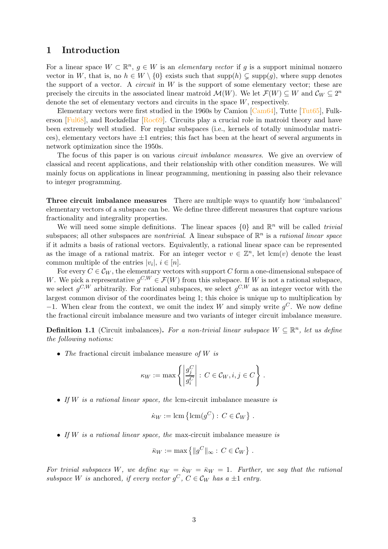## <span id="page-2-0"></span>1 Introduction

For a linear space  $W \subset \mathbb{R}^n$ ,  $g \in W$  is an *elementary vector* if g is a support minimal nonzero vector in W, that is, no  $h \in W \setminus \{0\}$  exists such that supp $(h) \subsetneq \text{supp}(g)$ , where supp denotes the support of a vector. A *circuit* in  $W$  is the support of some elementary vector; these are precisely the circuits in the associated linear matroid  $\mathcal{M}(W)$ . We let  $\mathcal{F}(W) \subseteq W$  and  $\mathcal{C}_W \subseteq 2^n$ denote the set of elementary vectors and circuits in the space  $W$ , respectively.

Elementary vectors were first studied in the 1960s by Camion  $\lbrack \text{Cam64} \rbrack$ , Tutte  $\lbrack \text{Tut65} \rbrack$ , Fulkerson [\[Ful68\]](#page-39-0), and Rockafellar [\[Roc69\]](#page-41-0). Circuits play a crucial role in matroid theory and have been extremely well studied. For regular subspaces (i.e., kernels of totally unimodular matrices), elementary vectors have  $\pm 1$  entries; this fact has been at the heart of several arguments in network optimization since the 1950s.

The focus of this paper is on various *circuit imbalance measures*. We give an overview of classical and recent applications, and their relationship with other condition measures. We will mainly focus on applications in linear programming, mentioning in passing also their relevance to integer programming.

Three circuit imbalance measures There are multiple ways to quantify how 'imbalanced' elementary vectors of a subspace can be. We define three different measures that capture various fractionality and integrality properties.

We will need some simple definitions. The linear spaces  $\{0\}$  and  $\mathbb{R}^n$  will be called *trivial* subspaces; all other subspaces are *nontrivial*. A linear subspace of  $\mathbb{R}^n$  is a *rational linear space* if it admits a basis of rational vectors. Equivalently, a rational linear space can be represented as the image of a rational matrix. For an integer vector  $v \in \mathbb{Z}^n$ , let  $\text{lcm}(v)$  denote the least common multiple of the entries  $|v_i|, i \in [n]$ .

For every  $C \in \mathcal{C}_W$ , the elementary vectors with support C form a one-dimensional subspace of W. We pick a representative  $g^{C,W} \in \mathcal{F}(W)$  from this subspace. If W is not a rational subspace, we select  $g^{C,W}$  arbitrarily. For rational subspaces, we select  $g^{C,W}$  as an integer vector with the largest common divisor of the coordinates being 1; this choice is unique up to multiplication by −1. When clear from the context, we omit the index W and simply write  $g^C$ . We now define the fractional circuit imbalance measure and two variants of integer circuit imbalance measure.

**Definition 1.1** (Circuit imbalances). For a non-trivial linear subspace  $W \subseteq \mathbb{R}^n$ , let us define the following notions:

• The fractional circuit imbalance measure of  $W$  is

$$
\kappa_W := \max \left\{ \left| \frac{g_j^C}{g_i^C} \right| : C \in \mathcal{C}_W, i, j \in C \right\}.
$$

• If  $W$  is a rational linear space, the lcm-circuit imbalance measure is

$$
\dot{\kappa}_W := \operatorname{lcm}\left\{ \operatorname{lcm}(g^C) : C \in \mathcal{C}_W \right\}.
$$

• If  $W$  is a rational linear space, the max-circuit imbalance measure is

$$
\bar{\kappa}_W := \max \left\{ \|g^C\|_{\infty} : C \in \mathcal{C}_W \right\}.
$$

For trivial subspaces W, we define  $\kappa_W = \kappa_W = \bar{\kappa}_W = 1$ . Further, we say that the rational subspace W is anchored, if every vector  $g^C$ ,  $C \in \mathcal{C}_W$  has a  $\pm 1$  entry.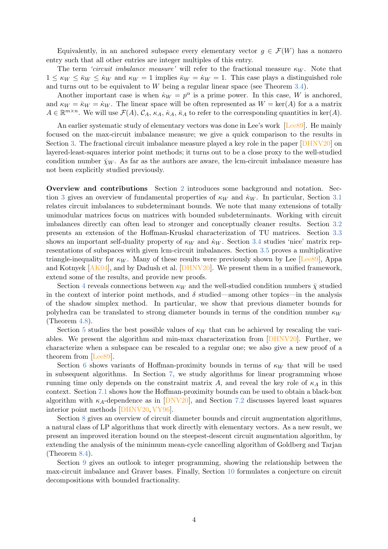Equivalently, in an anchored subspace every elementary vector  $q \in \mathcal{F}(W)$  has a nonzero entry such that all other entries are integer multiples of this entry.

The term 'circuit imbalance measure' will refer to the fractional measure  $\kappa_W$ . Note that  $1 \leq \kappa_W \leq \bar{\kappa}_W \leq \kappa_W$  and  $\kappa_W = 1$  implies  $\bar{\kappa}_W = \kappa_W = 1$ . This case plays a distinguished role and turns out to be equivalent to  $W$  being a regular linear space (see Theorem [3.4\)](#page-7-0).

Another important case is when  $\kappa_W = p^{\alpha}$  is a prime power. In this case, W is anchored, and  $\kappa_W = \bar{\kappa}_W = \dot{\kappa}_W$ . The linear space will be often represented as  $W = \text{ker}(A)$  for a a matrix  $A \in \mathbb{R}^{m \times n}$ . We will use  $\mathcal{F}(A)$ ,  $\mathcal{C}_A$ ,  $\kappa_A$ ,  $\kappa_A$ ,  $\kappa_A$ , to refer to the corresponding quantities in ker(A).

An earlier systematic study of elementary vectors was done in Lee's work [Lee<sub>89</sub>]. He mainly focused on the max-circuit imbalance measure; we give a quick comparison to the results in Section [3.](#page-5-0) The fractional circuit imbalance measure played a key role in the paper [\[DHNV20\]](#page-38-1) on layered-least-squares interior point methods; it turns out to be a close proxy to the well-studied condition number  $\bar{\chi}_W$ . As far as the authors are aware, the lcm-circuit imbalance measure has not been explicitly studied previously.

Overview and contributions Section [2](#page-4-0) introduces some background and notation. Sec-tion [3](#page-5-0) gives an overview of fundamental properties of  $\kappa_W$  and  $\kappa_W$ . In particular, Section [3.1](#page-6-0) relates circuit imbalances to subdeterminant bounds. We note that many extensions of totally unimodular matrices focus on matrices with bounded subdeterminants. Working with circuit imbalances directly can often lead to stronger and conceptually cleaner results. Section [3.2](#page-8-0) presents an extension of the Hoffman-Kruskal characterization of TU matrices. Section [3.3](#page-9-0) shows an important self-duality property of  $\kappa_W$  and  $\kappa_W$ . Section [3.4](#page-11-0) studies 'nice' matrix representations of subspaces with given lcm-circuit imbalances. Section [3.5](#page-12-0) proves a multiplicative triangle-inequality for  $\kappa_W$ . Many of these results were previously shown by Lee [Lee<sub>89</sub>], Appa and Kotnyek  $[AK04]$ , and by Dadush et al. [\[DHNV20\]](#page-38-1). We present them in a unified framework, extend some of the results, and provide new proofs.

Section [4](#page-14-0) reveals connections between  $\kappa_W$  and the well-studied condition numbers  $\bar{\chi}$  studied in the context of interior point methods, and  $\delta$  studied—among other topics—in the analysis of the shadow simplex method. In particular, we show that previous diameter bounds for polyhedra can be translated to strong diameter bounds in terms of the condition number  $\kappa_W$ (Theorem [4.8\)](#page-16-0).

Section [5](#page-17-0) studies the best possible values of  $\kappa_W$  that can be achieved by rescaling the variables. We present the algorithm and min-max characterization from [\[DHNV20\]](#page-38-1). Further, we characterize when a subspace can be rescaled to a regular one; we also give a new proof of a theorem from [\[Lee89\]](#page-40-0).

Section [6](#page-21-0) shows variants of Hoffman-proximity bounds in terms of  $\kappa_W$  that will be used in subsequent algorithms. In Section [7,](#page-23-0) we study algorithms for linear programming whose running time only depends on the constraint matrix A, and reveal the key role of  $\kappa_A$  in this context. Section [7.1](#page-24-0) shows how the Hoffman-proximity bounds can be used to obtain a black-box algorithm with  $\kappa_A$ -dependence as in  $\text{DNV20}$ , and Section [7.2](#page-25-0) discusses layered least squares interior point methods [\[DHNV20,](#page-38-1)[VY96\]](#page-42-1).

Section [8](#page-27-1) gives an overview of circuit diameter bounds and circuit augmentation algorithms, a natural class of LP algorithms that work directly with elementary vectors. As a new result, we present an improved iteration bound on the steepest-descent circuit augmentation algorithm, by extending the analysis of the minimum mean-cycle cancelling algorithm of Goldberg and Tarjan (Theorem [8.4\)](#page-31-1).

Section [9](#page-35-0) gives an outlook to integer programming, showing the relationship between the max-circuit imbalance and Graver bases. Finally, Section [10](#page-36-0) formulates a conjecture on circuit decompositions with bounded fractionality.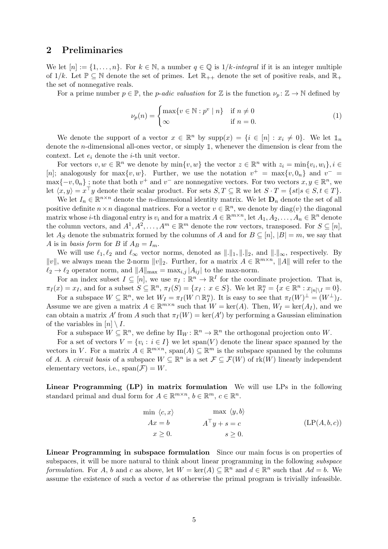## <span id="page-4-0"></span>2 Preliminaries

We let  $[n] := \{1, \ldots, n\}$ . For  $k \in \mathbb{N}$ , a number  $q \in \mathbb{Q}$  is  $1/k$ -integral if it is an integer multipleof  $1/k$ . Let  $\mathbb{P} \subseteq \mathbb{N}$  denote the set of primes. Let  $\mathbb{R}_{++}$  denote the set of positive reals, and  $\mathbb{R}_+$ the set of nonnegative reals.

For a prime number  $p \in \mathbb{P}$ , the *p-adic valuation* for Z is the function  $\nu_p : \mathbb{Z} \to \mathbb{N}$  defined by

<span id="page-4-2"></span>
$$
\nu_p(n) = \begin{cases} \max\{v \in \mathbb{N} : p^v \mid n\} & \text{if } n \neq 0 \\ \infty & \text{if } n = 0. \end{cases}
$$
 (1)

We denote the support of a vector  $x \in \mathbb{R}^n$  by  $\text{supp}(x) = \{i \in [n] : x_i \neq 0\}$ . We let  $\mathbb{1}_n$ denote the *n*-dimensional all-ones vector, or simply  $\mathbb{1}$ , whenever the dimension is clear from the context. Let  $e_i$  denote the *i*-th unit vector.

For vectors  $v, w \in \mathbb{R}^n$  we denote by  $\min\{v, w\}$  the vector  $z \in \mathbb{R}^n$  with  $z_i = \min\{v_i, w_i\}, i \in$ [n]; analogously for  $\max\{v, w\}$ . Further, we use the notation  $v^+ = \max\{v, 0_n\}$  and  $v^- =$  $\max\{-v, 0_n\}$ ; note that both  $v^+$  and  $v^-$  are nonnegative vectors. For two vectors  $x, y \in \mathbb{R}^n$ , we let  $\langle x, y \rangle = x^{\top}y$  denote their scalar product. For sets  $S, T \subseteq \mathbb{R}$  we let  $S \cdot T = \{st | s \in S, t \in T\}$ .

We let  $I_n \in \mathbb{R}^{n \times n}$  denote the *n*-dimensional identity matrix. We let  $D_n$  denote the set of all positive definite  $n \times n$  diagonal matrices. For a vector  $v \in \mathbb{R}^n$ , we denote by  $\text{diag}(v)$  the diagonal matrix whose *i*-th diagonal entry is  $v_i$  and for a matrix  $A \in \mathbb{R}^{m \times n}$ , let  $A_1, A_2, \ldots, A_n \in \mathbb{R}^n$  denote the column vectors, and  $A^1, A^2, \ldots, A^m \in \mathbb{R}^m$  denote the row vectors, transposed. For  $S \subseteq [n]$ , let As denote the submatrix formed by the columns of A and for  $B \subseteq [n]$ ,  $|B| = m$ , we say that A is in basis form for B if  $A_B = I_m$ .

We will use  $\ell_1, \ell_2$  and  $\ell_{\infty}$  vector norms, denoted as  $\|\cdot\|_1, \|\cdot\|_2$ , and  $\|\cdot\|_{\infty}$ , respectively. By  $||v||$ , we always mean the 2-norm  $||v||_2$ . Further, for a matrix  $A \in \mathbb{R}^{m \times n}$ ,  $||A||$  will refer to the  $\ell_2 \to \ell_2$  operator norm, and  $||A||_{\text{max}} = \max_{i,j} |A_{ij}|$  to the max-norm.

For an index subset  $I \subseteq [n]$ , we use  $\pi_I : \mathbb{R}^n \to \mathbb{R}^I$  for the coordinate projection. That is,  $\pi_I(x) = x_I$ , and for a subset  $S \subseteq \mathbb{R}^n$ ,  $\pi_I(S) = \{x_I : x \in S\}$ . We let  $\mathbb{R}^n_I = \{x \in \mathbb{R}^n : x_{[n] \setminus I} = 0\}$ .

For a subspace  $W \subseteq \mathbb{R}^n$ , we let  $W_I = \pi_I(W \cap \mathbb{R}^n_I)$ . It is easy to see that  $\pi_I(W)^{\perp} = (W^{\perp})_I$ . Assume we are given a matrix  $A \in \mathbb{R}^{m \times n}$  such that  $W = \text{ker}(A)$ . Then,  $W_I = \text{ker}(A_I)$ , and we can obtain a matrix A' from A such that  $\pi_I(W) = \ker(A')$  by performing a Gaussian elimination of the variables in  $[n] \setminus I$ .

For a subspace  $W \subseteq \mathbb{R}^n$ , we define by  $\Pi_W : \mathbb{R}^n \to \mathbb{R}^n$  the orthogonal projection onto W.

For a set of vectors  $V = \{v_i : i \in I\}$  we let  $\text{span}(V)$  denote the linear space spanned by the vectors in V. For a matrix  $A \in \mathbb{R}^{m \times n}$ ,  $\text{span}(A) \subseteq \mathbb{R}^m$  is the subspace spanned by the columns of A. A *circuit basis* of a subspace  $W \subseteq \mathbb{R}^n$  is a set  $\mathcal{F} \subseteq \mathcal{F}(W)$  of  $rk(W)$  linearly independent elementary vectors, i.e.,  $\text{span}(\mathcal{F}) = W$ .

<span id="page-4-1"></span>Linear Programming (LP) in matrix formulation We will use LPs in the following standard primal and dual form for  $A \in \mathbb{R}^{m \times n}$ ,  $b \in \mathbb{R}^m$ ,  $c \in \mathbb{R}^n$ .

$$
\begin{array}{ll}\n\min \langle c, x \rangle & \max \langle y, b \rangle \\
Ax = b & A^\top y + s = c \\
x \ge 0. & s \ge 0.\n\end{array} \tag{LP(A, b, c)}
$$

Linear Programming in subspace formulation Since our main focus is on properties of subspaces, it will be more natural to think about linear programming in the following *subspace* formulation. For A, b and c as above, let  $W = \text{ker}(A) \subseteq \mathbb{R}^n$  and  $d \in \mathbb{R}^n$  such that  $Ad = b$ . We assume the existence of such a vector  $d$  as otherwise the primal program is trivially infeasible.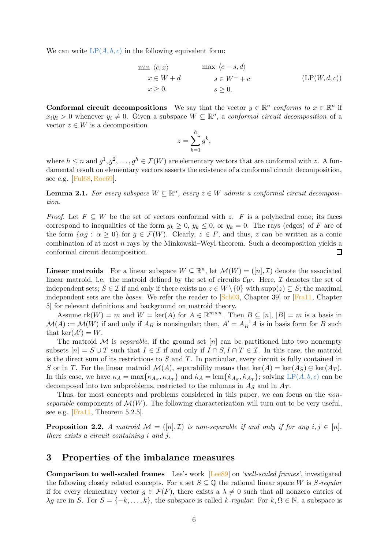We can write  $LP(A, b, c)$  $LP(A, b, c)$  $LP(A, b, c)$  in the following equivalent form:

<span id="page-5-3"></span>
$$
\min \langle c, x \rangle \qquad \max \langle c - s, d \rangle
$$
  
\n
$$
x \in W + d \qquad s \in W^{\perp} + c \qquad (\text{LP}(W, d, c))
$$
  
\n
$$
x \ge 0. \qquad s \ge 0.
$$

**Conformal circuit decompositions** We say that the vector  $y \in \mathbb{R}^n$  conforms to  $x \in \mathbb{R}^n$  if  $x_i y_i > 0$  whenever  $y_i \neq 0$ . Given a subspace  $W \subseteq \mathbb{R}^n$ , a conformal circuit decomposition of a vector  $z \in W$  is a decomposition

$$
z = \sum_{k=1}^{h} g^k,
$$

where  $h \le n$  and  $g^1, g^2, \ldots, g^h \in \mathcal{F}(W)$  are elementary vectors that are conformal with z. A fundamental result on elementary vectors asserts the existence of a conformal circuit decomposition, see e.g. [\[Ful68,](#page-39-0)[Roc69\]](#page-41-0).

<span id="page-5-2"></span>**Lemma 2.1.** For every subspace  $W \subseteq \mathbb{R}^n$ , every  $z \in W$  admits a conformal circuit decomposition.

*Proof.* Let  $F \subseteq W$  be the set of vectors conformal with z. F is a polyhedral cone; its faces correspond to inequalities of the form  $y_k \geq 0$ ,  $y_k \leq 0$ , or  $y_k = 0$ . The rays (edges) of F are of the form  $\{\alpha g : \alpha \geq 0\}$  for  $g \in \mathcal{F}(W)$ . Clearly,  $z \in F$ , and thus, z can be written as a conic combination of at most  $n$  rays by the Minkowski–Weyl theorem. Such a decomposition yields a conformal circuit decomposition.  $\Box$ 

**Linear matroids** For a linear subspace  $W \subseteq \mathbb{R}^n$ , let  $\mathcal{M}(W) = ([n], \mathcal{I})$  denote the associated linear matroid, i.e. the matroid defined by the set of circuits  $\mathcal{C}_W$ . Here,  $\mathcal I$  denotes the set of independent sets;  $S \in \mathcal{I}$  if and only if there exists no  $z \in W \setminus \{0\}$  with supp( $z \in S$ ; the maximal independent sets are the bases. We refer the reader to  $\boxed{\text{Sch}03}$ , Chapter 39 or  $\boxed{\text{Fra}11}$ , Chapter 5] for relevant definitions and background on matroid theory.

Assume  $rk(W) = m$  and  $W = ker(A)$  for  $A \in \mathbb{R}^{m \times n}$ . Then  $B \subseteq [n]$ ,  $|B| = m$  is a basis in  $\mathcal{M}(A) := \mathcal{M}(W)$  if and only if  $A_B$  is nonsingular; then,  $A' = A_B^{-1}A$  is in basis form for B such that  $\ker(A') = W$ .

The matroid  $M$  is *separable*, if the ground set [n] can be partitioned into two nonempty subsets  $[n] = S \cup T$  such that  $I \in \mathcal{I}$  if and only if  $I \cap S, I \cap T \in \mathcal{I}$ . In this case, the matroid is the direct sum of its restrictions to  $S$  and  $T$ . In particular, every circuit is fully contained in S or in T. For the linear matroid  $\mathcal{M}(A)$ , separability means that ker(A) = ker(A<sub>S</sub>)  $\oplus$  ker(A<sub>T</sub>). In this case, we have  $\kappa_A = \max\{\kappa_{A_S}, \kappa_{A_T}\}\$  and  $\kappa_A = \text{lcm}\{\kappa_{A_S}, \kappa_{A_T}\}\$ ; solving  $\text{LP}(A, b, c)$  $\text{LP}(A, b, c)$  $\text{LP}(A, b, c)$  can be decomposed into two subproblems, restricted to the columns in  $A<sub>S</sub>$  and in  $A<sub>T</sub>$ .

Thus, for most concepts and problems considered in this paper, we can focus on the *non*separable components of  $\mathcal{M}(W)$ . The following characterization will turn out to be very useful, see e.g. [\[Fra11,](#page-39-2) Theorem 5.2.5].

<span id="page-5-1"></span>**Proposition 2.2.** A matroid  $\mathcal{M} = ([n], \mathcal{I})$  is non-separable if and only if for any  $i, j \in [n]$ , there exists a circuit containing i and j.

## <span id="page-5-0"></span>3 Properties of the imbalance measures

Comparison to well-scaled frames Lee's work [Lee<sub>89</sub>] on 'well-scaled frames', investigated the following closely related concepts. For a set  $S \subseteq \mathbb{Q}$  the rational linear space W is S-regular if for every elementary vector  $q \in \mathcal{F}(F)$ , there exists a  $\lambda \neq 0$  such that all nonzero entries of  $\lambda g$  are in S. For  $S = \{-k, \ldots, k\}$ , the subspace is called k-regular. For  $k, \Omega \in \mathbb{N}$ , a subspace is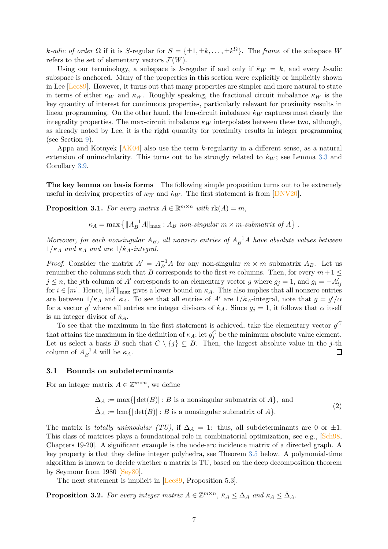k-adic of order  $\Omega$  if it is S-regular for  $S = {\pm 1, \pm k, \dots, \pm k^{\Omega}}$ . The frame of the subspace W refers to the set of elementary vectors  $\mathcal{F}(W)$ .

Using our terminology, a subspace is k-regular if and only if  $\overline{\kappa}_W = k$ , and every k-adic subspace is anchored. Many of the properties in this section were explicitly or implicitly shown in Lee [\[Lee89\]](#page-40-0). However, it turns out that many properties are simpler and more natural to state in terms of either  $\kappa_W$  and  $\dot{\kappa}_W$ . Roughly speaking, the fractional circuit imbalance  $\kappa_W$  is the key quantity of interest for continuous properties, particularly relevant for proximity results in linear programming. On the other hand, the lcm-circuit imbalance  $\dot{\kappa}_W$  captures most clearly the integrality properties. The max-circuit imbalance  $\bar{\kappa}_W$  interpolates between these two, although, as already noted by Lee, it is the right quantity for proximity results in integer programming (see Section [9\)](#page-35-0).

Appa and Kotnyek [\[AK04\]](#page-38-2) also use the term k-regularity in a different sense, as a natural extension of unimodularity. This turns out to be strongly related to  $\dot{\kappa}_W$ ; see Lemma [3.3](#page-7-1) and Corollary [3.9.](#page-9-1)

<span id="page-6-2"></span>The key lemma on basis forms The following simple proposition turns out to be extremely useful in deriving properties of  $\kappa_W$  and  $\kappa_W$ . The first statement is from [\[DNV20\]](#page-39-1).

**Proposition 3.1.** For every matrix  $A \in \mathbb{R}^{m \times n}$  with  $\text{rk}(A) = m$ ,

 $\kappa_A = \max \left\{ ||A_B^{-1}A||_{\text{max}} : A_B \text{ non-singular } m \times m \text{-submatrix of } A \right\}.$ 

Moreover, for each nonsingular  $A_B$ , all nonzero entries of  $A_B^{-1}A$  have absolute values between  $1/\kappa_A$  and  $\kappa_A$  and are  $1/\kappa_A$ -integral.

*Proof.* Consider the matrix  $A' = A_B^{-1}A$  for any non-singular  $m \times m$  submatrix  $A_B$ . Let us renumber the columns such that B corresponds to the first m columns. Then, for every  $m+1 \leq$  $j \leq n$ , the jth column of A' corresponds to an elementary vector g where  $g_j = 1$ , and  $g_i = -A'_{ij}$ for  $i \in [m]$ . Hence,  $||A'||_{\text{max}}$  gives a lower bound on  $\kappa_A$ . This also implies that all nonzero entries are between  $1/\kappa_A$  and  $\kappa_A$ . To see that all entries of A' are  $1/\kappa_A$ -integral, note that  $g = g'/\alpha$ for a vector g' where all entries are integer divisors of  $\dot{\kappa}_A$ . Since  $g_j = 1$ , it follows that  $\alpha$  itself is an integer divisor of  $\dot{\kappa}_A$ .

To see that the maximum in the first statement is achieved, take the elementary vector  $g^C$ that attains the maximum in the definition of  $\kappa_A$ ; let  $g_j^C$  be the minimum absolute value element. Let us select a basis B such that  $C \setminus \{j\} \subseteq B$ . Then, the largest absolute value in the j-th column of  $A_{\text{B}}^{-1}A$  will be  $\kappa_A$ column of  $A_B^{-1}A$  will be  $\kappa_A$ .

### <span id="page-6-0"></span>3.1 Bounds on subdeterminants

For an integer matrix  $A \in \mathbb{Z}^{m \times n}$ , we define

$$
\Delta_A := \max\{|\det(B)| : B \text{ is a nonsingular submatrix of } A\}, \text{ and}
$$
  

$$
\Delta_A := \text{lcm}\{|\det(B)| : B \text{ is a nonsingular submatrix of } A\}. \tag{2}
$$

The matrix is totally unimodular (TU), if  $\Delta_A = 1$ : thus, all subdeterminants are 0 or  $\pm 1$ . This class of matrices plays a foundational role in combinatorial optimization, see e.g., [\[Sch98,](#page-41-2) Chapters 19-20]. A significant example is the node-arc incidence matrix of a directed graph. A key property is that they define integer polyhedra, see Theorem [3.5](#page-8-1) below. A polynomial-time algorithm is known to decide whether a matrix is TU, based on the deep decomposition theorem by Seymour from 1980 [\[Sey80\]](#page-41-3).

<span id="page-6-1"></span>The next statement is implicit in [Lee<sub>89</sub>, Proposition 5.3].

**Proposition 3.2.** For every integer matrix  $A \in \mathbb{Z}^{m \times n}$ ,  $\bar{\kappa}_A \leq \Delta_A$  and  $\dot{\kappa}_A \leq \dot{\Delta}_A$ .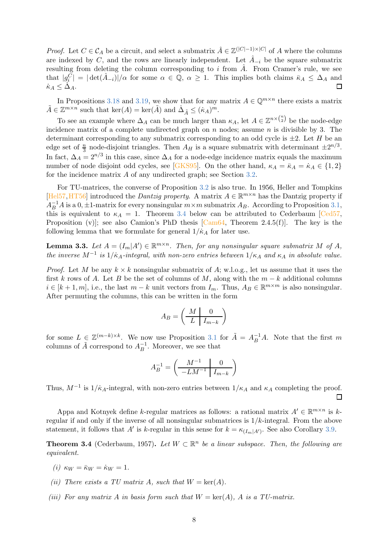*Proof.* Let  $C \in \mathcal{C}_A$  be a circuit, and select a submatrix  $\hat{A} \in \mathbb{Z}^{(|C|-1)\times |C|}$  of A where the columns are indexed by C, and the rows are linearly independent. Let  $\hat{A}_{-i}$  be the square submatrix resulting from deleting the column corresponding to i from  $\hat{A}$ . From Cramer's rule, we see that  $|g_i^C| = |\det(\hat{A}_{-i})|/\alpha$  for some  $\alpha \in \mathbb{Q}$ ,  $\alpha \geq 1$ . This implies both claims  $\bar{\kappa}_A \leq \Delta_A$  and  $\dot\kappa_A\leq\Delta_A.$ 

In Propositions [3.18](#page-11-1) and [3.19,](#page-12-2) we show that for any matrix  $A \in \mathbb{Q}^{m \times n}$  there exists a matrix  $\tilde{A} \in \mathbb{Z}^{m \times n}$  such that  $\ker(A) = \ker(\tilde{A})$  and  $\dot{\Delta}_{\tilde{A}} \leq (\dot{\kappa}_A)^m$ .

To see an example where  $\Delta_A$  can be much larger than  $\kappa_A$ , let  $A \in \mathbb{Z}^{n \times \binom{n}{2}}$  be the node-edge incidence matrix of a complete undirected graph on  $n$  nodes; assume  $n$  is divisible by 3. The determinant corresponding to any submatrix corresponding to an odd cycle is  $\pm 2$ . Let H be an edge set of  $\frac{n}{3}$  node-disjoint triangles. Then  $A_H$  is a square submatrix with determinant  $\pm 2^{n/3}$ . In fact,  $\Delta_A = 2^{n/3}$  in this case, since  $\Delta_A$  for a node-edge incidence matrix equals the maximum number of node disjoint odd cycles, see [\[GKS95\]](#page-40-1). On the other hand,  $\kappa_A = \bar{\kappa}_A = \dot{\kappa}_A \in \{1,2\}$ for the incidence matrix A of any undirected graph; see Section [3.2.](#page-8-0)

For TU-matrices, the converse of Proposition [3.2](#page-6-1) is also true. In 1956, Heller and Tompkins [\[Hel57,](#page-40-2) [HT56\]](#page-40-3) introduced the *Dantzig property*. A matrix  $A \in \mathbb{R}^{m \times n}$  has the Dantzig property if  $A_B^{-1}A$  is a  $0, \pm 1$ -matrix for every nonsingular  $m \times m$  submatrix  $A_B$ . According to Proposition [3.1,](#page-6-2) this is equivalent to  $\kappa_A = 1$ . Theorem [3.4](#page-7-0) below can be attributed to Cederbaum [\[Ced57,](#page-38-3) Proposition (v)]; see also Camion's PhD thesis  $[Cam 64, Theorem 2.4.5(f)].$  The key is the following lemma that we formulate for general  $1/\kappa_A$  for later use.

<span id="page-7-1"></span>**Lemma 3.3.** Let  $A = (I_m | A') \in \mathbb{R}^{m \times n}$ . Then, for any nonsingular square submatrix M of A, the inverse  $M^{-1}$  is  $1/\kappa_A$ -integral, with non-zero entries between  $1/\kappa_A$  and  $\kappa_A$  in absolute value.

*Proof.* Let M be any  $k \times k$  nonsingular submatrix of A; w.l.o.g., let us assume that it uses the first k rows of A. Let B be the set of columns of M, along with the  $m - k$  additional columns  $i \in [k+1,m]$ , i.e., the last  $m-k$  unit vectors from  $I_m$ . Thus,  $A_B \in \mathbb{R}^{m \times m}$  is also nonsingular. After permuting the columns, this can be written in the form

$$
A_B = \left(\begin{array}{c|c} M & 0 \\ \hline L & I_{m-k} \end{array}\right)
$$

for some  $L \in \mathbb{Z}^{(m-k)\times k}$ . We now use Proposition [3.1](#page-6-2) for  $\tilde{A} = A_B^{-1}A$ . Note that the first m columns of  $\tilde{A}$  correspond to  $A_B^{-1}$  $B^{-1}$ . Moreover, we see that

$$
A_B^{-1} = \left(\begin{array}{c|c} M^{-1} & 0 \\ \hline -LM^{-1} & I_{m-k} \end{array}\right)
$$

Thus,  $M^{-1}$  is  $1/\dot{\kappa}_A$ -integral, with non-zero entries between  $1/\kappa_A$  and  $\kappa_A$  completing the proof. □

Appa and Kotnyek define k-regular matrices as follows: a rational matrix  $A' \in \mathbb{R}^{m \times n}$  is kregular if and only if the inverse of all nonsingular submatrices is  $1/k$ -integral. From the above statement, it follows that A' is k-regular in this sense for  $k = \kappa_{(I_m|A')}$ . See also Corollary [3.9.](#page-9-1)

<span id="page-7-0"></span>**Theorem 3.4** (Cederbaum, 1957). Let  $W \subset \mathbb{R}^n$  be a linear subspace. Then, the following are equivalent.

- <span id="page-7-4"></span><span id="page-7-3"></span>(i)  $\kappa_W = \bar{\kappa}_W = \dot{\kappa}_W = 1$ .
- <span id="page-7-2"></span>(ii) There exists a TU matrix A, such that  $W = \text{ker}(A)$ .
- (iii) For any matrix A in basis form such that  $W = \text{ker}(A)$ , A is a TU-matrix.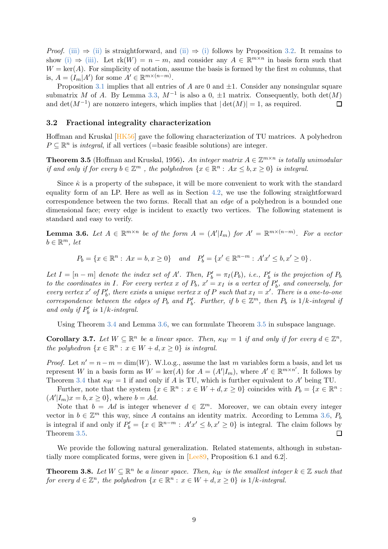*Proof.* [\(iii\)](#page-7-2)  $\Rightarrow$  [\(ii\)](#page-7-3) is straightforward, and (ii)  $\Rightarrow$  [\(i\)](#page-7-4) follows by Proposition [3.2.](#page-6-1) It remains to show [\(i\)](#page-7-4)  $\Rightarrow$  [\(iii\).](#page-7-2) Let  $rk(W) = n - m$ , and consider any  $A \in \mathbb{R}^{m \times n}$  in basis form such that  $W = \text{ker}(A)$ . For simplicity of notation, assume the basis is formed by the first m columns, that is,  $A = (I_m | A')$  for some  $A' \in \mathbb{R}^{m \times (n-m)}$ .

Proposition [3.1](#page-6-2) implies that all entries of A are 0 and  $\pm 1$ . Consider any nonsingular square submatrix M of A. By Lemma [3.3,](#page-7-1)  $M^{-1}$  is also a 0,  $\pm 1$  matrix. Consequently, both  $det(M)$ and  $\det(M^{-1})$  are nonzero integers, which implies that  $|\det(M)| = 1$ , as required.

### <span id="page-8-0"></span>3.2 Fractional integrality characterization

<span id="page-8-1"></span>Hoffman and Kruskal [\[HK56\]](#page-40-4) gave the following characterization of TU matrices. A polyhedron  $P \subseteq \mathbb{R}^n$  is *integral*, if all vertices (=basic feasible solutions) are integer.

**Theorem 3.5** (Hoffman and Kruskal, 1956). An integer matrix  $A \in \mathbb{Z}^{m \times n}$  is totally unimodular if and only if for every  $b \in \mathbb{Z}^m$ , the polyhedron  $\{x \in \mathbb{R}^n : Ax \leq b, x \geq 0\}$  is integral.

Since  $\dot{\kappa}$  is a property of the subspace, it will be more convenient to work with the standard equality form of an LP. Here as well as in Section [4.2,](#page-15-0) we use the following straightforward correspondence between the two forms. Recall that an edge of a polyhedron is a bounded one dimensional face; every edge is incident to exactly two vertices. The following statement is standard and easy to verify.

<span id="page-8-2"></span>**Lemma 3.6.** Let  $A \in \mathbb{R}^{m \times n}$  be of the form  $A = (A'|I_m)$  for  $A' = \mathbb{R}^{m \times (n-m)}$ . For a vector  $b \in \mathbb{R}^m$ , let

 $P_b = \{x \in \mathbb{R}^n : Ax = b, x \ge 0\}$  and  $P'_b = \{x' \in \mathbb{R}^{n-m} : A'x' \le b, x' \ge 0\}$ .

Let  $I = [n-m]$  denote the index set of A'. Then,  $P'_b = \pi_I(P_b)$ , i.e.,  $P'_b$  is the projection of  $P_b$ to the coordinates in I. For every vertex x of  $P_b$ ,  $x' = x_I$  is a vertex of  $P'_b$ , and conversely, for every vertex x' of  $P'_b$ , there exists a unique vertex x of P such that  $x_I = x'$ . There is a one-to-one correspondence between the edges of  $P_b$  and  $P'_b$ . Further, if  $b \in \mathbb{Z}^m$ , then  $P_b$  is  $1/k$ -integral if and only if  $P'_b$  is  $1/k$ -integral.

Using Theorem [3.4](#page-7-0) and Lemma [3.6,](#page-8-2) we can formulate Theorem [3.5](#page-8-1) in subspace language.

**Corollary 3.7.** Let  $W \subseteq \mathbb{R}^n$  be a linear space. Then,  $\kappa_W = 1$  if and only if for every  $d \in \mathbb{Z}^n$ , the polyhedron  $\{x \in \mathbb{R}^n : x \in W + d, x \ge 0\}$  is integral.

*Proof.* Let  $n' = n - m = \dim(W)$ . W.l.o.g., assume the last m variables form a basis, and let us represent W in a basis form as  $W = \text{ker}(A)$  for  $A = (A'|I_m)$ , where  $A' \in \mathbb{R}^{m \times n'}$ . It follows by Theorem [3.4](#page-7-0) that  $\kappa_W = 1$  if and only if A is TU, which is further equivalent to A' being TU.

Further, note that the system  $\{x \in \mathbb{R}^n : x \in W + d, x \ge 0\}$  coincides with  $P_b = \{x \in \mathbb{R}^n : x \in W + d, x \ge 0\}$  $(A'|I_m)x = b, x \ge 0\},$  where  $b = Ad$ .

Note that  $b = Ad$  is integer whenever  $d \in \mathbb{Z}^m$ . Moreover, we can obtain every integer vector in  $b \in \mathbb{Z}^m$  this way, since A contains an identity matrix. According to Lemma [3.6,](#page-8-2)  $P_b$ is integral if and only if  $P'_b = \{x \in \mathbb{R}^{n-m} : A'x' \leq b, x' \geq 0\}$  is integral. The claim follows by Theorem [3.5.](#page-8-1)

<span id="page-8-3"></span>We provide the following natural generalization. Related statements, although in substantially more complicated forms, were given in [\[Lee89,](#page-40-0) Proposition 6.1 and 6.2].

**Theorem 3.8.** Let  $W \subseteq \mathbb{R}^n$  be a linear space. Then,  $\kappa_W$  is the smallest integer  $k \in \mathbb{Z}$  such that for every  $d \in \mathbb{Z}^n$ , the polyhedron  $\{x \in \mathbb{R}^n : x \in W + d, x \ge 0\}$  is  $1/k$ -integral.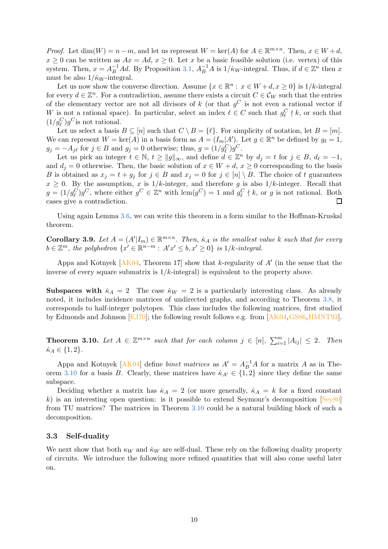*Proof.* Let  $dim(W) = n - m$ , and let us represent  $W = \text{ker}(A)$  for  $A \in \mathbb{R}^{m \times n}$ . Then,  $x \in W + d$ ,  $x \geq 0$  can be written as  $Ax = Ad$ ,  $x \geq 0$ . Let x be a basic feasible solution (i.e. vertex) of this system. Then,  $x = A_B^{-1}Ad$ . By Proposition [3.1,](#page-6-2)  $A_B^{-1}A$  is  $1/k_W$ -integral. Thus, if  $d \in \mathbb{Z}^n$  then x must be also  $1/\dot{\kappa}_W$ -integral.

Let us now show the converse direction. Assume  $\{x \in \mathbb{R}^n : x \in W + d, x \ge 0\}$  is  $1/k$ -integral for every  $d \in \mathbb{Z}^n$ . For a contradiction, assume there exists a circuit  $C \in \mathcal{C}_W$  such that the entries of the elementary vector are not all divisors of k (or that  $g^C$  is not even a rational vector if W is not a rational space). In particular, select an index  $\ell \in C$  such that  $g_{\ell}^C \nmid k$ , or such that  $(1/g_{\ell}^C)g^C$  is not rational.

Let us select a basis  $B \subseteq [n]$  such that  $C \setminus B = \{\ell\}$ . For simplicity of notation, let  $B = [m]$ . We can represent  $W = \ker(A)$  in a basis form as  $A = (I_m | A')$ . Let  $g \in \mathbb{R}^n$  be defined by  $g_{\ell} = 1$ ,  $g_j = -A_{j\ell}$  for  $j \in B$  and  $g_j = 0$  otherwise; thus,  $g = (1/g_{\ell}^C)g^C$ .

Let us pick an integer  $t \in \mathbb{N}$ ,  $t \ge ||g||_{\infty}$ , and define  $d \in \mathbb{Z}^n$  by  $d_j = t$  for  $j \in B$ ,  $d_\ell = -1$ , and  $d_i = 0$  otherwise. Then, the basic solution of  $x \in W + d$ ,  $x \ge 0$  corresponding to the basis B is obtained as  $x_j = t + g_j$  for  $j \in B$  and  $x_j = 0$  for  $j \in [n] \setminus B$ . The choice of t guarantees  $x \geq 0$ . By the assumption, x is  $1/k$ -integer, and therefore g is also  $1/k$ -integer. Recall that  $g = (1/g_{\ell}^C)g^C$ , where either  $g^C \in \mathbb{Z}^n$  with  $\text{lcm}(g^C) = 1$  and  $g_{\ell}^C \nmid k$ , or g is not rational. Both cases give a contradiction. 囗

<span id="page-9-1"></span>Using again Lemma [3.6,](#page-8-2) we can write this theorem in a form similar to the Hoffman-Kruskal theorem.

**Corollary 3.9.** Let  $A = (A'|I_m) \in \mathbb{R}^{m \times n}$ . Then,  $\kappa_A$  is the smallest value k such that for every  $b \in \mathbb{Z}^m$ , the polyhedron  $\{x' \in \mathbb{R}^{n-m} : A'x' \leq b, x' \geq 0\}$  is  $1/k$ -integral.

Appa and Kotnyek  $[AK04,$  Theorem 17 show that k-regularity of  $A'$  (in the sense that the inverse of every square submatrix is  $1/k$ -integral) is equivalent to the property above.

**Subspaces with**  $\dot{\kappa}_A = 2$  The case  $\dot{\kappa}_W = 2$  is a particularly interesting class. As already noted, it includes incidence matrices of undirected graphs, and according to Theorem [3.8,](#page-8-3) it corresponds to half-integer polytopes. This class includes the following matrices, first studied by Edmonds and Johnson [\[EJ70\]](#page-39-3); the following result follows e.g. from [\[AK04,](#page-38-2)[GS86,](#page-40-5)[HMNT93\]](#page-40-6).

<span id="page-9-2"></span>**Theorem 3.10.** Let  $A \in \mathbb{Z}^{m \times n}$  such that for each column  $j \in [n]$ ,  $\sum_{i=1}^{m} |A_{ij}| \leq 2$ . Then  $\dot{\kappa}_A \in \{1,2\}.$ 

Appa and Kotnyek [\[AK04\]](#page-38-2) define *binet matrices* as  $A' = A_B^{-1}A$  for a matrix A as in The-orem [3.10](#page-9-2) for a basis B. Clearly, these matrices have  $\kappa_{A'} \in \{1,2\}$  since they define the same subspace.

Deciding whether a matrix has  $\dot{\kappa}_A = 2$  (or more generally,  $\dot{\kappa}_A = k$  for a fixed constant k) is an interesting open question: is it possible to extend Seymour's decomposition  $[Sey80]$ from TU matrices? The matrices in Theorem [3.10](#page-9-2) could be a natural building block of such a decomposition.

## <span id="page-9-0"></span>3.3 Self-duality

We next show that both  $\kappa_W$  and  $\dot{\kappa}_W$  are self-dual. These rely on the following duality property of circuits. We introduce the following more refined quantities that will also come useful later on.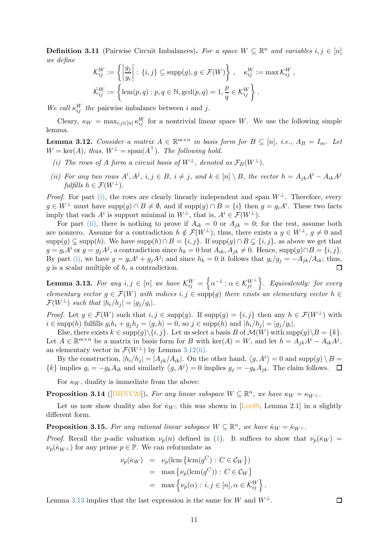**Definition 3.11** (Pairwise Circuit Imbalances). For a space  $W \subseteq \mathbb{R}^n$  and variables  $i, j \in [n]$ we define

$$
\mathcal{K}_{ij}^W := \left\{ \left| \frac{g_j}{g_i} \right| : \{i, j\} \subseteq \text{supp}(g), g \in \mathcal{F}(W) \right\}, \quad \kappa_{ij}^W := \max \mathcal{K}_{ij}^W,
$$
  

$$
\dot{\mathcal{K}}_{ij}^W := \left\{ \text{lcm}(p, q) : p, q \in \mathbb{N}, \text{gcd}(p, q) = 1, \frac{p}{q} \in \mathcal{K}_{ij}^W \right\}.
$$

We call  $\kappa_{ij}^W$  the pairwise imbalance between i and j.

<span id="page-10-2"></span>Cleary,  $\kappa_W = \max_{i,j \in [n]} \kappa_{ij}^W$  for a nontrivial linear space W. We use the following simple lemma.

<span id="page-10-0"></span>**Lemma 3.12.** Consider a matrix  $A \in \mathbb{R}^{m \times n}$  in basis form for  $B \subseteq [n]$ , i.e.,  $A_B = I_m$ . Let  $W = \text{ker}(A)$ ; thus,  $W^{\perp} = \text{span}(A^{\top})$ . The following hold.

- <span id="page-10-1"></span>(i) The rows of A form a circuit basis of  $W^{\perp}$ , denoted as  $\mathcal{F}_{B}(W^{\perp})$ .
- (ii) For any two rows  $A^i, A^j, i, j \in B$ ,  $i \neq j$ , and  $k \in [n] \setminus B$ , the vector  $h = A_{jk}A^i A_{ik}A^j$ fulfills  $h \in \mathcal{F}(W^{\perp}).$

*Proof.* For part [\(i\),](#page-10-0) the rows are clearly linearly independent and span  $W^{\perp}$ . Therefore, every  $g \in W^{\perp}$  must have supp $(g) \cap B \neq \emptyset$ , and if supp $(g) \cap B = \{i\}$  then  $g = g_i A^i$ . These two facts imply that each  $A^i$  is support minimal in  $W^{\perp}$ , that is,  $A^i \in \mathcal{F}(W^{\perp})$ .

For part [\(ii\),](#page-10-1) there is nothing to prove if  $A_{ik} = 0$  or  $A_{jk} = 0$ ; for the rest, assume both are nonzero. Assume for a contradiction  $h \notin \mathcal{F}(W^{\perp})$ ; thus, there exists a  $g \in W^{\perp}$ ,  $g \neq 0$  and supp(g)  $\subsetneq$  supp(h). We have supp(h) ∩ B = {i, j}. If supp(g) ∩ B  $\subsetneq$  {i, j}, as above we get that  $g = g_i A^i$  or  $g = g_j A^j$ , a contradiction since  $h_k = 0$  but  $A_{ik}, A_{jk} \neq 0$ . Hence, supp $(g) \cap B = \{i, j\}$ . By part [\(i\),](#page-10-0) we have  $g = g_i A^i + g_j A^j$ ; and since  $h_k = 0$  it follows that  $g_i/g_j = -A_{jk}/A_{ik}$ ; thus,  $q$  is a scalar multiple of  $h$ , a contradiction.

<span id="page-10-3"></span>**Lemma 3.13.** For any  $i, j \in [n]$  we have  $\mathcal{K}_{ij}^W = \left\{ \alpha^{-1} : \alpha \in \mathcal{K}_{ji}^{W^\perp} \right\}$ . Equivalently: for every elementary vector  $g \in \mathcal{F}(W)$  with indices  $i, j \in \text{supp}(g)$  there exists an elementary vector  $h \in$  $\mathcal{F}(W^{\perp})$  such that  $|h_i/h_j| = |g_j/g_i|$ .

*Proof.* Let  $g \in \mathcal{F}(W)$  such that  $i, j \in \text{supp}(g)$ . If  $\text{supp}(g) = \{i, j\}$  then any  $h \in \mathcal{F}(W^{\perp})$  with  $i \in \text{supp}(h)$  fulfills  $g_i h_i + g_j h_j = \langle g, h \rangle = 0$ , so  $j \in \text{supp}(h)$  and  $|h_i/h_j| = |g_j/g_i|$ .

Else, there exists  $k \in \text{supp}(g) \setminus \{i, j\}$ . Let us select a basis B of  $\mathcal{M}(W)$  with  $\text{supp}(g) \setminus B = \{k\}.$ Let  $A \in \mathbb{R}^{m \times n}$  be a matrix in basis form for B with ker(A) = W, and let  $h = A_{jk}A^{i} - A_{ik}A^{j}$ , an elementary vector in  $\mathcal{F}(W^{\perp})$  by Lemma [3.12](#page-10-2)[\(ii\).](#page-10-1)

By the construction,  $|h_i/h_j| = |A_{jk}/A_{ik}|$ . On the other hand,  $\langle g, A^i \rangle = 0$  and supp $(g) \setminus B =$  $\{k\}$  implies  $g_i = -g_k A_{ik}$  and similarly  $\langle g, A^j \rangle = 0$  implies  $g_j = -g_k A_{jk}$ . The claim follows.

<span id="page-10-4"></span>For  $\kappa_W$ , duality is immediate from the above:

**Proposition 3.14** ([\[DHNV20\]](#page-38-1)). For any linear subspace  $W \subseteq \mathbb{R}^n$ , we have  $\kappa_W = \kappa_{W^{\perp}}$ .

Let us now show duality also for  $\dot{\kappa}_W$ ; this was shown in [Lee<sub>89</sub>, Lemma 2.1] in a slightly different form.

**Proposition 3.15.** For any rational linear subspace  $W \subseteq \mathbb{R}^n$ , we have  $\dot{\kappa}_W = \dot{\kappa}_{W^{\perp}}$ .

*Proof.* Recall the p-adic valuation  $\nu_p(n)$  defined in [\(1\)](#page-4-2). It suffices to show that  $\nu_p(k_W)$  =  $\nu_p(\dot{\kappa}_{W^{\perp}})$  for any prime  $p \in \mathbb{P}$ . We can reformulate as

$$
\nu_p(\dot{\kappa}_W) = \nu_p(\text{lcm}\{\text{lcm}(g^C) : C \in \mathcal{C}_W\})
$$
  
= max  $\{\nu_p(\text{lcm}(g^C)) : C \in \mathcal{C}_W\}$   
= max  $\{\nu_p(\alpha) : i, j \in [n], \alpha \in \dot{\mathcal{K}}_{ij}^W\}$ 

Lemma [3.13](#page-10-3) implies that the last expression is the same for W and  $W^{\perp}$ .

 $\Box$ 

.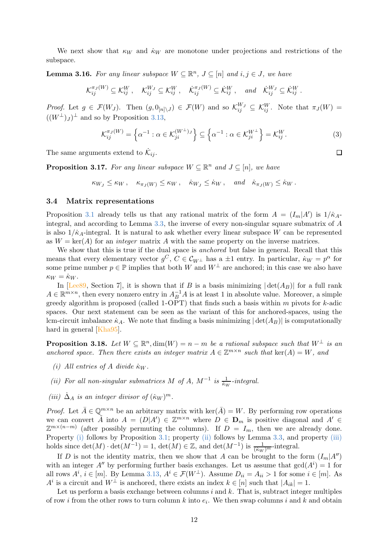<span id="page-11-5"></span>We next show that  $\kappa_W$  and  $\dot{\kappa}_W$  are monotone under projections and restrictions of the subspace.

**Lemma 3.16.** For any linear subspace  $W \subseteq \mathbb{R}^n$ ,  $J \subseteq [n]$  and  $i, j \in J$ , we have

$$
\mathcal{K}_{ij}^{\pi_J(W)} \subseteq \mathcal{K}_{ij}^W, \quad \mathcal{K}_{ij}^{W_J} \subseteq \mathcal{K}_{ij}^W, \quad \dot{\mathcal{K}}_{ij}^{\pi_J(W)} \subseteq \dot{\mathcal{K}}_{ij}^W, \quad \text{and} \quad \dot{\mathcal{K}}_{ij}^{W_J} \subseteq \dot{\mathcal{K}}_{ij}^W.
$$

*Proof.* Let  $g \in \mathcal{F}(W_J)$ . Then  $(g, 0_{[n]\setminus J}) \in \mathcal{F}(W)$  and so  $\mathcal{K}_{ij}^{W_J} \subseteq \mathcal{K}_{ij}^W$ . Note that  $\pi_J(W) =$  $((W^{\perp})_J)^{\perp}$  and so by Proposition [3.13,](#page-10-3)

$$
\mathcal{K}_{ij}^{\pi_J(W)} = \left\{ \alpha^{-1} : \alpha \in \mathcal{K}_{ji}^{(W^{\perp})_J} \right\} \subseteq \left\{ \alpha^{-1} : \alpha \in \mathcal{K}_{ji}^{W^{\perp}} \right\} = \mathcal{K}_{ij}^{W}.
$$
\n(3)

The same arguments extend to  $\dot{K}_{ij}$ .

**Proposition 3.17.** For any linear subspace  $W \subseteq \mathbb{R}^n$  and  $J \subseteq [n]$ , we have

 $\kappa_{W} \leq \kappa_W, \quad \kappa_{\pi_I(W)} \leq \kappa_W, \quad \dot{\kappa}_{W_I} \leq \dot{\kappa}_W, \quad \text{and} \quad \dot{\kappa}_{\pi_I(W)} \leq \dot{\kappa}_W.$ 

#### <span id="page-11-0"></span>3.4 Matrix representations

Proposition [3.1](#page-6-2) already tells us that any rational matrix of the form  $A = (I_m|A')$  is  $1/\kappa_A$ integral, and according to Lemma [3.3,](#page-7-1) the inverse of every non-singular square submatrix of A is also  $1/\kappa_A$ -integral. It is natural to ask whether every linear subspace W can be represented as  $W = \text{ker}(A)$  for an *integer* matrix A with the same property on the inverse matrices.

We show that this is true if the dual space is *anchored* but false in general. Recall that this means that every elementary vector  $g^C$ ,  $C \in \mathcal{C}_{W^{\perp}}$  has a  $\pm 1$  entry. In particular,  $\dot{\kappa}_W = p^{\alpha}$  for some prime number  $p \in \mathbb{P}$  implies that both W and  $W^{\perp}$  are anchored; in this case we also have  $\kappa_W = \dot{\kappa}_W$ .

In [\[Lee89,](#page-40-0) Section 7], it is shown that if B is a basis minimizing  $|\det(A_B)|$  for a full rank  $A \in \mathbb{R}^{m \times n}$ , then every nonzero entry in  $A^{-1}_B A$  is at least 1 in absolute value. Moreover, a simple greedy algorithm is proposed (called 1-OPT) that finds such a basis within  $m$  pivots for  $k$ -adic spaces. Our next statement can be seen as the variant of this for anchored-spaces, using the lcm-circuit imbalance  $\kappa_A$ . We note that finding a basis minimizing  $|\det(A_B)|$  is computationally hard in general [\[Kha95\]](#page-40-7).

<span id="page-11-1"></span>**Proposition 3.18.** Let  $W \subseteq \mathbb{R}^n$ ,  $\dim(W) = n - m$  be a rational subspace such that  $W^{\perp}$  is an anchored space. Then there exists an integer matrix  $A \in \mathbb{Z}^{m \times n}$  such that  $\text{ker}(A) = W$ , and

- <span id="page-11-3"></span><span id="page-11-2"></span>(i) All entries of A divide  $\kappa_W$ .
- <span id="page-11-4"></span>(ii) For all non-singular submatrices M of A,  $M^{-1}$  is  $\frac{1}{k_W}$ -integral.
- (iii)  $\dot{\Delta}_A$  is an integer divisor of  $(\kappa_W)^m$ .

*Proof.* Let  $\bar{A} \in \mathbb{Q}^{m \times n}$  be an arbitrary matrix with ker( $\bar{A}$ ) = W. By performing row operations we can convert  $\tilde{A}$  into  $A = (D|A') \in \mathbb{Z}^{m \times n}$  where  $D \in \mathbf{D}_m$  is positive diagonal and  $A' \in$  $\mathbb{Z}^{m\times(n-m)}$  (after possibly permuting the columns). If  $D = I_m$ , then we are already done. Property [\(i\)](#page-11-2) follows by Proposition [3.1;](#page-6-2) property [\(ii\)](#page-11-3) follows by Lemma [3.3,](#page-7-1) and property [\(iii\)](#page-11-4) holds since  $\det(M) \cdot \det(M^{-1}) = 1$ ,  $\det(M) \in \mathbb{Z}$ , and  $\det(M^{-1})$  is  $\frac{1}{(kw)^m}$ -integral.

If D is not the identity matrix, then we show that A can be brought to the form  $(I_m|A'')$ with an integer  $A''$  by performing further basis exchanges. Let us assume that  $gcd(A^i) = 1$  for all rows  $A^i$ ,  $i \in [m]$ . By Lemma [3.13,](#page-10-3)  $A^i \in \mathcal{F}(W^{\perp})$ . Assume  $D_{ii} = A_{ii} > 1$  for some  $i \in [m]$ . As  $A^i$  is a circuit and  $W^{\perp}$  is anchored, there exists an index  $k \in [n]$  such that  $|A_{ik}| = 1$ .

Let us perform a basis exchange between columns  $i$  and  $k$ . That is, subtract integer multiples of row *i* from the other rows to turn column k into  $e_i$ . We then swap columns i and k and obtain

 $\Box$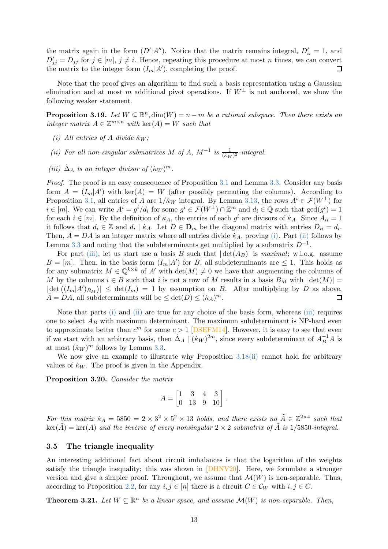the matrix again in the form  $(D'|A'')$ . Notice that the matrix remains integral,  $D'_{ii} = 1$ , and  $D'_{jj} = D_{jj}$  for  $j \in [m], j \neq i$ . Hence, repeating this procedure at most n times, we can convert the matrix to the integer form  $(I_m|A')$ , completing the proof.

Note that the proof gives an algorithm to find such a basis representation using a Gaussian elimination and at most m additional pivot operations. If  $W^{\perp}$  is not anchored, we show the following weaker statement.

<span id="page-12-3"></span><span id="page-12-2"></span>**Proposition 3.19.** Let  $W \subseteq \mathbb{R}^n$ ,  $\dim(W) = n - m$  be a rational subspace. Then there exists an integer matrix  $A \in \mathbb{Z}^{m \times n}$  with  $\ker(A) = W$  such that

- <span id="page-12-4"></span>(i) All entries of A divide  $\dot{\kappa}_W$ ;
- <span id="page-12-5"></span>(ii) For all non-singular submatrices M of A,  $M^{-1}$  is  $\frac{1}{(k_W)^2}$ -integral.
- (iii)  $\dot{\Delta}_A$  is an integer divisor of  $(\kappa_W)^m$ .

Proof. The proof is an easy consequence of Proposition [3.1](#page-6-2) and Lemma [3.3.](#page-7-1) Consider any basis form  $A = (I_m | A')$  with ker $(A) = W$  (after possibly permuting the columns). According to Proposition [3.1,](#page-6-2) all entries of A are  $1/\kappa_W$  integral. By Lemma [3.13,](#page-10-3) the rows  $A^i \in \mathcal{F}(W^{\perp})$  for  $i \in [m]$ . We can write  $A^i = g^i/d_i$  for some  $g^i \in \mathcal{F}(W^{\perp}) \cap \mathbb{Z}^m$  and  $d_i \in \mathbb{Q}$  such that  $gcd(g^i) = 1$ for each  $i \in [m]$ . By the definition of  $\kappa_A$ , the entries of each  $g^i$  are divisors of  $\kappa_A$ . Since  $A_{ii} = 1$ it follows that  $d_i \in \mathbb{Z}$  and  $d_i | \dot{\kappa}_A$ . Let  $D \in \mathbf{D}_m$  be the diagonal matrix with entries  $D_{ii} = d_i$ . Then,  $A = DA$  is an integer matrix where all entries divide  $\kappa_A$ , proving [\(i\).](#page-12-3) Part [\(ii\)](#page-12-4) follows by Lemma [3.3](#page-7-1) and noting that the subdeterminants get multiplied by a submatrix  $D^{-1}$ .

For part [\(iii\),](#page-12-5) let us start use a basis B such that  $|\det(A_B)|$  is maximal; w.l.o.g. assume  $B=[m]$ . Then, in the basis form  $(I_m|A')$  for B, all subdeterminants are  $\leq 1$ . This holds as for any submatrix  $M \in \mathbb{Q}^{k \times k}$  of A' with  $\det(M) \neq 0$  we have that augmenting the columns of M by the columns  $i \in B$  such that i is not a row of M results in a basis  $B_M$  with  $|\det(M)| =$  $|\det((I_m|A')_{B_M})| \leq \det(I_m) = 1$  by assumption on B. After multiplying by D as above,  $\overline{A} = DA$ , all subdeterminants will be  $\leq \det(D) \leq (\dot{\kappa}_A)^m$ .

Note that parts [\(i\)](#page-12-3) and [\(ii\)](#page-12-4) are true for any choice of the basis form, whereas [\(iii\)](#page-12-5) requires one to select  $A_B$  with maximum determinant. The maximum subdeterminant is NP-hard even to approximate better than  $c^m$  for some  $c > 1$  [\[DSEFM14\]](#page-39-4). However, it is easy to see that even if we start with an arbitrary basis, then  $\dot{\Delta}_A \mid (k_W)^{2m}$ , since every subdeterminant of  $A_B^{-1}A$  is at most  $(\kappa_W)^m$  follows by Lemma [3.3.](#page-7-1)

<span id="page-12-1"></span>We now give an example to illustrate why Proposition [3.18](#page-11-1)[\(ii\)](#page-11-3) cannot hold for arbitrary values of  $\kappa_W$ . The proof is given in the Appendix.

Proposition 3.20. Consider the matrix

$$
A = \begin{bmatrix} 1 & 3 & 4 & 3 \\ 0 & 13 & 9 & 10 \end{bmatrix}.
$$

For this matrix  $\kappa_A = 5850 = 2 \times 3^2 \times 5^2 \times 13$  holds, and there exists no  $\tilde{A} \in \mathbb{Z}^{2 \times 4}$  such that  $\ker(\tilde{A}) = \ker(A)$  and the inverse of every nonsingular  $2 \times 2$  submatrix of  $\tilde{A}$  is 1/5850-integral.

### <span id="page-12-0"></span>3.5 The triangle inequality

An interesting additional fact about circuit imbalances is that the logarithm of the weights satisfy the triangle inequality; this was shown in [\[DHNV20\]](#page-38-1). Here, we formulate a stronger version and give a simpler proof. Throughout, we assume that  $\mathcal{M}(W)$  is non-separable. Thus, according to Proposition [2.2,](#page-5-1) for any  $i, j \in [n]$  there is a circuit  $C \in \mathcal{C}_W$  with  $i, j \in C$ .

<span id="page-12-6"></span>**Theorem 3.21.** Let  $W \subseteq \mathbb{R}^n$  be a linear space, and assume  $\mathcal{M}(W)$  is non-separable. Then,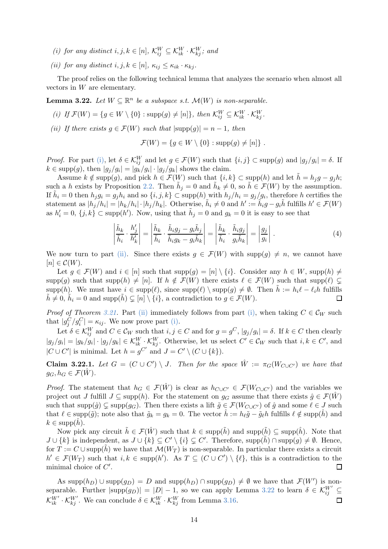- <span id="page-13-3"></span><span id="page-13-2"></span>(i) for any distinct  $i, j, k \in [n]$ ,  $\mathcal{K}_{ij}^W \subseteq \mathcal{K}_{ik}^W \cdot \mathcal{K}_{kj}^W$ ; and
- (ii) for any distinct  $i, j, k \in [n]$ ,  $\kappa_{ij} \leq \kappa_{ik} \cdot \kappa_{ki}$ .

<span id="page-13-4"></span>The proof relies on the following technical lemma that analyzes the scenario when almost all vectors in W are elementary.

<span id="page-13-0"></span>**Lemma 3.22.** Let  $W \subseteq \mathbb{R}^n$  be a subspace s.t.  $\mathcal{M}(W)$  is non-separable.

- <span id="page-13-1"></span>(i) If  $\mathcal{F}(W) = \{g \in W \setminus \{0\} : \text{supp}(g) \neq [n]\},\$  then  $\mathcal{K}_{ij}^W \subseteq \mathcal{K}_{ik}^W \cdot \mathcal{K}_{kj}^W$ .
- (ii) If there exists  $q \in \mathcal{F}(W)$  such that  $|\text{supp}(q)| = n 1$ , then

$$
\mathcal{F}(W) = \{ g \in W \setminus \{0\} : \text{supp}(g) \neq [n] \} .
$$

*Proof.* For part [\(i\),](#page-13-0) let  $\delta \in \mathcal{K}_{ij}^W$  and let  $g \in \mathcal{F}(W)$  such that  $\{i, j\} \subset \text{supp}(g)$  and  $|g_j/g_i| = \delta$ . If  $k \in \text{supp}(g)$ , then  $|g_j/g_i| = |g_k/g_i| \cdot |g_j/g_k|$  shows the claim.

Assume  $k \notin \text{supp}(g)$ , and pick  $h \in \mathcal{F}(W)$  such that  $\{i,k\} \subset \text{supp}(h)$  and let  $\tilde{h} = h_j g - g_j h$ ; such a h exists by Proposition [2.2.](#page-5-1) Then  $\tilde{h}_j = 0$  and  $\tilde{h}_k \neq 0$ , so  $\tilde{h} \in \mathcal{F}(W)$  by the assumption. If  $\tilde{h}_i = 0$  then  $h_j g_i = g_j h_i$  and so  $\{i, j, k\} \subset \text{supp}(h)$  with  $h_j/h_i = g_j/g_i$ , therefore h certifies the statement as  $|h_j/h_i| = |h_k/h_i| \cdot |h_j/h_k|$ . Otherwise,  $\tilde{h}_i \neq 0$  and  $h' := \tilde{h}_i g - g_i \tilde{h}$  fulfills  $h' \in \mathcal{F}(W)$ as  $h'_i = 0$ ,  $\{j, k\} \subset \text{supp}(h')$ . Now, using that  $\tilde{h}_j = 0$  and  $g_k = 0$  it is easy to see that

$$
\left| \frac{\tilde{h}_k}{\tilde{h}_i} \cdot \frac{h'_j}{h'_k} \right| = \left| \frac{\tilde{h}_k}{\tilde{h}_i} \cdot \frac{\tilde{h}_i g_j - g_i \tilde{h}_j}{\tilde{h}_i g_k - g_i \tilde{h}_k} \right| = \left| \frac{\tilde{h}_k}{\tilde{h}_i} \cdot \frac{\tilde{h}_i g_j}{g_i \tilde{h}_k} \right| = \left| \frac{g_j}{g_i} \right|.
$$
\n(4)

We now turn to part [\(ii\).](#page-13-1) Since there exists  $g \in \mathcal{F}(W)$  with  $\text{supp}(g) \neq n$ , we cannot have  $[n] \in \mathcal{C}(W)$ .

Let  $g \in \mathcal{F}(W)$  and  $i \in [n]$  such that  $\text{supp}(g) = [n] \setminus \{i\}$ . Consider any  $h \in W$ ,  $\text{supp}(h) \neq$ supp(g) such that supp(h)  $\neq [n]$ . If  $h \notin \mathcal{F}(W)$  there exists  $\ell \in \mathcal{F}(W)$  such that supp( $\ell$ )  $\subsetneq$ supp(h). We must have  $i \in \text{supp}(\ell)$ , since  $\text{supp}(\ell) \setminus \text{supp}(g) \neq \emptyset$ . Then  $\tilde{h} := h_i \ell - \ell_i h$  fulfills  $\tilde{h} \neq 0$ ,  $\tilde{h}_i = 0$  and  $\text{supp}(\tilde{h}) \subset [n] \setminus \{i\}$ , a contradiction to  $g \in \mathcal{F}(W)$ .  $\tilde{h} \neq 0$ ,  $\tilde{h}_i = 0$  and supp $(\tilde{h}) \subsetneq [n] \setminus \{i\}$ , a contradiction to  $g \in \mathcal{F}(W)$ .

*Proof of Theorem [3.21.](#page-12-6)* Part [\(ii\)](#page-13-2) immediately follows from part [\(i\),](#page-13-3) when taking  $C \in \mathcal{C}_W$  such that  $|g_j^C/g_i^C| = \kappa_{ij}$ . We now prove part [\(i\).](#page-13-3)

Let  $\delta \in \mathcal{K}_{ij}^W$  and  $C \in \mathcal{C}_W$  such that  $i, j \in C$  and for  $g = g^C$ ,  $|g_j/g_i| = \delta$ . If  $k \in C$  then clearly  $|g_j/g_i| = |g_k/g_i| \cdot |g_j/g_k| \in \mathcal{K}_{ik}^W \cdot \mathcal{K}_{kj}^W$ . Otherwise, let us select  $C' \in \mathcal{C}_W$  such that  $i, k \in C'$ , and  $|C \cup C'|$  is minimal. Let  $h = g^{C'}$  and  $J = C' \setminus (C \cup \{k\}).$ 

**Claim 3.22.1.** Let  $G = (C \cup C') \setminus J$ . Then for the space  $\hat{W} := \pi_G(W_{C \cup C'})$  we have that  $g_G, h_G \in \mathcal{F}(W)$ .

*Proof.* The statement that  $h_G \in \mathcal{F}(\hat{W})$  is clear as  $h_{C\cup C'} \in \mathcal{F}(W_{C\cup C'})$  and the variables we project out J fulfill  $J \subseteq \text{supp}(h)$ . For the statement on  $g_G$  assume that there exists  $\hat{g} \in \mathcal{F}(\hat{W})$ such that supp $(\hat{g}) \subsetneq \text{supp}(g_G)$ . Then there exists a lift  $\tilde{g} \in \mathcal{F}(W_{C \cup C'})$  of  $\hat{g}$  and some  $\ell \in J$  such that  $\ell \in \text{supp}(\tilde{g})$ ; note also that  $\tilde{g}_k = g_k = 0$ . The vector  $\hat{h} := h_\ell \tilde{g} - \tilde{g}_\ell h$  fulfills  $\ell \notin \text{supp}(h)$  and  $k \in \text{supp}(h)$ .

Now pick any circuit  $\tilde{h} \in \mathcal{F}(\hat{W})$  such that  $k \in \text{supp}(\tilde{h})$  and  $\text{supp}(\tilde{h}) \subseteq \text{supp}(\hat{h})$ . Note that  $J \cup \{k\}$  is independent, as  $J \cup \{k\} \subseteq C' \setminus \{i\} \subsetneq C'$ . Therefore, supp $(\tilde{h}) \cap \text{supp}(g) \neq \emptyset$ . Hence, for  $T := C \cup \text{supp}(\tilde{h})$  we have that  $\mathcal{M}(W_T)$  is non-separable. In particular there exists a circuit  $h' \in \mathcal{F}(W_T)$  such that  $i, k \in \text{supp}(h')$ . As  $T \subseteq (C \cup C') \setminus \{\ell\}$ , this is a contradiction to the minimal choice of  $C'$ .

As  $\text{supp}(h_D) \cup \text{supp}(g_D) = D$  and  $\text{supp}(h_D) \cap \text{supp}(g_D) \neq \emptyset$  we have that  $\mathcal{F}(W')$  is nonseparable. Further  $|\text{supp}(g_D)| = |D| - 1$ , so we can apply Lemma [3.22](#page-13-4) to learn  $\delta \in \mathcal{K}_{ij}^{W'} \subseteq$  $\mathcal{K}_{ik}^{W'} \cdot \mathcal{K}_{kj}^{W'}$ . We can conclude  $\delta \in \mathcal{K}_{ik}^{W} \cdot \mathcal{K}_{kj}^{W}$  from Lemma [3.16.](#page-11-5)  $\Box$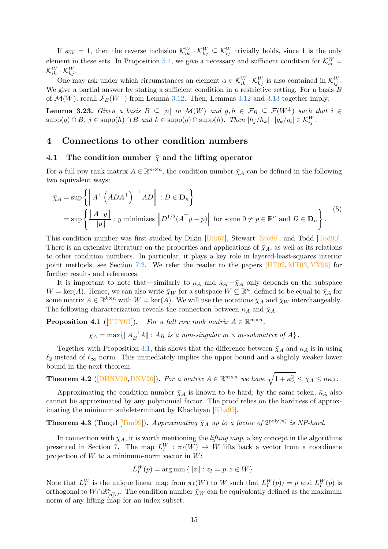If  $\kappa_W = 1$ , then the reverse inclusion  $\mathcal{K}_{ik}^W \cdot \mathcal{K}_{kj}^W \subseteq \mathcal{K}_{ij}^W$  trivially holds, since 1 is the only element in these sets. In Proposition [5.4,](#page-19-1) we give a necessary and sufficient condition for  $\mathcal{K}_{ij}^W$  =  $\mathcal{K}_{ik}^{W} \cdot \mathcal{K}_{kj}^{W}.$ 

One may ask under which circumstances an element  $\alpha \in \mathcal{K}_{ik}^W \cdot \mathcal{K}_{kj}^W$  is also contained in  $\mathcal{K}_{ij}^W$ . We give a partial answer by stating a sufficient condition in a restrictive setting. For a basis  $B$ of  $\mathcal{M}(W)$ , recall  $\mathcal{F}_B(W^{\perp})$  from Lemma [3.12.](#page-10-2) Then, Lemmas [3.12](#page-10-2) and [3.13](#page-10-3) together imply:

**Lemma 3.23.** Given a basis  $B \subseteq [n]$  in  $\mathcal{M}(W)$  and  $g, h \in \mathcal{F}_B \subseteq \mathcal{F}(W^{\perp})$  such that  $i \in$  $\text{supp}(g) \cap B$ ,  $j \in \text{supp}(h) \cap B$  and  $k \in \text{supp}(g) \cap \text{supp}(h)$ . Then  $|h_j/h_k| \cdot |g_k/g_i| \in \mathcal{K}_{ij}^W$ .

## <span id="page-14-1"></span><span id="page-14-0"></span>4 Connections to other condition numbers

### 4.1 The condition number  $\bar{\chi}$  and the lifting operator

For a full row rank matrix  $A \in \mathbb{R}^{m \times n}$ , the condition number  $\bar{\chi}_A$  can be defined in the following two equivalent ways:

$$
\bar{\chi}_A = \sup \left\{ \left\| A^{\top} \left( ADA^{\top} \right)^{-1} AD \right\| : D \in \mathbf{D}_n \right\}
$$
  
= 
$$
\sup \left\{ \frac{\| A^{\top} y \|}{\| p \|} : y \text{ minimizes } \left\| D^{1/2} (A^{\top} y - p) \right\| \text{ for some } 0 \neq p \in \mathbb{R}^n \text{ and } D \in \mathbf{D}_n \right\}.
$$
<sup>(5)</sup>

This condition number was first studied by Dikin [\[Dik67\]](#page-39-5), Stewart [\[Ste89\]](#page-42-2), and Todd [\[Tod90\]](#page-42-3). There is an extensive literature on the properties and applications of  $\bar{\chi}_A$ , as well as its relations to other condition numbers. In particular, it plays a key role in layered-least-squares interior point methods, see Section [7.2.](#page-25-0) We refer the reader to the papers [\[HT02,](#page-40-8) [MT03,](#page-41-4) [VY96\]](#page-42-1) for further results and references.

It is important to note that—similarly to  $\kappa_A$  and  $\dot{\kappa}_A-\bar{\chi}_A$  only depends on the subspace  $W = \text{ker}(A)$ . Hence, we can also write  $\bar{\chi}_W$  for a subspace  $W \subseteq \mathbb{R}^n$ , defined to be equal to  $\bar{\chi}_A$  for some matrix  $A \in \mathbb{R}^{k \times n}$  with  $W = \text{ker}(A)$ . We will use the notations  $\bar{\chi}_A$  and  $\bar{\chi}_W$  interchangeably. The following characterization reveals the connection between  $\kappa_A$  and  $\bar{\chi}_A$ .

**Proposition 4.1** ([\[TTY01\]](#page-42-4)). For a full row rank matrix  $A \in \mathbb{R}^{m \times n}$ ,

 $\bar{\chi}_A = \max\{\|A_B^{-1}A\| : A_B \text{ is a non-singular } m \times m\text{-submatrix of } A\}.$ 

Together with Proposition [3.1,](#page-6-2) this shows that the difference between  $\bar{\chi}_A$  and  $\kappa_A$  is in using  $\ell_2$  instead of  $\ell_{\infty}$  norm. This immediately implies the upper bound and a slightly weaker lower bound in the next theorem.

<span id="page-14-3"></span>**Theorem 4.2** ([\[DHNV20,](#page-38-1) [DNV20\]](#page-39-1)). For a matrix  $A \in \mathbb{R}^{m \times n}$  we have  $\sqrt{1 + \kappa_A^2} \leq \bar{\chi}_A \leq n\kappa_A$ .

Approximating the condition number  $\bar{\chi}_A$  is known to be hard; by the same token,  $\bar{\kappa}_A$  also cannot be approximated by any polynomial factor. The proof relies on the hardness of approximating the minimum subdeterminant by Khachiyan [\[Kha95\]](#page-40-7).

# <span id="page-14-2"></span>**Theorem 4.3** (Tunçel [\[Tun99\]](#page-42-5)). Approximating  $\bar{\chi}_A$  up to a factor of  $2^{\text{poly}(n)}$  is NP-hard.

In connection with  $\bar{\chi}_A$ , it is worth mentioning the *lifting map*, a key concept in the algorithms presented in Section [7.](#page-23-0) The map  $L_I^W : \pi_I(W) \to W$  lifts back a vector from a coordinate projection of  $W$  to a minimum-norm vector in  $W$ :

$$
L_I^W(p) = \arg \min \{ ||z|| : z_I = p, z \in W \}.
$$

Note that  $L_I^W$  is the unique linear map from  $\pi_I(W)$  to W such that  $L_I^W(p)_I = p$  and  $L_I^W(p)$  is orthogonal to  $W \cap \mathbb{R}^n_{[n] \setminus I}$ . The condition number  $\bar{\chi}_W$  can be equivalently defined as the maximum norm of any lifting map for an index subset.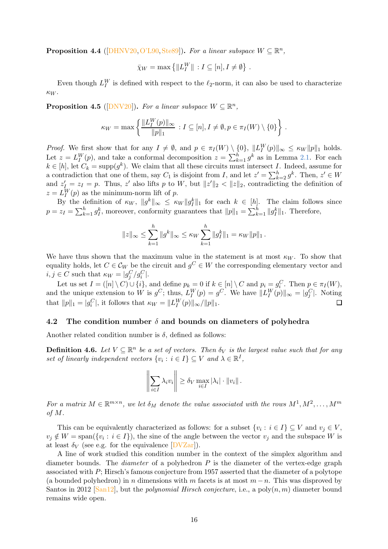**Proposition 4.4** ([\[DHNV20,](#page-38-1) [O'L90,](#page-41-5) [Ste89\]](#page-42-2)). For a linear subspace  $W \subseteq \mathbb{R}^n$ ,

$$
\bar{\chi}_W = \max \left\{ ||L_I^W|| : I \subseteq [n], I \neq \emptyset \right\} .
$$

<span id="page-15-1"></span>Even though  $L_I^W$  is defined with respect to the  $\ell_2$ -norm, it can also be used to characterize  $\kappa_W$ .

**Proposition 4.5** ([\[DNV20\]](#page-39-1)). For a linear subspace  $W \subseteq \mathbb{R}^n$ ,

$$
\kappa_W = \max\left\{ \frac{\|L_I^W(p)\|_{\infty}}{\|p\|_1} : I \subseteq [n], I \neq \emptyset, p \in \pi_I(W) \setminus \{0\} \right\}.
$$

*Proof.* We first show that for any  $I \neq \emptyset$ , and  $p \in \pi_I(W) \setminus \{0\}$ ,  $||L_I^W(p)||_{\infty} \leq \kappa_W ||p||_1$  holds. Let  $z = L_I^W(p)$ , and take a conformal decomposition  $z = \sum_{k=1}^h g^k$  as in Lemma [2.1.](#page-5-2) For each  $k \in [h]$ , let  $C_k = \text{supp}(g^k)$ . We claim that all these circuits must intersect I. Indeed, assume for a contradiction that one of them, say  $C_1$  is disjoint from I, and let  $z' = \sum_{k=2}^{h} g^k$ . Then,  $z' \in W$ and  $z'_{\overline{K}} = z_I = p$ . Thus, z' also lifts p to W, but  $||z'||_2 < ||z||_2$ , contradicting the definition of  $z = L_I^W(p)$  as the minimum-norm lift of p.

By the definition of  $\kappa_W$ ,  $||g^k||_{\infty} \leq \kappa_W ||g^k||_1$  for each  $k \in [h]$ . The claim follows since  $p = z_I = \sum_{k=1}^h g_I^k$ , moreover, conformity guarantees that  $||p||_1 = \sum_{k=1}^h ||g_I^k||_1$ . Therefore,

$$
||z||_{\infty} \leq \sum_{k=1}^{h} ||g^k||_{\infty} \leq \kappa_W \sum_{k=1}^{h} ||g_I^k||_1 = \kappa_W ||p||_1.
$$

We have thus shown that the maximum value in the statement is at most  $\kappa_W$ . To show that equality holds, let  $C \in \mathcal{C}_W$  be the circuit and  $g^C \in W$  the corresponding elementary vector and  $i, j \in C$  such that  $\kappa_W = |g_j^C/g_i^C|$ . j / 9 i

Let us set  $I = ([n] \setminus C) \cup \{i\}$ , and define  $p_k = 0$  if  $k \in [n] \setminus C$  and  $p_i = g_i^C$ . Then  $p \in \pi_I(W)$ , and the unique extension to W is  $g^C$ ; thus,  $L_I^W(p) = g^C$ . We have  $||L_I^W(p)||_{\infty} = |g_j^C|$ . Noting that  $||p||_1 = |g_i^C|$ , it follows that  $\kappa_W = ||L_I^W(p)||_{\infty}/||p||_1$ .

### <span id="page-15-0"></span>4.2 The condition number  $\delta$  and bounds on diameters of polyhedra

Another related condition number is  $\delta$ , defined as follows:

**Definition 4.6.** Let  $V \subseteq \mathbb{R}^n$  be a set of vectors. Then  $\delta_V$  is the largest value such that for any set of linearly independent vectors  $\{v_i : i \in I\} \subseteq V$  and  $\lambda \in \mathbb{R}^I$ ,

$$
\left\|\sum_{i\in I}\lambda_i v_i\right\| \ge \delta_V \max_{i\in I} |\lambda_i| \cdot \|v_i\|.
$$

For a matrix  $M \in \mathbb{R}^{m \times n}$ , we let  $\delta_M$  denote the value associated with the rows  $M^1, M^2, \ldots, M^m$ of M.

This can be equivalently characterized as follows: for a subset  $\{v_i : i \in I\} \subseteq V$  and  $v_j \in V$ ,  $v_j \notin W = \text{span}(\{v_i : i \in I\})$ , the sine of the angle between the vector  $v_j$  and the subspace W is at least  $\delta_V$  (see e.g. for the equivalence  $[DVZar]$ ).

A line of work studied this condition number in the context of the simplex algorithm and diameter bounds. The *diameter* of a polyhedron  $P$  is the diameter of the vertex-edge graph associated with P; Hirsch's famous conjecture from 1957 asserted that the diameter of a polytope (a bounded polyhedron) in n dimensions with m facets is at most  $m - n$ . This was disproved by Santos in 2012 [\[San12\]](#page-41-6), but the *polynomial Hirsch conjecture*, i.e., a  $poly(n, m)$  diameter bound remains wide open.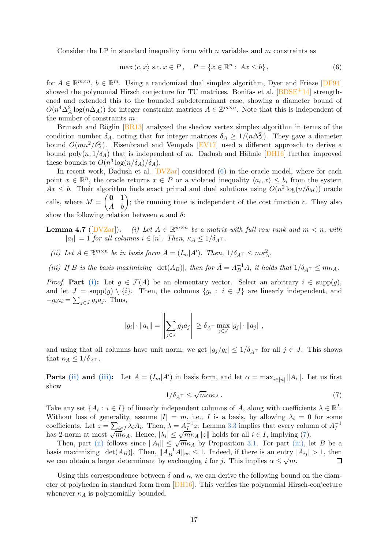Consider the LP in standard inequality form with  $n$  variables and  $m$  constraints as

<span id="page-16-1"></span>
$$
\max \langle c, x \rangle \text{ s.t. } x \in P, \quad P = \{x \in \mathbb{R}^n : Ax \le b\},\tag{6}
$$

for  $A \in \mathbb{R}^{m \times n}$ ,  $b \in \mathbb{R}^m$ . Using a randomized dual simplex algorithm, Dyer and Frieze [\[DF94\]](#page-38-4) showed the polynomial Hirsch conjecture for TU matrices. Bonifas et al. [\[BDSE](#page-38-5)+14] strengthened and extended this to the bounded subdeterminant case, showing a diameter bound of  $O(n^4\Delta_A^2 \log(n\Delta_A))$  for integer constraint matrices  $A \in \mathbb{Z}^{m \times n}$ . Note that this is independent of the number of constraints m.

Brunsch and Röglin  $[BR13]$  analyzed the shadow vertex simplex algorithm in terms of the condition number  $\delta_A$ , noting that for integer matrices  $\delta_A \geq 1/(n\Delta_A^2)$ . They gave a diameter bound  $O(mn^2/\delta_A^2)$ . Eisenbrand and Vempala [\[EV17\]](#page-39-7) used a different approach to derive a bound poly $(n, 1/\delta_A)$  that is independent of m. Dadush and Hähnle [\[DH16\]](#page-38-7) further improved these bounds to  $O(n^3 \log(n/\delta_A)/\delta_A)$ .

In recent work, Dadush et al.  $DVZar$  considered [\(6\)](#page-16-1) in the oracle model, where for each point  $x \in \mathbb{R}^n$ , the oracle returns  $x \in P$  or a violated inequality  $\langle a_i, x \rangle \leq b_i$  from the system  $Ax \leq b$ . Their algorithm finds exact primal and dual solutions using  $O(n^2 \log(n/\delta_M))$  oracle calls, where  $M = \begin{pmatrix} 0 & 1 \\ A & b \end{pmatrix}$ ; the running time is independent of the cost function c. They also show the following relation between  $\kappa$  and  $\delta$ :

- <span id="page-16-6"></span><span id="page-16-2"></span>**Lemma 4.7** ( $[DVZar]$ ). (i) Let  $A \in \mathbb{R}^{m \times n}$  be a matrix with full row rank and  $m < n$ , with  $||a_i|| = 1$  for all columns  $i \in [n]$ . Then,  $\kappa_A \leq 1/\delta_{A^{\top}}$ .
- <span id="page-16-4"></span><span id="page-16-3"></span>(ii) Let  $A \in \mathbb{R}^{m \times n}$  be in basis form  $A = (I_m | A')$ . Then,  $1/\delta_{A^\top} \leq m \kappa_A^2$ .
- (iii) If B is the basis maximizing  $|\det(A_B)|$ , then for  $\overline{A} = A_B^{-1}A$ , it holds that  $1/\delta_{\overline{A}} \leq m\kappa_A$ .

*Proof.* Part [\(i\):](#page-16-2) Let  $g \in \mathcal{F}(A)$  be an elementary vector. Select an arbitrary  $i \in \text{supp}(g)$ , and let  $J = \text{supp}(g) \setminus \{i\}$ . Then, the columns  $\{g_i : i \in J\}$  are linearly independent, and  $-g_i a_i = \sum_{j \in J} g_j a_j$ . Thus,

$$
|g_i| \cdot ||a_i|| = \left\| \sum_{j \in J} g_j a_j \right\| \ge \delta_{A^\top} \max_{j \in J} |g_j| \cdot ||a_j||,
$$

and using that all columns have unit norm, we get  $|g_j/g_i| \leq 1/\delta_{A^{\top}}$  for all  $j \in J$ . This shows that  $\kappa_A \leq 1/\delta_{A^{\top}}$ .

<span id="page-16-5"></span>**Parts [\(ii\)](#page-16-3) and [\(iii\):](#page-16-4)** Let  $A = (I_m | A')$  in basis form, and let  $\alpha = \max_{i \in [n]} ||A_i||$ . Let us first show

$$
1/\delta_{A^{\top}} \le \sqrt{m} \alpha \kappa_A \,. \tag{7}
$$

Take any set  $\{A_i : i \in I\}$  of linearly independent columns of A, along with coefficients  $\lambda \in \mathbb{R}^I$ . Without loss of generality, assume  $|I| = m$ , i.e., I is a basis, by allowing  $\lambda_i = 0$  for some coefficients. Let  $z = \sum_{i \in I} \lambda_i A_i$ . Then,  $\lambda = A_I^{-1} z$ . Lemma [3.3](#page-7-1) implies that every column of  $A_I^{-1}$ has 2-norm at most  $\sqrt{m\kappa_A}$ . Hence,  $|\lambda_i| \leq \sqrt{m\kappa_A} ||z||$  holds for all  $i \in I$ , implying [\(7\)](#page-16-5).

Then, part [\(ii\)](#page-16-3) follows since  $||A_i|| \leq \sqrt{m_{\kappa_A}}$  by Proposition [3.1.](#page-6-2) For part [\(iii\),](#page-16-4) let B be a basis maximizing  $|\det(A_B)|$ . Then,  $||A_B^{-1}A||_{\infty} \leq 1$ . Indeed, if there is an entry  $|A_{ij}| > 1$ , then we can obtain a larger determinant by exchanging i for j. This implies  $\alpha \leq \sqrt{m}$ .

<span id="page-16-0"></span>Using this correspondence between  $\delta$  and  $\kappa$ , we can derive the following bound on the diameter of polyhedra in standard form from [\[DH16\]](#page-38-7). This verifies the polynomial Hirsch-conjecture whenever  $\kappa_A$  is polynomially bounded.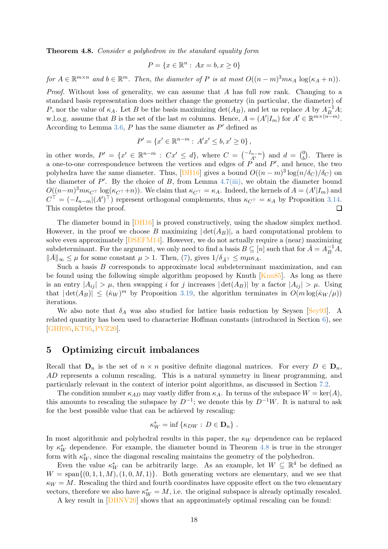Theorem 4.8. Consider a polyhedron in the standard equality form

$$
P = \{x \in \mathbb{R}^n : Ax = b, x \ge 0\}
$$

for  $A \in \mathbb{R}^{m \times n}$  and  $b \in \mathbb{R}^m$ . Then, the diameter of P is at most  $O((n-m)^3 m \kappa_A \log(\kappa_A + n))$ .

Proof. Without loss of generality, we can assume that A has full row rank. Changing to a standard basis representation does neither change the geometry (in particular, the diameter) of P, nor the value of  $\kappa_A$ . Let B be the basis maximizing  $\det(A_B)$ , and let us replace A by  $A_B^{-1}A$ ; w.l.o.g. assume that B is the set of the last m columns. Hence,  $A = (A'|I_m)$  for  $A' \in \mathbb{R}^{m \times (n-m)}$ . According to Lemma [3.6,](#page-8-2)  $P$  has the same diameter as  $P'$  defined as

$$
P' = \{x' \in \mathbb{R}^{n-m} : A'x' \le b, x' \ge 0\},\
$$

in other words,  $P' = \{x' \in \mathbb{R}^{n-m} : Cx' \leq d\}$ , where  $C = \begin{pmatrix} -I_{n-m} \\ A' \end{pmatrix}$  and  $d = \begin{pmatrix} 0 \\ b \end{pmatrix}$  $\binom{0}{b}$ . There is a one-to-one correspondence between the vertices and edges of  $P$  and  $P'$ , and hence, the two polyhedra have the same diameter. Thus, [\[DH16\]](#page-38-7) gives a bound  $O((n-m)^3 \log(n/\delta_C)/\delta_C)$  on the diameter of  $P'$ . By the choice of  $B$ , from Lemma [4.7](#page-16-6)[\(iii\),](#page-16-4) we obtain the diameter bound  $O((n-m)^3 m \kappa_{C^{\top}} \log(\kappa_{C^{\top}}+n))$ . We claim that  $\kappa_{C^{\top}} = \kappa_A$ . Indeed, the kernels of  $A = (A'|I_m)$  and  $C^{\top} = (-I_{n-m} | (A')^{\top})$  represent orthogonal complements, thus  $\kappa_{C^{\top}} = \kappa_A$  by Proposition [3.14.](#page-10-4) This completes the proof.  $\Box$ 

The diameter bound in [\[DH16\]](#page-38-7) is proved constructively, using the shadow simplex method. However, in the proof we choose B maximizing  $|\det(A_B)|$ , a hard computational problem to solve even approximately [\[DSEFM14\]](#page-39-4). However, we do not actually require a (near) maximizing subdeterminant. For the argument, we only need to find a basis  $B \subseteq [n]$  such that for  $\bar{A} = A^{-1}_B A$ ,  $\|\bar{A}\|_{\infty} \leq \mu$  for some constant  $\mu > 1$ . Then, [\(7\)](#page-16-5), gives  $1/\delta_{\bar{A}}\tau \leq m\mu\kappa_A$ .

Such a basis  $B$  corresponds to approximate local subdeterminant maximization, and can be found using the following simple algorithm proposed by Knuth [\[Knu85\]](#page-40-9). As long as there is an entry  $|A_{ii}| > \mu$ , then swapping i for j increases  $|\det(A_B)|$  by a factor  $|A_{ii}| > \mu$ . Using that  $|\det(A_B)| \leq (\dot{\kappa}_W)^m$  by Proposition [3.19,](#page-12-2) the algorithm terminates in  $O(m \log(\dot{\kappa}_W/\mu))$ iterations.

We also note that  $\delta_A$  was also studied for lattice basis reduction by Seysen [\[Sey93\]](#page-41-7). A related quantity has been used to characterize Hoffman constants (introduced in Section [6\)](#page-21-0), see [\[GHR95,](#page-40-10)[KT95,](#page-40-11)[PVZ20\]](#page-41-8).

## <span id="page-17-0"></span>5 Optimizing circuit imbalances

Recall that  $\mathbf{D}_n$  is the set of  $n \times n$  positive definite diagonal matrices. For every  $D \in \mathbf{D}_n$ , AD represents a column rescaling. This is a natural symmetry in linear programming, and particularly relevant in the context of interior point algorithms, as discussed in Section [7.2.](#page-25-0)

The condition number  $\kappa_{AD}$  may vastly differ from  $\kappa_A$ . In terms of the subspace  $W = \text{ker}(A)$ , this amounts to rescaling the subspace by  $D^{-1}$ ; we denote this by  $D^{-1}W$ . It is natural to ask for the best possible value that can be achieved by rescaling:

$$
\kappa_W^* = \inf \{ \kappa_{DW} : D \in \mathbf{D}_n \} .
$$

In most algorithmic and polyhedral results in this paper, the  $\kappa_W$  dependence can be replaced by  $\kappa_W^*$  dependence. For example, the diameter bound in Theorem [4.8](#page-16-0) is true in the stronger form with  $\kappa_W^*$ , since the diagonal rescaling maintains the geometry of the polyhedron.

Even the value  $\kappa_W^*$  can be arbitrarily large. As an example, let  $W \subseteq \mathbb{R}^4$  be defined as  $W = \text{span}\{(0, 1, 1, M), (1, 0, M, 1)\}.$  Both generating vectors are elementary, and we see that  $\kappa_W = M$ . Rescaling the third and fourth coordinates have opposite effect on the two elementary vectors, therefore we also have  $\kappa_W^* = M$ , i.e. the original subspace is already optimally rescaled.

<span id="page-17-1"></span>A key result in [\[DHNV20\]](#page-38-1) shows that an approximately optimal rescaling can be found: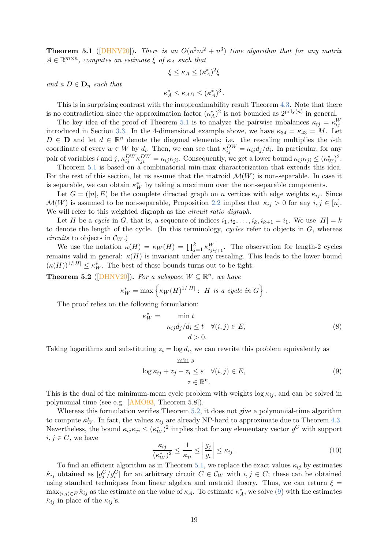**Theorem 5.1** ([\[DHNV20\]](#page-38-1)). There is an  $O(n^2m^2 + n^3)$  time algorithm that for any matrix  $A \in \mathbb{R}^{m \times n}$ , computes an estimate  $\xi$  of  $\kappa_A$  such that

$$
\xi \le \kappa_A \le (\kappa_A^*)^2 \xi
$$

and a  $D \in \mathbf{D}_n$  such that

$$
\kappa_A^* \leq \kappa_{AD} \leq (\kappa_A^*)^3.
$$

This is in surprising contrast with the inapproximability result Theorem [4.3.](#page-14-2) Note that there is no contradiction since the approximation factor  $(\kappa_A^*)^2$  is not bounded as  $2^{\text{poly}(n)}$  in general.

The key idea of the proof of Theorem [5.1](#page-17-1) is to analyze the pairwise imbalances  $\kappa_{ij} = \kappa_{ij}^W$ introduced in Section [3.3.](#page-9-0) In the 4-dimensional example above, we have  $\kappa_{34} = \kappa_{43} = M$ . Let  $D \in \mathbf{D}$  and let  $d \in \mathbb{R}^n$  denote the diagonal elements; i.e. the rescaling multiplies the *i*-th coordinate of every  $w \in W$  by  $d_i$ . Then, we can see that  $\kappa_{ij}^{DW} = \kappa_{ij} d_j/d_i$ . In particular, for any pair of variables *i* and *j*,  $\kappa_{ij}^{DW}\kappa_{ji}^{DW} = \kappa_{ij}\kappa_{ji}$ . Consequently, we get a lower bound  $\kappa_{ij}\kappa_{ji} \leq (\kappa_W^*)^2$ .

Theorem [5.1](#page-17-1) is based on a combinatorial min-max characterization that extends this idea. For the rest of this section, let us assume that the matroid  $\mathcal{M}(W)$  is non-separable. In case it is separable, we can obtain  $\kappa_W^*$  by taking a maximum over the non-separable components.

Let  $G = ([n], E)$  be the complete directed graph on n vertices with edge weights  $\kappa_{ij}$ . Since  $\mathcal{M}(W)$  is assumed to be non-separable, Proposition [2.2](#page-5-1) implies that  $\kappa_{ij} > 0$  for any  $i, j \in [n]$ . We will refer to this weighted digraph as the *circuit ratio digraph*.

Let H be a cycle in G, that is, a sequence of indices  $i_1, i_2, \ldots, i_k, i_{k+1} = i_1$ . We use  $|H| = k$ to denote the length of the cycle. (In this terminology, cycles refer to objects in  $G$ , whereas circuits to objects in  $\mathcal{C}_W$ .)

We use the notation  $\kappa(H) = \kappa_W(H) = \prod_{j=1}^k \kappa_{ij}^W_{i_j i_{j+1}}$ . The observation for length-2 cycles remains valid in general:  $\kappa(H)$  is invariant under any rescaling. This leads to the lower bound  $(\kappa(H))^{1/|H|} \leq \kappa_W^*$ . The best of these bounds turns out to be tight:

<span id="page-18-0"></span>**Theorem 5.2** ([\[DHNV20\]](#page-38-1)). For a subspace  $W \subseteq \mathbb{R}^n$ , we have

 $\kappa_V^*$ 

$$
\kappa_W^* = \max \left\{ \kappa_W(H)^{1/|H|} : H \text{ is a cycle in } G \right\}.
$$

The proof relies on the following formulation:

<span id="page-18-1"></span>
$$
\begin{aligned}\n\stackrel{\ast}{\mathbf{w}} &= \min t \\
\kappa_{ij} d_j / d_i &\le t \quad \forall (i, j) \in E, \\
d &> 0.\n\end{aligned} \tag{8}
$$

Taking logarithms and substituting  $z_i = \log d_i$ , we can rewrite this problem equivalently as min s

$$
\log \kappa_{ij} + z_j - z_i \leq s \quad \forall (i, j) \in E,
$$
  

$$
z \in \mathbb{R}^n.
$$
 (9)

This is the dual of the minimum-mean cycle problem with weights  $\log \kappa_{ij}$ , and can be solved in polynomial time (see e.g. [\[AMO93,](#page-38-8) Theorem 5.8]).

Whereas this formulation verifies Theorem [5.2,](#page-18-0) it does not give a polynomial-time algorithm to compute  $\kappa_W^*$ . In fact, the values  $\kappa_{ij}$  are already NP-hard to approximate due to Theorem [4.3.](#page-14-2) Nevertheless, the bound  $\kappa_{ij}\kappa_{ji} \leq (\kappa_W^*)^2$  implies that for any elementary vector  $g^C$  with support  $i, j \in C$ , we have

<span id="page-18-2"></span>
$$
\frac{\kappa_{ij}}{(\kappa_W^*)^2} \le \frac{1}{\kappa_{ji}} \le \left| \frac{g_j}{g_i} \right| \le \kappa_{ij} \,. \tag{10}
$$

To find an efficient algorithm as in Theorem [5.1,](#page-17-1) we replace the exact values  $\kappa_{ij}$  by estimates  $\hat{\kappa}_{ij}$  obtained as  $|g_j^C/g_i^C|$  for an arbitrary circuit  $C \in \mathcal{C}_W$  with  $i, j \in C$ ; these can be obtained using standard techniques from linear algebra and matroid theory. Thus, we can return  $\xi =$  $\max_{(i,j)\in E} \hat{\kappa}_{ij}$  as the estimate on the value of  $\kappa_A$ . To estimate  $\kappa_A^*$ , we solve [\(9\)](#page-18-1) with the estimates  $\hat{\kappa}_{ij}$  in place of the  $\kappa_{ij}$ 's.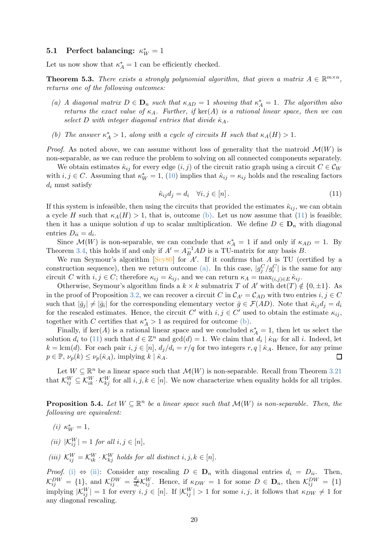# <span id="page-19-0"></span>**5.1** Perfect balancing:  $\kappa_W^* = 1$

<span id="page-19-8"></span>Let us now show that  $\kappa_A^* = 1$  can be efficiently checked.

<span id="page-19-4"></span>**Theorem 5.3.** There exists a strongly polynomial algorithm, that given a matrix  $A \in \mathbb{R}^{m \times n}$ , returns one of the following outcomes:

- (a) A diagonal matrix  $D \in \mathbf{D}_n$  such that  $\kappa_{AD} = 1$  showing that  $\kappa_A^* = 1$ . The algorithm also returns the exact value of  $\kappa_A$ . Further, if  $\ker(A)$  is a rational linear space, then we can select D with integer diagonal entries that divide  $\kappa_A$ .
- <span id="page-19-2"></span>(b) The answer  $\kappa_A^* > 1$ , along with a cycle of circuits H such that  $\kappa_A(H) > 1$ .

*Proof.* As noted above, we can assume without loss of generality that the matroid  $\mathcal{M}(W)$  is non-separable, as we can reduce the problem to solving on all connected components separately.

<span id="page-19-3"></span>We obtain estimates  $\hat{\kappa}_{ij}$  for every edge  $(i, j)$  of the circuit ratio graph using a circuit  $C \in \mathcal{C}_W$ with  $i, j \in C$ . Assuming that  $\kappa_W^* = 1$ , [\(10\)](#page-18-2) implies that  $\hat{\kappa}_{ij} = \kappa_{ij}$  holds and the rescaling factors  $d_i$  must satisfy

$$
\hat{\kappa}_{ij}d_j = d_i \quad \forall i, j \in [n]. \tag{11}
$$

If this system is infeasible, then using the circuits that provided the estimates  $\hat{\kappa}_{ij}$ , we can obtain a cycle H such that  $\kappa_A(H) > 1$ , that is, outcome [\(b\).](#page-19-2) Let us now assume that [\(11\)](#page-19-3) is feasible; then it has a unique solution d up to scalar multiplication. We define  $D \in D_n$  with diagonal entries  $D_{ii} = d_i$ .

Since  $\mathcal{M}(W)$  is non-separable, we can conclude that  $\kappa_A^* = 1$  if and only if  $\kappa_{AD} = 1$ . By Theorem [3.4,](#page-7-0) this holds if and only if  $A' = A_B^{-1}AD$  is a TU-matrix for any basis B.

We run Seymour's algorithm  $[Sey80]$  for  $A'$ . If it confirms that  $A$  is TU (certified by a construction sequence), then we return outcome [\(a\).](#page-19-4) In this case,  $|g_j^C/g_i^C|$  is the same for any circuit C with  $i, j \in C$ ; therefore  $\kappa_{ij} = \hat{\kappa}_{ij}$ , and we can return  $\kappa_A = \max_{(i,j) \in E} \hat{\kappa}_{ij}$ .

Otherwise, Seymour's algorithm finds a  $k \times k$  submatrix T of A' with det(T)  $\notin \{0, \pm 1\}$ . As in the proof of Proposition [3.2,](#page-6-1) we can recover a circuit C in  $C_{A'} = C_{AD}$  with two entries  $i, j \in C$ such that  $|\bar{g}_j| \neq |\bar{g}_i|$  for the corresponding elementary vector  $\bar{g} \in \mathcal{F}(AD)$ . Note that  $\hat{\kappa}_{ij}d_j = d_i$ for the rescaled estimates. Hence, the circuit  $C'$  with  $i, j \in C'$  used to obtain the estimate  $\kappa_{ij}$ , together with C certifies that  $\kappa_A^* > 1$  as required for outcome [\(b\).](#page-19-2)

Finally, if  $\ker(A)$  is a rational linear space and we concluded  $\kappa_A^* = 1$ , then let us select the solution  $d_i$  to [\(11\)](#page-19-3) such that  $d \in \mathbb{Z}^n$  and  $gcd(d) = 1$ . We claim that  $d_i | k_W$  for all i. Indeed, let  $k = \text{lcm}(d)$ . For each pair  $i, j \in [n]$ ,  $d_j/d_i = r/q$  for two integers  $r, q \mid \dot{\kappa}_A$ . Hence, for any prime  $p \in \mathbb{P}$ ,  $\nu_p(k) \leq \nu_p(\dot{\kappa}_A)$ , implying  $k \mid \dot{\kappa}_A$ .  $p \in \mathbb{P}, \nu_p(k) \leq \nu_p(\kappa_A),$  implying  $k | \kappa_A$ .

Let  $W \subseteq \mathbb{R}^n$  be a linear space such that  $\mathcal{M}(W)$  is non-separable. Recall from Theorem [3.21](#page-12-6) that  $\mathcal{K}_{ij}^W \subseteq \mathcal{K}_{ik}^W \cdot \mathcal{K}_{kj}^W$  for all  $i, j, k \in [n]$ . We now characterize when equality holds for all triples.

<span id="page-19-5"></span><span id="page-19-1"></span>**Proposition 5.4.** Let  $W \subseteq \mathbb{R}^n$  be a linear space such that  $\mathcal{M}(W)$  is non-separable. Then, the following are equivalent:

- <span id="page-19-6"></span>(*i*)  $\kappa_W^* = 1$ ,
- <span id="page-19-7"></span>(ii)  $|\mathcal{K}_{ij}^W| = 1$  for all  $i, j \in [n],$
- (iii)  $\mathcal{K}_{ij}^W = \mathcal{K}_{ik}^W \cdot \mathcal{K}_{kj}^W$  holds for all distinct  $i, j, k \in [n]$ .

*Proof.* [\(i\)](#page-19-5)  $\Leftrightarrow$  [\(ii\):](#page-19-6) Consider any rescaling  $D \in \mathbf{D}_n$  with diagonal entries  $d_i = D_{ii}$ . Then,  $\mathcal{K}_{ij}^{DW} = \{1\}$ , and  $\mathcal{K}_{ij}^{DW} = \frac{d_j}{d_i}$  $\frac{d_j}{d_i} \mathcal{K}_{ij}^W$ . Hence, if  $\kappa_{DW} = 1$  for some  $D \in \mathbf{D}_n$ , then  $\mathcal{K}_{ij}^{DW} = \{1\}$ implying  $|\mathcal{K}_{ij}^W| = 1$  for every  $i, j \in [n]$ . If  $|\mathcal{K}_{ij}^W| > 1$  for some  $i, j$ , it follows that  $\kappa_{DW} \neq 1$  for any diagonal rescaling.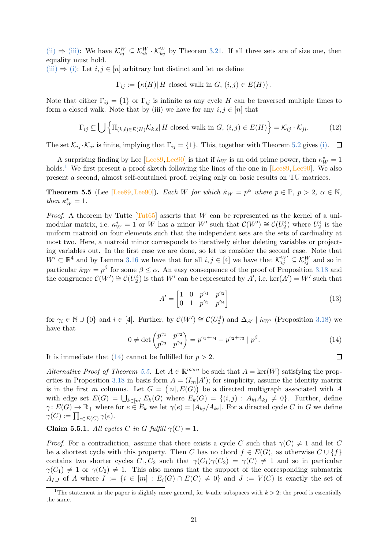[\(ii\)](#page-19-6)  $\Rightarrow$  [\(iii\):](#page-19-7) We have  $\mathcal{K}_{ij}^W \subseteq \mathcal{K}_{ik}^W \cdot \mathcal{K}_{kj}^W$  by Theorem [3.21.](#page-12-6) If all three sets are of size one, then equality must hold.

[\(iii\)](#page-19-7)  $\Rightarrow$  [\(i\):](#page-19-5) Let  $i, j \in [n]$  arbitrary but distinct and let us define

 $\Gamma_{ij} := {\kappa(H) | H \text{ closed walk in } G, (i,j) \in E(H)}$ .

Note that either  $\Gamma_{ij} = \{1\}$  or  $\Gamma_{ij}$  is infinite as any cycle H can be traversed multiple times to form a closed walk. Note that by (iii) we have for any  $i, j \in [n]$  that

$$
\Gamma_{ij} \subseteq \bigcup \left\{ \Pi_{(k,\ell) \in E(H)} \mathcal{K}_{k,\ell} | H \text{ closed walk in } G, (i,j) \in E(H) \right\} = \mathcal{K}_{ij} \cdot \mathcal{K}_{ji}.
$$
 (12)

The set  $\mathcal{K}_{ij} \cdot \mathcal{K}_{ji}$  is finite, implying that  $\Gamma_{ij} = \{1\}$ . This, together with Theorem [5.2](#page-18-0) gives [\(i\).](#page-19-5)  $\Box$ 

A surprising finding by Lee [Lee<sub>89</sub>, Lee<sub>90</sub>] is that if  $\kappa_W$  is an odd prime power, then  $\kappa_W^* = 1$ holds.<sup>1</sup> We first present a proof sketch following the lines of the one in  $[Lee89,Lee90]$  $[Lee89,Lee90]$ . We also present a second, almost self-contained proof, relying only on basic results on TU matrices.

<span id="page-20-1"></span>**Theorem 5.5** (Lee [Lee<sub>89, [Lee90\]](#page-40-12)). Each W for which  $\dot{\kappa}_W = p^{\alpha}$  where  $p \in \mathbb{P}$ ,  $p > 2$ ,  $\alpha \in \mathbb{N}$ ,</sub> then  $\kappa_W^* = 1$ .

*Proof.* A theorem by Tutte  $[Tut65]$  asserts that W can be represented as the kernel of a unimodular matrix, i.e.  $\kappa_W^* = 1$  or W has a minor W' such that  $\mathcal{C}(W') \cong \mathcal{C}(U_2^4)$  where  $U_2^4$  is the uniform matroid on four elements such that the independent sets are the sets of cardinality at most two. Here, a matroid minor corresponds to iteratively either deleting variables or projecting variables out. In the first case we are done, so let us consider the second case. Note that  $W' \subset \mathbb{R}^4$  and by Lemma [3.16](#page-11-5) we have that for all  $i, j \in [4]$  we have that  $\mathcal{K}_{ij}^{W'} \subseteq \mathcal{K}_{ij}^{W}$  and so in particular  $\kappa_{W'} = p^{\beta}$  for some  $\beta \leq \alpha$ . An easy consequence of the proof of Proposition [3.18](#page-11-1) and the congruence  $\mathcal{C}(W') \cong \mathcal{C}(U_2^4)$  is that  $W'$  can be represented by  $A'$ , i.e.  $\ker(A') = W'$  such that

$$
A' = \begin{bmatrix} 1 & 0 & p^{\gamma_1} & p^{\gamma_2} \\ 0 & 1 & p^{\gamma_3} & p^{\gamma_4} \end{bmatrix}
$$
 (13)

<span id="page-20-0"></span>for  $\gamma_i \in \mathbb{N} \cup \{0\}$  and  $i \in [4]$ . Further, by  $\mathcal{C}(W') \cong \mathcal{C}(U_2^4)$  and  $\Delta_{A'} \mid k_{W'}$  (Proposition [3.18\)](#page-11-1) we have that

$$
0 \neq \det \begin{pmatrix} p^{\gamma_1} & p^{\gamma_2} \\ p^{\gamma_3} & p^{\gamma_4} \end{pmatrix} = p^{\gamma_1 + \gamma_4} - p^{\gamma_2 + \gamma_3} \mid p^\beta.
$$
 (14)

It is immediate that [\(14\)](#page-20-0) cannot be fulfilled for  $p > 2$ .

Alternative Proof of Theorem [5.5.](#page-20-1) Let  $A \in \mathbb{R}^{m \times n}$  be such that  $A = \text{ker}(W)$  satisfying the prop-erties in Proposition [3.18](#page-11-1) in basis form  $A = (I_m | A')$ ; for simplicity, assume the identity matrix is in the first m columns. Let  $G = ([n], E(G))$  be a directed multigraph associated with A with edge set  $E(G) = \bigcup_{k \in [m]} E_k(G)$  where  $E_k(G) = \{(i,j) : A_{ki}A_{kj} \neq 0\}$ . Further, define  $\gamma: E(G) \to \mathbb{R}_+$  where for  $e \in E_k$  we let  $\gamma(e) = |A_{kj}/A_{ki}|$ . For a directed cycle C in G we define  $\gamma(C):=\prod_{e\in E(C)}\gamma(e).$ 

Claim 5.5.1. All cycles C in G fulfill  $\gamma(C) = 1$ .

*Proof.* For a contradiction, assume that there exists a cycle C such that  $\gamma(C) \neq 1$  and let C be a shortest cycle with this property. Then C has no chord  $f \in E(G)$ , as otherwise  $C \cup \{f\}$ contains two shorter cycles  $C_1, C_2$  such that  $\gamma(C_1)\gamma(C_2) = \gamma(C) \neq 1$  and so in particular  $\gamma(C_1) \neq 1$  or  $\gamma(C_2) \neq 1$ . This also means that the support of the corresponding submatrix  $A_{I,J}$  of A where  $I := \{i \in [m] : E_i(G) \cap E(C) \neq 0\}$  and  $J := V(C)$  is exactly the set of

 $\Box$ 

<sup>&</sup>lt;sup>1</sup>The statement in the paper is slightly more general, for k-adic subspaces with  $k > 2$ ; the proof is essentially the same.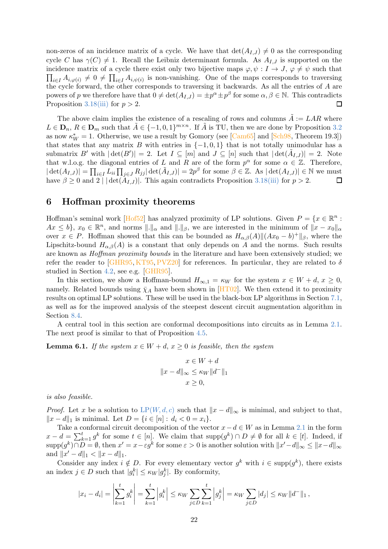non-zeros of an incidence matrix of a cycle. We have that  $\det(A_{I,J}) \neq 0$  as the corresponding cycle C has  $\gamma(C) \neq 1$ . Recall the Leibniz determinant formula. As  $A_{I,J}$  is supported on the incidence matrix of a cycle there exist only two bijective maps  $\varphi, \psi : I \to J$ ,  $\varphi \neq \psi$  such that  $\prod_{i\in I} A_{i,\varphi(i)} \neq 0 \neq \prod_{i\in I} A_{i,\psi(i)}$  is non-vanishing. One of the maps corresponds to traversing the cycle forward, the other corresponds to traversing it backwards. As all the entries of A are powers of p we therefore have that  $0 \neq \det(A_{I,J}) = \pm p^{\alpha} \pm p^{\beta}$  for some  $\alpha, \beta \in \mathbb{N}$ . This contradicts Proposition [3.18](#page-11-1)[\(iii\)](#page-11-4) for  $p > 2$ .

The above claim implies the existence of a rescaling of rows and columns  $\tilde{A} := LAR$  where  $L \in \mathbf{D}_n, R \in \mathbf{D}_m$  such that  $\tilde{A} \in \{-1, 0, 1\}^{m \times n}$ . If  $\tilde{A}$  is TU, then we are done by Proposition [3.2](#page-6-1) as now  $\kappa_W^* = 1$ . Otherwise, we use a result by Gomory (see [\[Cam65\]](#page-38-9) and [\[Sch98,](#page-41-2) Theorem 19.3]) that states that any matrix B with entries in  $\{-1,0,1\}$  that is not totally unimodular has a submatrix B' with  $|\det(B')|=2$ . Let  $I\subseteq [m]$  and  $J\subseteq [n]$  such that  $|\det(\tilde{A}_{I,J})|=2$ . Note that w.l.o.g. the diagonal entries of L and R are of the form  $p^{\alpha}$  for some  $\alpha \in \mathbb{Z}$ . Therefore,  $|\det(A_{I,J})| = \prod_{i \in I} L_{ii} \prod_{j \in J} R_{jj} |\det(\tilde{A}_{I,J})| = 2p^{\beta}$  for some  $\beta \in \mathbb{Z}$ . As  $|\det(A_{I,J})| \in \mathbb{N}$  we must have  $\beta \geq 0$  and  $2 \mid |\det(A_{I,J})|$ . This again contradicts Proposition [3.18](#page-11-1)[\(iii\)](#page-11-4) for  $p > 2$ .

## <span id="page-21-0"></span>6 Hoffman proximity theorems

Hoffman's seminal work [\[Hof52\]](#page-40-13) has analyzed proximity of LP solutions. Given  $P = \{x \in \mathbb{R}^n :$  $Ax \leq b$ ,  $x_0 \in \mathbb{R}^n$ , and norms  $\|.\|_{\alpha}$  and  $\|.\|_{\beta}$ , we are interested in the minimum of  $\|x - x_0\|_{\alpha}$ over  $x \in P$ . Hoffman showed that this can be bounded as  $H_{\alpha,\beta}(A) || (Ax_0 - b)^+ ||_{\beta}$ , where the Lipschitz-bound  $H_{\alpha,\beta}(A)$  is a constant that only depends on A and the norms. Such results are known as *Hoffman proximity bounds* in the literature and have been extensively studied; we refer the reader to [\[GHR95,](#page-40-10) [KT95,](#page-40-11) [PVZ20\]](#page-41-8) for references. In particular, they are related to  $\delta$ studied in Section [4.2,](#page-15-0) see e.g. [\[GHR95\]](#page-40-10).

In this section, we show a Hoffman-bound  $H_{\infty,1} = \kappa_W$  for the system  $x \in W + d, x \geq 0$ , namely. Related bounds using  $\bar{\chi}_A$  have been shown in [\[HT02\]](#page-40-8). We then extend it to proximity results on optimal LP solutions. These will be used in the black-box LP algorithms in Section [7.1,](#page-24-0) as well as for the improved analysis of the steepest descent circuit augmentation algorithm in Section [8.4.](#page-32-0)

<span id="page-21-1"></span>A central tool in this section are conformal decompositions into circuits as in Lemma [2.1.](#page-5-2) The next proof is similar to that of Proposition [4.5.](#page-15-1)

**Lemma 6.1.** If the system  $x \in W + d$ ,  $x \geq 0$  is feasible, then the system

$$
x \in W + d
$$

$$
||x - d||_{\infty} \le \kappa W ||d^{-}||_1
$$

$$
x \ge 0,
$$

is also feasible.

*Proof.* Let x be a solution to  $LP(W, d, c)$  $LP(W, d, c)$  $LP(W, d, c)$  such that  $||x - d||_{\infty}$  is minimal, and subject to that,  $||x - d||_1$  is minimal. Let  $D = \{i \in [n] : d_i < 0 = x_i\}.$ 

Take a conformal circuit decomposition of the vector  $x-d \in W$  as in Lemma [2.1](#page-5-2) in the form  $x - d = \sum_{k=1}^{t} g^k$  for some  $t \in [n]$ . We claim that  $\text{supp}(g^k) \cap D \neq \emptyset$  for all  $k \in [t]$ . Indeed, if  $\text{supp}(g^k) \cap D = \emptyset$ , then  $x' = x - \varepsilon g^k$  for some  $\varepsilon > 0$  is another solution with  $||x' - d||_{\infty} \le ||x - d||_{\infty}$ and  $||x'-d||_1 < ||x-d||_1$ .

Consider any index  $i \notin D$ . For every elementary vector  $g^k$  with  $i \in \text{supp}(g^k)$ , there exists an index  $j \in D$  such that  $|g_i^k| \leq \kappa_W |g_j^k|$ . By conformity,

$$
|x_i - d_i| = \left| \sum_{k=1}^t g_i^k \right| = \sum_{k=1}^t \left| g_i^k \right| \le \kappa_W \sum_{j \in D} \sum_{k=1}^t \left| g_j^k \right| = \kappa_W \sum_{j \in D} |d_j| \le \kappa_W \|d^-\|_1,
$$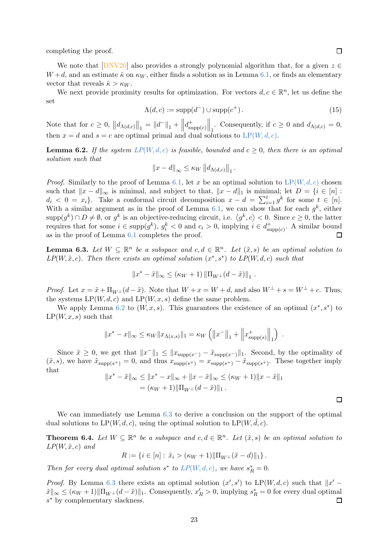completing the proof.

We note that  $[DNV20]$  also provides a strongly polynomial algorithm that, for a given  $z \in \mathbb{R}$  $W+d$ , and an estimate  $\hat{\kappa}$  on  $\kappa_W$ , either finds a solution as in Lemma [6.1,](#page-21-1) or finds an elementary vector that reveals  $\hat{\kappa} > \kappa_W$ .

We next provide proximity results for optimization. For vectors  $d, c \in \mathbb{R}^n$ , let us define the set

$$
\Lambda(d, c) := \text{supp}(d^-) \cup \text{supp}(c^+).
$$
\n(15)

<span id="page-22-0"></span>Note that for  $c \ge 0$ ,  $||d_{\Lambda(d,c)}||_1 = ||d^-||_1 + ||$  $d_{\rm cr}^+$  $\lim_{\text{supp}(c)} \left\| \lim_{t \to \infty} \text{Consequently, if } c \ge 0 \text{ and } d_{\Lambda(d,c)} = 0, \right\|$ then  $x = d$  and  $s = c$  are optimal primal and dual solutions to  $LP(W, d, c)$  $LP(W, d, c)$  $LP(W, d, c)$ .

**Lemma 6.2.** If the system  $LP(W, d, c)$  $LP(W, d, c)$  $LP(W, d, c)$  is feasible, bounded and  $c \geq 0$ , then there is an optimal solution such that

$$
||x-d||_{\infty} \leq \kappa_W ||d_{\Lambda(d,c)}||_1.
$$

*Proof.* Similarly to the proof of Lemma [6.1,](#page-21-1) let x be an optimal solution to  $LP(W, d, c)$  $LP(W, d, c)$  $LP(W, d, c)$  chosen such that  $||x - d||_{\infty}$  is minimal, and subject to that,  $||x - d||_1$  is minimal; let  $D = \{i \in [n] :$  $d_i < 0 = x_i$ . Take a conformal circuit decomposition  $x - d = \sum_{i=1}^t g^k$  for some  $t \in [n]$ . With a similar argument as in the proof of Lemma [6.1,](#page-21-1) we can show that for each  $g^k$ , either  $\text{supp}(g^k) \cap D \neq \emptyset$ , or  $g^k$  is an objective-reducing circuit, i.e.  $\langle g^k, c \rangle < 0$ . Since  $c \geq 0$ , the latter requires that for some  $i \in \text{supp}(g^k)$ ,  $g_i^k < 0$  and  $c_i > 0$ , implying  $i \in d_{\text{st}}^+$  $\zeta^+_{\text{supp}(c)}$ . A similar bound as in the proof of Lemma [6.1](#page-21-1) completes the proof.  $\Box$ 

<span id="page-22-1"></span>**Lemma 6.3.** Let  $W \subseteq \mathbb{R}^n$  be a subspace and  $c, d \in \mathbb{R}^n$ . Let  $(\tilde{x}, s)$  be an optimal solution to  $LP(W, \tilde{x}, c)$ . Then there exists an optimal solution  $(x^*, s^*)$  to  $LP(W, d, c)$  such that

$$
||x^* - \tilde{x}||_{\infty} \leq (\kappa_W + 1) ||\Pi_{W^{\perp}}(d - \tilde{x})||_1.
$$

*Proof.* Let  $x = \tilde{x} + \Pi_{W^{\perp}}(d - \tilde{x})$ . Note that  $W + x = W + d$ , and also  $W^{\perp} + s = W^{\perp} + c$ . Thus, the systems  $LP(W, d, c)$  and  $LP(W, x, s)$  define the same problem.

We apply Lemma [6.2](#page-22-0) to  $(W, x, s)$ . This guarantees the existence of an optimal  $(x^*, s^*)$  to  $LP(W, x, s)$  such that

$$
||x^* - x||_{\infty} \le \kappa_W ||x_{\Lambda(x,s)}||_1 = \kappa_W (||x^-||_1 + ||x^+_{\text{supp}(s)}||_1).
$$

Since  $\tilde{x} \geq 0$ , we get that  $||x||_1 \leq ||x_{\text{supp}(x-)} - \tilde{x}_{\text{supp}(x-)}||_1$ . Second, by the optimality of  $(\tilde{x}, s)$ , we have  $\tilde{x}_{\text{supp}(s^+)} = 0$ , and thus  $x_{\text{supp}(s^+)} = x_{\text{supp}(s^+)} - \tilde{x}_{\text{supp}(s^+)}$ . These together imply that

$$
||x^* - \tilde{x}||_{\infty} \le ||x^* - x||_{\infty} + ||x - \tilde{x}||_{\infty} \le (\kappa_W + 1) ||x - \tilde{x}||_1
$$
  
=  $(\kappa_W + 1) ||\Pi_{W^{\perp}}(d - \tilde{x})||_1$ .

<span id="page-22-2"></span>We can immediately use Lemma [6.3](#page-22-1) to derive a conclusion on the support of the optimal dual solutions to  $LP(W, d, c)$ , using the optimal solution to  $LP(W, d, c)$ .

**Theorem 6.4.** Let  $W \subseteq \mathbb{R}^n$  be a subspace and  $c, d \in \mathbb{R}^n$ . Let  $(\tilde{x}, s)$  be an optimal solution to  $LP(W, \tilde{x}, c)$  and

$$
R := \{ i \in [n] : \tilde{x}_i > (\kappa_W + 1) || \Pi_{W^{\perp}}(\tilde{x} - d) ||_1 \}.
$$

Then for every dual optimal solution  $s^*$  to  $LP(W, d, c)$  $LP(W, d, c)$  $LP(W, d, c)$ , we have  $s_R^* = 0$ .

*Proof.* By Lemma [6.3](#page-22-1) there exists an optimal solution  $(x', s')$  to  $LP(W, d, c)$  such that  $||x' \|\tilde{x}\|_{\infty} \leq (\kappa_W + 1) \|\Pi_{W^{\perp}}(d - \tilde{x})\|_1$ . Consequently,  $x'_R > 0$ , implying  $s_R^* = 0$  for every dual optimal s <sup>∗</sup> by complementary slackness. 口

 $\Box$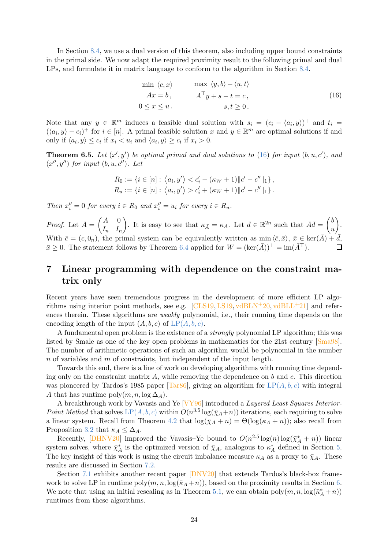In Section [8.4,](#page-32-0) we use a dual version of this theorem, also including upper bound constraints in the primal side. We now adapt the required proximity result to the following primal and dual LPs, and formulate it in matrix language to conform to the algorithm in Section [8.4.](#page-32-0)

<span id="page-23-1"></span>
$$
\min \langle c, x \rangle \qquad \max \langle y, b \rangle - \langle u, t \rangle
$$
  
\n
$$
Ax = b, \qquad A^{\top}y + s - t = c,
$$
  
\n
$$
0 \le x \le u.
$$
 (16)

Note that any  $y \in \mathbb{R}^m$  induces a feasible dual solution with  $s_i = (c_i - \langle a_i, y \rangle)^+$  and  $t_i =$  $(\langle a_i, y \rangle - c_i)^+$  for  $i \in [n]$ . A primal feasible solution x and  $y \in \mathbb{R}^m$  are optimal solutions if and only if  $\langle a_i, y \rangle \leq c_i$  if  $x_i < u_i$  and  $\langle a_i, y \rangle \geq c_i$  if  $x_i > 0$ .

<span id="page-23-2"></span>**Theorem 6.5.** Let  $(x', y')$  be optimal primal and dual solutions to [\(16\)](#page-23-1) for input  $(b, u, c')$ , and  $(x'', y'')$  for input  $(b, u, c'')$ . Let

$$
R_0 := \{ i \in [n] : \langle a_i, y' \rangle < c'_i - (\kappa_W + 1) ||c' - c''||_1 \},
$$
\n
$$
R_u := \{ i \in [n] : \langle a_i, y' \rangle > c'_i + (\kappa_W + 1) ||c' - c''||_1 \}.
$$

Then  $x''_i = 0$  for every  $i \in R_0$  and  $x''_i = u_i$  for every  $i \in R_u$ .

*Proof.* Let  $\bar{A} = \begin{pmatrix} A & 0 \\ I & I \end{pmatrix}$  $I_n$   $I_n$ ). It is easy to see that  $\kappa_{\bar{A}} = \kappa_A$ . Let  $\bar{d} \in \mathbb{R}^{2n}$  such that  $\bar{A}\bar{d} = \begin{pmatrix} b \\ u \end{pmatrix}$  $\overline{u}$  . With  $\bar{c} = (c, 0_n)$ , the primal system can be equivalently written as min  $\langle \bar{c}, \bar{x} \rangle$ ,  $\bar{x} \in \text{ker}(\bar{A}) + \bar{d}$ ,  $\bar{x} \geq 0$ . The statement follows by Theorem [6.4](#page-22-2) applied for  $W = (\ker(\bar{A}))^{\perp} = \text{im}(\bar{A}^{\top}).$ 

# <span id="page-23-0"></span>7 Linear programming with dependence on the constraint matrix only

Recent years have seen tremendous progress in the development of more efficient LP algorithms using interior point methods, see e.g.  $\left[CLS19, LS19, v\text{dBLN}+20, v\text{dBLL}+21\right]$  $\left[CLS19, LS19, v\text{dBLN}+20, v\text{dBLL}+21\right]$  $\left[CLS19, LS19, v\text{dBLN}+20, v\text{dBLL}+21\right]$  and references therein. These algorithms are *weakly* polynomial, i.e., their running time depends on the encoding length of the input  $(A, b, c)$  $(A, b, c)$  $(A, b, c)$  of  $LP(A, b, c)$ .

A fundamental open problem is the existence of a strongly polynomial LP algorithm; this was listed by Smale as one of the key open problems in mathematics for the 21st century [\[Sma98\]](#page-42-8). The number of arithmetic operations of such an algorithm would be polynomial in the number  $n$  of variables and  $m$  of constraints, but independent of the input length.

Towards this end, there is a line of work on developing algorithms with running time depending only on the constraint matrix  $A$ , while removing the dependence on  $b$  and  $c$ . This direction was pioneered by Tardos's 1985 paper [\[Tar86\]](#page-42-9), giving an algorithm for  $LP(A, b, c)$  $LP(A, b, c)$  $LP(A, b, c)$  with integral A that has runtime poly $(m, n, \log \Delta_A)$ .

A breakthrough work by Vavasis and Ye [\[VY96\]](#page-42-1) introduced a Layered Least Squares Interior-Point Method that solves  $LP(A, b, c)$  $LP(A, b, c)$  $LP(A, b, c)$  within  $O(n^{3.5} \log(\bar{\chi}_A+n))$  iterations, each requiring to solve a linear system. Recall from Theorem [4.2](#page-14-3) that  $\log(\bar{\chi}_A + n) = \Theta(\log(\kappa_A + n))$ ; also recall from Proposition [3.2](#page-6-1) that  $\kappa_A \leq \Delta_A$ .

Recently, [\[DHNV20\]](#page-38-1) improved the Vavasis–Ye bound to  $O(n^{2.5} \log(n) \log(\bar{\chi}_A^* + n))$  linear system solves, where  $\bar{\chi}^*_A$  is the optimized version of  $\bar{\chi}_A$ , analogous to  $\kappa^*_A$  defined in Section [5.](#page-17-0) The key insight of this work is using the circuit imbalance measure  $\kappa_A$  as a proxy to  $\bar{\chi}_A$ . These results are discussed in Section [7.2.](#page-25-0)

Section [7.1](#page-24-0) exhibits another recent paper [\[DNV20\]](#page-39-1) that extends Tardos's black-box framework to solve LP in runtime poly $(m, n, \log(\bar{k}_A + n))$ , based on the proximity results in Section [6.](#page-21-0) We note that using an initial rescaling as in Theorem [5.1,](#page-17-1) we can obtain  $\text{poly}(m, n, \log(\bar{\kappa}_A^*+n))$ runtimes from these algorithms.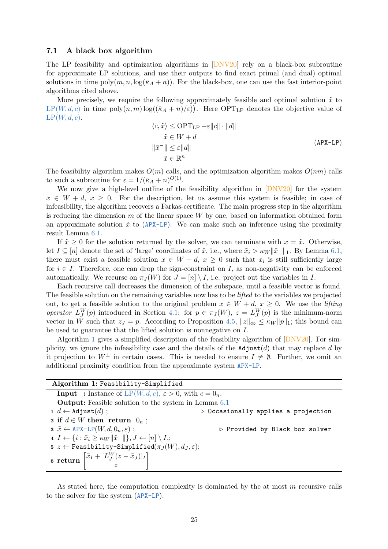### <span id="page-24-0"></span>7.1 A black box algorithm

The LP feasibility and optimization algorithms in [\[DNV20\]](#page-39-1) rely on a black-box subroutine for approximate LP solutions, and use their outputs to find exact primal (and dual) optimal solutions in time  $poly(m, n, \log(\bar{k}_A + n))$ . For the black-box, one can use the fast interior-point algorithms cited above.

<span id="page-24-1"></span>More precisely, we require the following approximately feasible and optimal solution  $\tilde{x}$  to  $LP(W, d, c)$  $LP(W, d, c)$  $LP(W, d, c)$  in time  $poly(n,m)log((\bar{k}_A + n)/\varepsilon))$ . Here  $OPT_{LP}$  denotes the objective value of  $LP(W, d, c)$  $LP(W, d, c)$  $LP(W, d, c)$ .

$$
\langle c, \tilde{x} \rangle \le \text{OPT}_{\text{LP}} + \varepsilon ||c|| \cdot ||d||
$$
  
\n
$$
\tilde{x} \in W + d
$$
  
\n
$$
||\tilde{x}|| \le \varepsilon ||d||
$$
  
\n
$$
\tilde{x} \in \mathbb{R}^n
$$
  
\n
$$
(APX-LP)
$$

The feasibility algorithm makes  $O(m)$  calls, and the optimization algorithm makes  $O(nm)$  calls to such a subroutine for  $\varepsilon = 1/(\bar{\kappa}_A + n)^{O(1)}$ .

We now give a high-level outline of the feasibility algorithm in [\[DNV20\]](#page-39-1) for the system  $x \in W + d, x \geq 0$ . For the description, let us assume this system is feasible; in case of infeasibility, the algorithm recovers a Farkas-certificate. The main progress step in the algorithm is reducing the dimension  $m$  of the linear space  $W$  by one, based on information obtained form an approximate solution  $\tilde{x}$  to ([APX-LP](#page-24-1)). We can make such an inference using the proximity result Lemma [6.1.](#page-21-1)

If  $\tilde{x} \geq 0$  for the solution returned by the solver, we can terminate with  $x = \tilde{x}$ . Otherwise, let  $I \subseteq [n]$  denote the set of 'large' coordinates of  $\tilde{x}$ , i.e., where  $\tilde{x}_i > \kappa_W ||\tilde{x}^-||_1$ . By Lemma [6.1,](#page-21-1) there must exist a feasible solution  $x \in W + d$ ,  $x \geq 0$  such that  $x_i$  is still sufficiently large for  $i \in I$ . Therefore, one can drop the sign-constraint on I, as non-negativity can be enforced automatically. We recurse on  $\pi_J(W)$  for  $J = [n] \setminus I$ , i.e. project out the variables in I.

Each recursive call decreases the dimension of the subspace, until a feasible vector is found. The feasible solution on the remaining variables now has to be *lifted* to the variables we projected out, to get a feasible solution to the original problem  $x \in W + d$ ,  $x \geq 0$ . We use the *lifting* operator  $L_J^W(p)$  introduced in Section [4.1:](#page-14-1) for  $p \in \pi_J(W)$ ,  $z = L_J^W(p)$  is the minimum-norm vector in W such that  $z_j = p$ . According to Proposition [4.5,](#page-15-1)  $||z||_{\infty} \leq \kappa_W ||p||_1$ ; this bound can be used to guarantee that the lifted solution is nonnegative on I.

Algorithm [1](#page-24-2) gives a simplified description of the feasibility algorithm of  $[DNV20]$ . For simplicity, we ignore the infeasibility case and the details of the  $\text{Adjust}(d)$  that may replace d by it projection to  $W^{\perp}$  in certain cases. This is needed to ensure  $I \neq \emptyset$ . Further, we omit an additional proximity condition from the approximate system [APX-LP](#page-24-1).

<span id="page-24-2"></span>

| Algorithm 1: Feasibility-Simplified                                                                   |                                                    |  |  |  |
|-------------------------------------------------------------------------------------------------------|----------------------------------------------------|--|--|--|
|                                                                                                       |                                                    |  |  |  |
| <b>Input</b> : Instance of LP(W, d, c), $\varepsilon > 0$ , with $c = 0_n$ .                          |                                                    |  |  |  |
| <b>Output:</b> Feasible solution to the system in Lemma 6.1                                           |                                                    |  |  |  |
| $1 d \leftarrow$ Adjust $(d)$ ;                                                                       | $\triangleright$ Occasionally applies a projection |  |  |  |
| 2 if $d \in W$ then return $0_n$ ;                                                                    |                                                    |  |  |  |
| $\mathfrak{s} \tilde{x} \leftarrow \text{APX-LP}(W, d, 0_n, \varepsilon)$ ;                           | $\triangleright$ Provided by Black box solver      |  |  |  |
| 4 $I \leftarrow \{i : \tilde{x}_i \geq \kappa_W   \tilde{x}^-\Vert\}, J \leftarrow [n] \setminus I$ ; |                                                    |  |  |  |
| 5 $z \leftarrow$ Feasibility-Simplified( $\pi_J(W), d_J, \varepsilon$ );                              |                                                    |  |  |  |
| 6 return $\begin{bmatrix} \tilde{x}_I + [L_J^W(z - \tilde{x}_J)]_I \\ z \end{bmatrix}$                |                                                    |  |  |  |

As stated here, the computation complexity is dominated by the at most  $m$  recursive calls to the solver for the system ([APX-LP](#page-24-1)).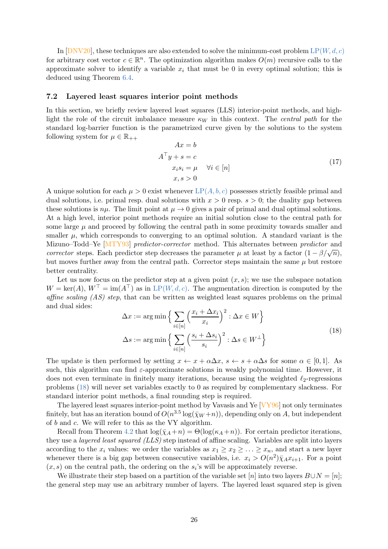In [\[DNV20\]](#page-39-1), these techniques are also extended to solve the minimum-cost problem  $LP(W, d, c)$  $LP(W, d, c)$  $LP(W, d, c)$ for arbitrary cost vector  $c \in \mathbb{R}^n$ . The optimization algorithm makes  $O(m)$  recursive calls to the approximate solver to identify a variable  $x_i$  that must be 0 in every optimal solution; this is deduced using Theorem [6.4.](#page-22-2)

### <span id="page-25-0"></span>7.2 Layered least squares interior point methods

In this section, we briefly review layered least squares (LLS) interior-point methods, and highlight the role of the circuit imbalance measure  $\kappa_W$  in this context. The *central path* for the standard log-barrier function is the parametrized curve given by the solutions to the system following system for  $\mu \in \mathbb{R}_{++}$ 

$$
Ax = b
$$
  
\n
$$
A^{\top}y + s = c
$$
  
\n
$$
x_i s_i = \mu \quad \forall i \in [n]
$$
  
\n
$$
x, s > 0
$$
\n(17)

A unique solution for each  $\mu > 0$  exist whenever  $LP(A, b, c)$  $LP(A, b, c)$  $LP(A, b, c)$  possesses strictly feasible primal and dual solutions, i.e. primal resp. dual solutions with  $x > 0$  resp.  $s > 0$ ; the duality gap between these solutions is  $n\mu$ . The limit point at  $\mu \to 0$  gives a pair of primal and dual optimal solutions. At a high level, interior point methods require an initial solution close to the central path for some large  $\mu$  and proceed by following the central path in some proximity towards smaller and smaller  $\mu$ , which corresponds to converging to an optimal solution. A standard variant is the Mizuno–Todd–Ye [\[MTY93\]](#page-41-10) predictor-corrector method. This alternates between predictor and corrector steps. Each predictor step decreases the parameter  $\mu$  at least by a factor  $(1 - \beta/\sqrt{n})$ , but moves further away from the central path. Corrector steps maintain the same  $\mu$  but restore better centrality.

Let us now focus on the predictor step at a given point  $(x, s)$ ; we use the subspace notation  $W = \text{ker}(A), W^{\top} = \text{im}(A^{\top})$  as in LP([W, d, c](#page-5-3)). The augmentation direction is computed by the affine scaling (AS) step, that can be written as weighted least squares problems on the primal and dual sides:

<span id="page-25-1"></span>
$$
\Delta x := \arg \min \left\{ \sum_{i \in [n]} \left( \frac{x_i + \Delta x_i}{x_i} \right)^2 : \Delta x \in W \right\}
$$
  

$$
\Delta s := \arg \min \left\{ \sum_{i \in [n]} \left( \frac{s_i + \Delta s_i}{s_i} \right)^2 : \Delta s \in W^\perp \right\}
$$
 (18)

The update is then performed by setting  $x \leftarrow x + \alpha \Delta x$ ,  $s \leftarrow s + \alpha \Delta s$  for some  $\alpha \in [0,1]$ . As such, this algorithm can find  $\varepsilon$ -approximate solutions in weakly polynomial time. However, it does not even terminate in finitely many iterations, because using the weighted  $\ell_2$ -regressions problems [\(18\)](#page-25-1) will never set variables exactly to 0 as required by complementary slackness. For standard interior point methods, a final rounding step is required.

The layered least squares interior-point method by Vavasis and Ye [\[VY96\]](#page-42-1) not only terminates finitely, but has an iteration bound of  $O(n^{3.5}\log(\bar{\chi}_W+n))$ , depending only on A, but independent of b and c. We will refer to this as the VY algorithm.

Recall from Theorem [4.2](#page-14-3) that  $\log(\bar{\chi}_A + n) = \Theta(\log(\kappa_A + n))$ . For certain predictor iterations, they use a layered least squared (LLS) step instead of affine scaling. Variables are split into layers according to the  $x_i$  values: we order the variables as  $x_1 \ge x_2 \ge \ldots \ge x_n$ , and start a new layer whenever there is a big gap between consecutive variables, i.e.  $x_i > O(n^2)\overline{\chi}_A x_{i+1}$ . For a point  $(x, s)$  on the central path, the ordering on the  $s_i$ 's will be approximately reverse.

We illustrate their step based on a partition of the variable set [n] into two layers  $B\cup N = [n]$ ; the general step may use an arbitrary number of layers. The layered least squared step is given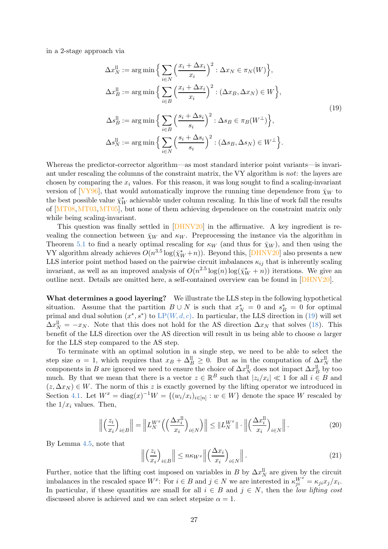in a 2-stage approach via

<span id="page-26-0"></span>
$$
\Delta x_N^{\text{ll}} := \arg \min \Big\{ \sum_{i \in N} \Big( \frac{x_i + \Delta x_i}{x_i} \Big)^2 : \Delta x_N \in \pi_N(W) \Big\},
$$
  

$$
\Delta x_B^{\text{ll}} := \arg \min \Big\{ \sum_{i \in B} \Big( \frac{x_i + \Delta x_i}{x_i} \Big)^2 : (\Delta x_B, \Delta x_N) \in W \Big\},
$$
  

$$
\Delta s_B^{\text{ll}} := \arg \min \Big\{ \sum_{i \in B} \Big( \frac{s_i + \Delta s_i}{s_i} \Big)^2 : \Delta s_B \in \pi_B(W^\perp) \Big\},
$$
  

$$
\Delta s_N^{\text{ll}} := \arg \min \Big\{ \sum_{i \in N} \Big( \frac{s_i + \Delta s_i}{s_i} \Big)^2 : (\Delta s_B, \Delta s_N) \in W^\perp \Big\}.
$$
 (19)

Whereas the predictor-corrector algorithm—as most standard interior point variants—is invariant under rescaling the columns of the constraint matrix, the VY algorithm is not: the layers are chosen by comparing the  $x_i$  values. For this reason, it was long sought to find a scaling-invariant version of  $[\sqrt{VY96}]$ , that would automatically improve the running time dependence from  $\bar{\chi}_W$  to the best possible value  $\bar{\chi}_W^*$  achievable under column rescaling. In this line of work fall the results of [\[MT08,](#page-41-11)[MT03,](#page-41-4)[MT05\]](#page-41-12), but none of them achieving dependence on the constraint matrix only while being scaling-invariant.

This question was finally settled in  $[DHNV20]$  in the affirmative. A key ingredient is revealing the connection between  $\bar{\chi}_W$  and  $\kappa_W$ . Preprocessing the instance via the algorithm in Theorem [5.1](#page-17-1) to find a nearly optimal rescaling for  $\kappa_W$  (and thus for  $\bar{\chi}_W$ ), and then using the VY algorithm already achieves  $O(n^{3.5} \log(\bar{\chi}_W^*+n))$ . Beyond this, [\[DHNV20\]](#page-38-1) also presents a new LLS interior point method based on the pairwise circuit imbalances  $\kappa_{ij}$  that is inherently scaling invariant, as well as an improved analysis of  $O(n^{2.5} \log(n) \log(\bar{\chi}_W^*+n))$  iterations. We give an outline next. Details are omitted here, a self-contained overview can be found in [\[DHNV20\]](#page-38-1).

What determines a good layering? We illustrate the LLS step in the following hypothetical situation. Assume that the partition  $B \cup N$  is such that  $x_N^* = 0$  and  $s_B^* = 0$  for optimal primal and dual solution  $(x^*, s^*)$  to  $LP(W, d, c)$  $LP(W, d, c)$  $LP(W, d, c)$ . In particular, the LLS direction in [\(19\)](#page-26-0) will set  $\Delta x_N^{\text{ll}} = -x_N$ . Note that this does not hold for the AS direction  $\Delta x_N$  that solves [\(18\)](#page-25-1). This benefit of the LLS direction over the AS direction will result in us being able to choose  $\alpha$  larger for the LLS step compared to the AS step.

To terminate with an optimal solution in a single step, we need to be able to select the step size  $\alpha = 1$ , which requires that  $x_B + \Delta_B^{\parallel} \geq 0$ . But as in the computation of  $\Delta x_N^{\parallel}$  the components in B are ignored we need to ensure the choice of  $\Delta x_N^{\text{ll}}$  does not impact  $\Delta x_B^{\text{ll}}$  by too much. By that we mean that there is a vector  $z \in \mathbb{R}^B$  such that  $|z_i/x_i| \ll 1$  for all  $i \in B$  and  $(z, \Delta x_N) \in W$ . The norm of this z is exactly governed by the lifting operator we introduced in Section [4.1.](#page-14-1) Let  $W^x = \text{diag}(x)^{-1}W = \{(w_i/x_i)_{i \in [n]} : w \in W\}$  denote the space W rescaled by the  $1/x_i$  values. Then,

$$
\left\| \left( \frac{z_i}{x_i} \right)_{i \in B} \right\| = \left\| L_N^{W^x} \left( \left( \frac{\Delta x_i^{\mathrm{ll}}}{x_i} \right)_{i \in N} \right) \right\| \leq \| L_N^{W^x} \| \cdot \left\| \left( \frac{\Delta x_i^{\mathrm{ll}}}{x_i} \right)_{i \in N} \right\|.
$$
 (20)

By Lemma [4.5,](#page-15-1) note that

$$
\left\| \left( \frac{z_i}{x_i} \right)_{i \in B} \right\| \le n \kappa_{W^x} \left\| \left( \frac{\Delta x_i}{x_i} \right)_{i \in N} \right\|.
$$
\n(21)

Further, notice that the lifting cost imposed on variables in B by  $\Delta x_N^{\text{ll}}$  are given by the circuit imbalances in the rescaled space  $W^x$ : For  $i \in B$  and  $j \in N$  we are interested in  $\kappa_{ji}^{W^x} = \kappa_{ji} x_j / x_i$ . In particular, if these quantities are small for all  $i \in B$  and  $j \in N$ , then the low lifting cost discussed above is achieved and we can select stepsize  $\alpha = 1$ .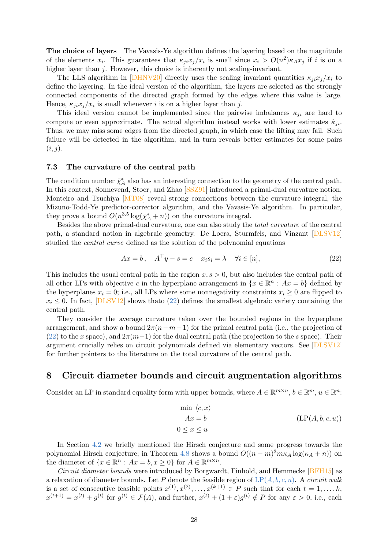The choice of layers The Vavasis-Ye algorithm defines the layering based on the magnitude of the elements  $x_i$ . This guarantees that  $\kappa_{ji} x_j/x_i$  is small since  $x_i > O(n^2) \kappa_A x_j$  if i is on a higher layer than j. However, this choice is inherently not scaling-invariant.

The LLS algorithm in [\[DHNV20\]](#page-38-1) directly uses the scaling invariant quantities  $\kappa_{ii}x_i/x_i$  to define the layering. In the ideal version of the algorithm, the layers are selected as the strongly connected components of the directed graph formed by the edges where this value is large. Hence,  $\kappa_{ji} x_j/x_i$  is small whenever *i* is on a higher layer than *j*.

This ideal version cannot be implemented since the pairwise imbalances  $\kappa_{ii}$  are hard to compute or even approximate. The actual algorithm instead works with lower estimates  $\hat{\kappa}_{ji}$ . Thus, we may miss some edges from the directed graph, in which case the lifting may fail. Such failure will be detected in the algorithm, and in turn reveals better estimates for some pairs  $(i, j).$ 

### <span id="page-27-0"></span>7.3 The curvature of the central path

The condition number  $\bar{\chi}_A^*$  also has an interesting connection to the geometry of the central path. In this context, Sonnevend, Stoer, and Zhao [\[SSZ91\]](#page-42-10) introduced a primal-dual curvature notion. Monteiro and Tsuchiya [\[MT08\]](#page-41-11) reveal strong connections between the curvature integral, the Mizuno-Todd-Ye predictor-corrector algorithm, and the Vavasis-Ye algorithm. In particular, they prove a bound  $O(n^{3.5} \log(\bar{\chi}_A^* + n))$  on the curvature integral.

Besides the above primal-dual curvature, one can also study the total curvature of the central path, a standard notion in algebraic geometry. De Loera, Sturmfels, and Vinzant [\[DLSV12\]](#page-39-8) studied the central curve defined as the solution of the polynomial equations

<span id="page-27-2"></span>
$$
Ax = b, \quad A^{\top}y - s = c \quad x_i s_i = \lambda \quad \forall i \in [n], \tag{22}
$$

This includes the usual central path in the region  $x, s > 0$ , but also includes the central path of all other LPs with objective c in the hyperplane arrangement in  $\{x \in \mathbb{R}^n : Ax = b\}$  defined by the hyperplanes  $x_i = 0$ ; i.e., all LPs where some nonnegativity constraints  $x_i \geq 0$  are flipped to  $x_i \leq 0$ . In fact, [\[DLSV12\]](#page-39-8) shows thato [\(22\)](#page-27-2) defines the smallest algebraic variety containing the central path.

They consider the average curvature taken over the bounded regions in the hyperplane arrangement, and show a bound  $2\pi(n-m-1)$  for the primal central path (i.e., the projection of [\(22\)](#page-27-2) to the x space), and  $2\pi(m-1)$  for the dual central path (the projection to the s space). Their argument crucially relies on circuit polynomials defined via elementary vectors. See [\[DLSV12\]](#page-39-8) for further pointers to the literature on the total curvature of the central path.

## <span id="page-27-1"></span>8 Circuit diameter bounds and circuit augmentation algorithms

Consider an LP in standard equality form with upper bounds, where  $A \in \mathbb{R}^{m \times n}$ ,  $b \in \mathbb{R}^m$ ,  $u \in \mathbb{R}^n$ :

<span id="page-27-3"></span>
$$
\min \langle c, x \rangle
$$
  
 
$$
Ax = b
$$
  
 
$$
0 \le x \le u
$$
  
 
$$
(LP(A, b, c, u))
$$

In Section [4.2](#page-15-0) we briefly mentioned the Hirsch conjecture and some progress towards the polynomial Hirsch conjecture; in Theorem [4.8](#page-16-0) shows a bound  $O((n-m)^3 m \kappa_A \log(\kappa_A + n))$  on the diameter of  $\{x \in \mathbb{R}^n : Ax = b, x \ge 0\}$  for  $A \in \mathbb{R}^{m \times n}$ .

Circuit diameter bounds were introduced by Borgwardt, Finhold, and Hemmecke [\[BFH15\]](#page-38-11) as a relaxation of diameter bounds. Let P denote the feasible region of  $LP(A, b, c, u)$  $LP(A, b, c, u)$  $LP(A, b, c, u)$ . A circuit walk is a set of consecutive feasible points  $x^{(1)}, x^{(2)}, \ldots, x^{(k+1)} \in P$  such that for each  $t = 1, \ldots, k$ ,  $x^{(t+1)} = x^{(t)} + g^{(t)}$  for  $g^{(t)} \in \mathcal{F}(A)$ , and further,  $x^{(t)} + (1 + \varepsilon)g^{(t)} \notin P$  for any  $\varepsilon > 0$ , i.e., each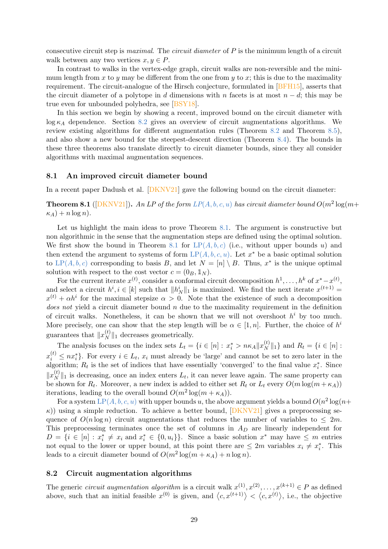consecutive circuit step is *maximal.* The *circuit diameter* of  $P$  is the minimum length of a circuit walk between any two vertices  $x, y \in P$ .

In contrast to walks in the vertex-edge graph, circuit walks are non-reversible and the minimum length from x to y may be different from the one from y to x; this is due to the maximality requirement. The circuit-analogue of the Hirsch conjecture, formulated in [\[BFH15\]](#page-38-11), asserts that the circuit diameter of a polytope in d dimensions with n facets is at most  $n - d$ ; this may be true even for unbounded polyhedra, see [\[BSY18\]](#page-38-12).

In this section we begin by showing a recent, improved bound on the circuit diameter with  $\log \kappa_A$  dependence. Section [8.2](#page-28-1) gives an overview of circuit augmentations algorithms. We review existing algorithms for different augmentation rules (Theorem [8.2](#page-30-1) and Theorem [8.5\)](#page-31-2), and also show a new bound for the steepest-descent direction (Theorem [8.4\)](#page-31-1). The bounds in these three theorems also translate directly to circuit diameter bounds, since they all consider algorithms with maximal augmentation sequences.

### <span id="page-28-0"></span>8.1 An improved circuit diameter bound

<span id="page-28-2"></span>In a recent paper Dadush et al. [\[DKNV21\]](#page-39-9) gave the following bound on the circuit diameter:

**Theorem 8.1** ([\[DKNV21\]](#page-39-9)). An LP of the form  $LP(A, b, c, u)$  $LP(A, b, c, u)$  $LP(A, b, c, u)$  has circuit diameter bound  $O(m^2 \log(m +$  $\kappa_A$ ) + n log n).

Let us highlight the main ideas to prove Theorem [8.1.](#page-28-2) The argument is constructive but non algorithmic in the sense that the augmentation steps are defined using the optimal solution. We first show the bound in Theorem [8.1](#page-28-2) for  $LP(A, b, c)$  $LP(A, b, c)$  $LP(A, b, c)$  (i.e., without upper bounds u) and then extend the argument to systems of form  $LP(A, b, c, u)$  $LP(A, b, c, u)$  $LP(A, b, c, u)$ . Let  $x^*$  be a basic optimal solution to LP([A, b, c](#page-4-1)) corresponding to basis B, and let  $N = [n] \setminus B$ . Thus,  $x^*$  is the unique optimal solution with respect to the cost vector  $c = (0_B, \mathbb{1}_N)$ .

For the current iterate  $x^{(t)}$ , consider a conformal circuit decomposition  $h^1, \ldots, h^k$  of  $x^* - x^{(t)}$ , and select a circuit  $h^i, i \in [k]$  such that  $||h^i_N||_1$  is maximized. We find the next iterate  $x^{(t+1)} =$  $x^{(t)} + \alpha h^i$  for the maximal stepsize  $\alpha > 0$ . Note that the existence of such a decomposition *does not* yield a circuit diameter bound  $n$  due to the maximality requirement in the definition of circuit walks. Nonetheless, it can be shown that we will not overshoot  $h^i$  by too much. More precisely, one can show that the step length will be  $\alpha \in [1, n]$ . Further, the choice of  $h^i$ guarantees that  $||x_N^{(t)}||$  $||y||_1$  decreases geometrically.

The analysis focuses on the index sets  $L_t = \{i \in [n] : x_i^* > n \kappa_A ||x_N^{(t)}\|$  $\binom{v}{N}$ ||<sub>1</sub>} and  $R_t = \{i \in [n]:$  $x_i^{(t)} \le nx_i^*$ . For every  $i \in L_t$ ,  $x_i$  must already be 'large' and cannot be set to zero later in the algorithm;  $R_t$  is the set of indices that have essentially 'converged' to the final value  $x_i^*$ . Since  $\|x_N^{(t)}\|$  $||x||_1$  is decreasing, once an index enters  $L_t$ , it can never leave again. The same property can be shown for  $R_t$ . Moreover, a new index is added to either set  $R_t$  or  $L_t$  every  $O(m \log(m + \kappa_A))$ iterations, leading to the overall bound  $O(m^2 \log(m + \kappa_A)).$ 

For a system  $\text{LP}(A, b, c, u)$  $\text{LP}(A, b, c, u)$  $\text{LP}(A, b, c, u)$  with upper bounds u, the above argument yields a bound  $O(n^2\log(n+1))$  $\kappa$ )) using a simple reduction. To achieve a better bound, [\[DKNV21\]](#page-39-9) gives a preprocessing sequence of  $O(n \log n)$  circuit augmentations that reduces the number of variables to  $\leq 2m$ . This preprocessing terminates once the set of columns in  $A_D$  are linearly independent for  $D = \{i \in [n] : x_i^* \neq x_i \text{ and } x_i^* \in \{0, u_i\}\}\.$  Since a basic solution  $x^*$  may have  $\leq m$  entries not equal to the lower or upper bound, at this point there are  $\leq 2m$  variables  $x_i \neq x_i^*$ . This leads to a circuit diameter bound of  $O(m^2 \log(m + \kappa_A) + n \log n)$ .

## <span id="page-28-1"></span>8.2 Circuit augmentation algorithms

The generic *circuit augmentation algorithm* is a circuit walk  $x^{(1)}, x^{(2)}, \ldots, x^{(k+1)} \in P$  as defined above, such that an initial feasible  $x^{(0)}$  is given, and  $\langle c, x^{(t+1)} \rangle < \langle c, x^{(t)} \rangle$ , i.e., the objective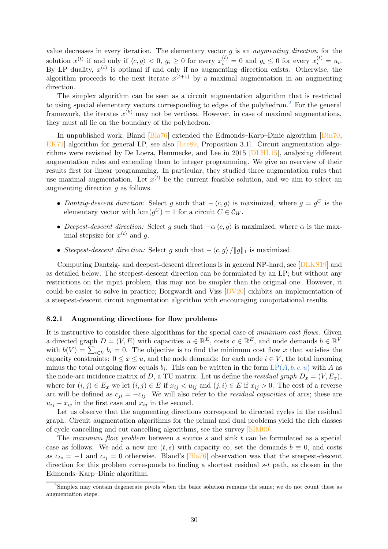value decreases in every iteration. The elementary vector  $q$  is an *augmenting direction* for the solution  $x^{(t)}$  if and only if  $\langle c, g \rangle < 0$ ,  $g_i \ge 0$  for every  $x_i^{(t)} = 0$  and  $g_i \le 0$  for every  $x_i^{(t)} = u_i$ . By LP duality,  $x^{(t)}$  is optimal if and only if no augmenting direction exists. Otherwise, the algorithm proceeds to the next iterate  $x^{(t+1)}$  by a maximal augmentation in an augmenting direction.

The simplex algorithm can be seen as a circuit augmentation algorithm that is restricted to using special elementary vectors corresponding to edges of the polyhedron.<sup>2</sup> For the general framework, the iterates  $x^{(k)}$  may not be vertices. However, in case of maximal augmentations, they must all lie on the boundary of the polyhedron.

In unpublished work, Bland [\[Bla76\]](#page-38-13) extended the Edmonds–Karp–Dinic algorithm [\[Din70,](#page-39-10) EK72 algorithm for general LP, see also [Lee<sub>89</sub>, Proposition 3.1]. Circuit augmentation algorithms were revisited by De Loera, Hemmecke, and Lee in 2015 [\[DLHL15\]](#page-39-12), analyzing different augmentation rules and extending them to integer programming. We give an overview of their results first for linear programming. In particular, they studied three augmentation rules that use maximal augmentation. Let  $x^{(t)}$  be the current feasible solution, and we aim to select an augmenting direction g as follows.

- Dantzig-descent direction: Select g such that  $-\langle c, g \rangle$  is maximized, where  $g = g^C$  is the elementary vector with  $\text{lcm}(g^C) = 1$  for a circuit  $C \in C_W$ .
- Deepest-descent direction: Select g such that  $-\alpha \langle c, g \rangle$  is maximized, where  $\alpha$  is the maximal stepsize for  $x^{(t)}$  and g.
- Steepest-descent direction: Select g such that  $-\langle c, g \rangle / ||g||_1$  is maximized.

Computing Dantzig- and deepest-descent directions is in general NP-hard, see [\[DLKS19\]](#page-39-13) and as detailed below. The steepest-descent direction can be formulated by an LP; but without any restrictions on the input problem, this may not be simpler than the original one. However, it could be easier to solve in practice; Borgwardt and Viss [\[BV20\]](#page-38-14) exhibits an implementation of a steepest-descent circuit augmentation algorithm with encouraging computational results.

### <span id="page-29-0"></span>8.2.1 Augmenting directions for flow problems

It is instructive to consider these algorithms for the special case of *minimum-cost flows*. Given a directed graph  $D = (V, E)$  with capacities  $u \in \mathbb{R}^E$ , costs  $c \in \mathbb{R}^E$ , and node demands  $b \in \mathbb{R}^V$ with  $b(V) = \sum_{i \in V} b_i = 0$ . The objective is to find the minimum cost flow x that satisfies the capacity constraints:  $0 \le x \le u$ , and the node demands: for each node  $i \in V$ , the total incoming minus the total outgoing flow equals  $b_i$ . This can be written in the form  $\text{LP}(A, b, c, u)$  $\text{LP}(A, b, c, u)$  $\text{LP}(A, b, c, u)$  with A as the node-arc incidence matrix of D, a TU matrix. Let us define the residual graph  $D_x = (V, E_x)$ , where for  $(i, j) \in E_x$  we let  $(i, j) \in E$  if  $x_{ij} < u_{ij}$  and  $(j, i) \in E$  if  $x_{ij} > 0$ . The cost of a reverse arc will be defined as  $c_{ji} = -c_{ij}$ . We will also refer to the *residual capacities* of arcs; these are  $u_{ij} - x_{ij}$  in the first case and  $x_{ij}$  in the second.

Let us observe that the augmenting directions correspond to directed cycles in the residual graph. Circuit augmentation algorithms for the primal and dual problems yield the rich classes of cycle cancelling and cut cancelling algorithms, see the survey [\[SIM00\]](#page-41-13).

The maximum flow problem between a source s and sink t can be formulated as a special case as follows. We add a new arc  $(t, s)$  with capacity  $\infty$ , set the demands  $b \equiv 0$ , and costs as  $c_{ts} = -1$  and  $c_{ij} = 0$  otherwise. Bland's [\[Bla76\]](#page-38-13) observation was that the steepest-descent direction for this problem corresponds to finding a shortest residual  $s-t$  path, as chosen in the Edmonds–Karp–Dinic algorithm.

<sup>2</sup> Simplex may contain degenerate pivots when the basic solution remains the same; we do not count these as augmentation steps.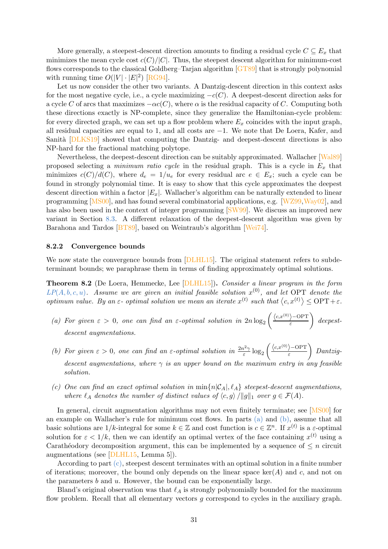More generally, a steepest-descent direction amounts to finding a residual cycle  $C \subseteq E_x$  that minimizes the mean cycle cost  $c(C)/|C|$ . Thus, the steepest descent algorithm for minimum-cost flows corresponds to the classical Goldberg–Tarjan algorithm [\[GT89\]](#page-40-14) that is strongly polynomial with running time  $O(|V| \cdot |E|^2)$  [\[RG94\]](#page-41-14).

Let us now consider the other two variants. A Dantzig-descent direction in this context asks for the most negative cycle, i.e., a cycle maximizing  $-c(C)$ . A deepest-descent direction asks for a cycle C of arcs that maximizes  $-\alpha c(C)$ , where  $\alpha$  is the residual capacity of C. Computing both these directions exactly is NP-complete, since they generalize the Hamiltonian-cycle problem: for every directed graph, we can set up a flow problem where  $E_x$  coincides with the input graph, all residual capacities are equal to 1, and all costs are −1. We note that De Loera, Kafer, and Sanità [\[DLKS19\]](#page-39-13) showed that computing the Dantzig- and deepest-descent directions is also NP-hard for the fractional matching polytope.

Nevertheless, the deepest-descent direction can be suitably approximated. Wallacher [\[Wal89\]](#page-42-11) proposed selecting a *minimum ratio cycle* in the residual graph. This is a cycle in  $E_x$  that minimizes  $c(C)/d(C)$ , where  $d_e = 1/u_e$  for every residual arc  $e \in E_x$ ; such a cycle can be found in strongly polynomial time. It is easy to show that this cycle approximates the deepest descent direction within a factor  $|E_x|$ . Wallacher's algorithm can be naturally extended to linear programming [\[MS00\]](#page-41-15), and has found several combinatorial applications, e.g. [\[WZ99,](#page-42-12)[Way02\]](#page-42-13), and has also been used in the context of integer programming [\[SW99\]](#page-42-14). We discuss an improved new variant in Section [8.3.](#page-31-0) A different relaxation of the deepest-descent algorithm was given by Barahona and Tardos [\[BT89\]](#page-38-15), based on Weintraub's algorithm [\[Wei74\]](#page-42-15).

### <span id="page-30-0"></span>8.2.2 Convergence bounds

<span id="page-30-1"></span>We now state the convergence bounds from  $\text{[DLHL15]}$ . The original statement refers to subdeterminant bounds; we paraphrase them in terms of finding approximately optimal solutions.

Theorem 8.2 (De Loera, Hemmecke, Lee [\[DLHL15\]](#page-39-12)). Consider a linear program in the form  $LP(A, b, c, u)$  $LP(A, b, c, u)$  $LP(A, b, c, u)$ . Assume we are given an initial feasible solution  $x^{(0)}$ , and let OPT denote the optimum value. By an  $\varepsilon$ - optimal solution we mean an iterate  $x^{(t)}$  such that  $\langle c, x^{(t)} \rangle \le \text{OPT} + \varepsilon$ .

- <span id="page-30-2"></span>(a) For given  $\varepsilon > 0$ , one can find an  $\varepsilon$ -optimal solution in  $2n \log_2 \left( \frac{\langle c, x^{(0)} \rangle - \text{OPT}}{\varepsilon} \right)$  $\bigg)$  deepestdescent augmentations.
- <span id="page-30-3"></span>(b) For given  $\varepsilon > 0$ , one can find an  $\varepsilon$ -optimal solution in  $\frac{2n^2\gamma}{\varepsilon}$  $\frac{1}{\varepsilon^2} \log_2 \left( \frac{\langle c, x^{(0)} \rangle - \text{OPT}}{\varepsilon} \right)$  Dantzigdescent augmentations, where  $\gamma$  is an upper bound on the maximum entry in any feasible solution.
- <span id="page-30-4"></span>(c) One can find an exact optimal solution in  $min\{n|\mathcal{C}_A|, \ell_A\}$  steepest-descent augmentations, where  $\ell_A$  denotes the number of distinct values of  $\langle c, g \rangle /||g||_1$  over  $g \in \mathcal{F}(A)$ .

In general, circuit augmentation algorithms may not even finitely terminate; see [\[MS00\]](#page-41-15) for an example on Wallacher's rule for minimum cost flows. In parts [\(a\)](#page-30-2) and [\(b\),](#page-30-3) assume that all basic solutions are  $1/k$ -integral for some  $k \in \mathbb{Z}$  and cost function is  $c \in \mathbb{Z}^n$ . If  $x^{(t)}$  is a  $\varepsilon$ -optimal solution for  $\varepsilon < 1/k$ , then we can identify an optimal vertex of the face containing  $x^{(t)}$  using a Carathéodory decomposition argument, this can be implemented by a sequence of  $\leq n$  circuit augmentations (see [\[DLHL15,](#page-39-12) Lemma 5]).

According to part [\(c\),](#page-30-4) steepest descent terminates with an optimal solution in a finite number of iterations; moreover, the bound only depends on the linear space  $\ker(A)$  and c, and not on the parameters  $b$  and  $u$ . However, the bound can be exponentially large.

Bland's original observation was that  $\ell_A$  is strongly polynomially bounded for the maximum flow problem. Recall that all elementary vectors  $g$  correspond to cycles in the auxiliary graph.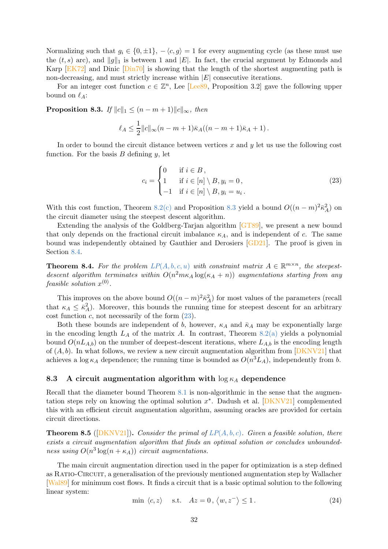Normalizing such that  $g_i \in \{0, \pm 1\}, -\langle c, g \rangle = 1$  for every augmenting cycle (as these must use the  $(t, s)$  arc), and  $||g||_1$  is between 1 and  $|E|$ . In fact, the crucial argument by Edmonds and Karp [\[EK72\]](#page-39-11) and Dinic [\[Din70\]](#page-39-10) is showing that the length of the shortest augmenting path is non-decreasing, and must strictly increase within  $|E|$  consecutive iterations.

<span id="page-31-3"></span>For an integer cost function  $c \in \mathbb{Z}^n$ , Lee [Lee<sub>89</sub>, Proposition 3.2] gave the following upper bound on  $\ell_A$ :

**Proposition 8.3.** If  $||c||_1 \leq (n - m + 1)||c||_{\infty}$ , then

$$
\ell_A \leq \frac{1}{2} ||c||_{\infty} (n - m + 1)\bar{\kappa}_A((n - m + 1)\bar{\kappa}_A + 1).
$$

In order to bound the circuit distance between vertices  $x$  and  $y$  let us use the following cost function. For the basis  $B$  defining  $y$ , let

<span id="page-31-4"></span>
$$
c_i = \begin{cases} 0 & \text{if } i \in B, \\ 1 & \text{if } i \in [n] \setminus B, y_i = 0, \\ -1 & \text{if } i \in [n] \setminus B, y_i = u_i. \end{cases}
$$
 (23)

With this cost function, Theorem [8.2](#page-30-1)[\(c\)](#page-30-4) and Proposition [8.3](#page-31-3) yield a bound  $O((n-m)^2 \bar{\kappa}_A^2)$  on the circuit diameter using the steepest descent algorithm.

Extending the analysis of the Goldberg-Tarjan algorithm [\[GT89\]](#page-40-14), we present a new bound that only depends on the fractional circuit imbalance  $\kappa_A$ , and is independent of c. The same bound was independently obtained by Gauthier and Derosiers [\[GD21\]](#page-40-15). The proof is given in Section [8.4.](#page-32-0)

<span id="page-31-1"></span>**Theorem 8.4.** For the problem  $LP(A, b, c, u)$  $LP(A, b, c, u)$  $LP(A, b, c, u)$  with constraint matrix  $A \in \mathbb{R}^{m \times n}$ , the steepestdescent algorithm terminates within  $O(n^2 m \kappa_A \log(\kappa_A + n))$  augmentations starting from any feasible solution  $x^{(0)}$ .

This improves on the above bound  $O((n-m)^2 \bar{\kappa}_A^2)$  for most values of the parameters (recall that  $\kappa_A \leq \bar{\kappa}_A^2$ . Moreover, this bounds the running time for steepest descent for an arbitrary cost function  $c$ , not necessarily of the form  $(23)$ .

Both these bounds are independent of b, however,  $\kappa_A$  and  $\bar{\kappa}_A$  may be exponentially large in the encoding length  $L_A$  of the matrix A. In contrast, Theorem [8.2](#page-30-1)[\(a\)](#page-30-2) yields a polynomial bound  $O(nL_{A,b})$  on the number of deepest-descent iterations, where  $L_{A,b}$  is the encoding length of  $(A, b)$ . In what follows, we review a new circuit augmentation algorithm from [\[DKNV21\]](#page-39-9) that achieves a log  $\kappa_A$  dependence; the running time is bounded as  $O(n^3L_A)$ , independently from b.

### <span id="page-31-0"></span>8.3 A circuit augmentation algorithm with  $\log \kappa_A$  dependence

Recall that the diameter bound Theorem [8.1](#page-28-2) is non-algorithmic in the sense that the augmentation steps rely on knowing the optimal solution  $x^*$ . Dadush et al.  $[DKNV21]$  complemented this with an efficient circuit augmentation algorithm, assuming oracles are provided for certain circuit directions.

<span id="page-31-2"></span>**Theorem 8.5** ([\[DKNV21\]](#page-39-9)). Consider the primal of  $LP(A, b, c)$  $LP(A, b, c)$  $LP(A, b, c)$ . Given a feasible solution, there exists a circuit augmentation algorithm that finds an optimal solution or concludes unboundedness using  $O(n^3 \log(n + \kappa_A))$  circuit augmentations.

The main circuit augmentation direction used in the paper for optimization is a step defined as RATIO-CIRCUIT, a generalisation of the previously mentioned augmentation step by Wallacher [\[Wal89\]](#page-42-11) for minimum cost flows. It finds a circuit that is a basic optimal solution to the following linear system:

<span id="page-31-5"></span>
$$
\min \langle c, z \rangle \quad \text{s.t.} \quad Az = 0, \langle w, z^- \rangle \le 1. \tag{24}
$$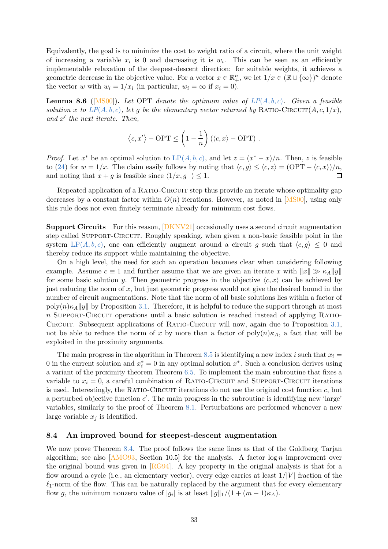Equivalently, the goal is to minimize the cost to weight ratio of a circuit, where the unit weight of increasing a variable  $x_i$  is 0 and decreasing it is  $w_i$ . This can be seen as an efficiently implementable relaxation of the deepest-descent direction: for suitable weights, it achieves a geometric decrease in the objective value. For a vector  $x \in \mathbb{R}^n_+$ , we let  $1/x \in (\mathbb{R} \cup {\infty})^n$  denote the vector w with  $w_i = 1/x_i$  (in particular,  $w_i = \infty$  if  $x_i = 0$ ).

**Lemma 8.6** ([\[MS00\]](#page-41-15)). Let OPT denote the optimum value of  $LP(A, b, c)$  $LP(A, b, c)$  $LP(A, b, c)$ . Given a feasible solution x to  $LP(A, b, c)$  $LP(A, b, c)$  $LP(A, b, c)$ , let g be the elementary vector returned by RATIO-CIRCUIT $(A, c, 1/x)$ , and  $x'$  the next iterate. Then,

$$
\langle c, x' \rangle
$$
 - OPT  $\leq \left(1 - \frac{1}{n}\right) (\langle c, x \rangle - OPT)$ .

*Proof.* Let  $x^*$  be an optimal solution to  $LP(A, b, c)$  $LP(A, b, c)$  $LP(A, b, c)$ , and let  $z = (x^* - x)/n$ . Then, z is feasible to [\(24\)](#page-31-5) for  $w = 1/x$ . The claim easily follows by noting that  $\langle c, g \rangle \leq \langle c, z \rangle = (\text{OPT} - \langle c, x \rangle)/n$ , and noting that  $x + a$  is feasible since  $\langle 1/x, a^{-} \rangle \leq 1$ . and noting that  $x + q$  is feasible since  $\langle 1/x, q^- \rangle \leq 1$ .

Repeated application of a RATIO-CIRCUIT step thus provide an iterate whose optimality gap decreases by a constant factor within  $O(n)$  iterations. However, as noted in [\[MS00\]](#page-41-15), using only this rule does not even finitely terminate already for minimum cost flows.

Support Circuits For this reason, [\[DKNV21\]](#page-39-9) occasionally uses a second circuit augmentation step called SUPPORT-CIRCUIT. Roughly speaking, when given a non-basic feasible point in the system LP([A, b, c](#page-4-1)), one can efficiently augment around a circuit g such that  $\langle c, g \rangle \leq 0$  and thereby reduce its support while maintaining the objective.

On a high level, the need for such an operation becomes clear when considering following example. Assume  $c \equiv 1$  and further assume that we are given an iterate x with  $||x|| \gg \kappa_A ||y||$ for some basic solution y. Then geometric progress in the objective  $\langle c, x \rangle$  can be achieved by just reducing the norm of  $x$ , but just geometric progress would not give the desired bound in the number of circuit augmentations. Note that the norm of all basic solutions lies within a factor of poly $(n)$ <sub>KA</sub> $\|y\|$  by Proposition [3.1.](#page-6-2) Therefore, it is helpful to reduce the support through at most n Support-Circuit operations until a basic solution is reached instead of applying Ratio-CIRCUIT. Subsequent applications of RATIO-CIRCUIT will now, again due to Proposition [3.1,](#page-6-2) not be able to reduce the norm of x by more than a factor of  $poly(n)\kappa_A$ , a fact that will be exploited in the proximity arguments.

The main progress in the algorithm in Theorem [8.5](#page-31-2) is identifying a new index i such that  $x_i =$ 0 in the current solution and  $x_i^* = 0$  in any optimal solution  $x^*$ . Such a conclusion derives using a variant of the proximity theorem Theorem [6.5.](#page-23-2) To implement the main subroutine that fixes a variable to  $x_i = 0$ , a careful combination of RATIO-CIRCUIT and SUPPORT-CIRCUIT iterations is used. Interestingly, the RATIO-CIRCUIT iterations do not use the original cost function  $c$ , but a perturbed objective function  $c'$ . The main progress in the subroutine is identifying new 'large' variables, similarly to the proof of Theorem [8.1.](#page-28-2) Perturbations are performed whenever a new large variable  $x_i$  is identified.

### <span id="page-32-0"></span>8.4 An improved bound for steepest-descent augmentation

We now prove Theorem [8.4.](#page-31-1) The proof follows the same lines as that of the Goldberg–Tarjan algorithm; see also  $[AMO93, Section 10.5]$  for the analysis. A factor  $log n$  improvement over the original bound was given in [\[RG94\]](#page-41-14). A key property in the original analysis is that for a flow around a cycle (i.e., an elementary vector), every edge carries at least  $1/|V|$  fraction of the  $\ell_1$ -norm of the flow. This can be naturally replaced by the argument that for every elementary flow g, the minimum nonzero value of  $|g_i|$  is at least  $||g||_1/(1 + (m-1)\kappa_A)$ .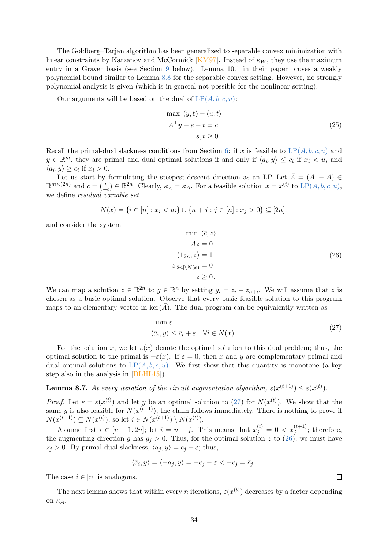The Goldberg–Tarjan algorithm has been generalized to separable convex minimization with linear constraints by Karzanov and McCormick [\[KM97\]](#page-40-16). Instead of  $\kappa_W$ , they use the maximum entry in a Graver basis (see Section [9](#page-35-0) below). Lemma 10.1 in their paper proves a weakly polynomial bound similar to Lemma [8.8](#page-33-0) for the separable convex setting. However, no strongly polynomial analysis is given (which is in general not possible for the nonlinear setting).

Our arguments will be based on the dual of  $LP(A, b, c, u)$  $LP(A, b, c, u)$  $LP(A, b, c, u)$ :

<span id="page-33-4"></span>
$$
\max \langle y, b \rangle - \langle u, t \rangle
$$
  
\n
$$
A^{\top} y + s - t = c
$$
  
\n
$$
s, t \ge 0.
$$
\n(25)

Recall the primal-dual slackness conditions from Section [6:](#page-21-0) if x is feasible to  $LP(A, b, c, u)$  $LP(A, b, c, u)$  $LP(A, b, c, u)$  and  $y \in \mathbb{R}^m$ , they are primal and dual optimal solutions if and only if  $\langle a_i, y \rangle \leq c_i$  if  $x_i < u_i$  and  $\langle a_i, y \rangle \geq c_i$  if  $x_i > 0$ .

Let us start by formulating the steepest-descent direction as an LP. Let  $\overline{A} = (A - A) \in$  $\mathbb{R}^{m\times (2n)}$  and  $\bar{c} = \begin{pmatrix} c \\ - \end{pmatrix}$  $\binom{c}{-c}$  ∈ ℝ<sup>2n</sup>. Clearly,  $\kappa_{\bar{A}} = \kappa_A$ . For a feasible solution  $x = x^{(t)}$  to LP([A, b, c, u](#page-27-3)), we define residual variable set

<span id="page-33-2"></span>
$$
N(x) = \{i \in [n] : x_i < u_i\} \cup \{n + j : j \in [n] : x_j > 0\} \subseteq [2n],
$$

and consider the system

$$
\min \langle \bar{c}, z \rangle
$$
  
\n
$$
\bar{A}z = 0
$$
  
\n
$$
\langle 1_{2n}, z \rangle = 1
$$
  
\n
$$
z_{[2n] \setminus N(x)} = 0
$$
  
\n
$$
z \ge 0.
$$
\n(26)

We can map a solution  $z \in \mathbb{R}^{2n}$  to  $g \in \mathbb{R}^n$  by setting  $g_i = z_i - z_{n+i}$ . We will assume that z is chosen as a basic optimal solution. Observe that every basic feasible solution to this program maps to an elementary vector in  $\ker(A)$ . The dual program can be equivalently written as

$$
\min \varepsilon
$$
  
 $\langle \bar{a}_i, y \rangle \le \bar{c}_i + \varepsilon \quad \forall i \in N(x).$  (27)

For the solution x, we let  $\varepsilon(x)$  denote the optimal solution to this dual problem; thus, the optimal solution to the primal is  $-\varepsilon(x)$ . If  $\varepsilon = 0$ , then x and y are complementary primal and dual optimal solutions to  $LP(A, b, c, u)$  $LP(A, b, c, u)$  $LP(A, b, c, u)$ . We first show that this quantity is monotone (a key step also in the analysis in [\[DLHL15\]](#page-39-12)).

<span id="page-33-3"></span>**Lemma 8.7.** At every iteration of the circuit augmentation algorithm,  $\varepsilon(x^{(t+1)}) \leq \varepsilon(x^{(t)})$ .

*Proof.* Let  $\varepsilon = \varepsilon(x^{(t)})$  and let y be an optimal solution to [\(27\)](#page-33-1) for  $N(x^{(t)})$ . We show that the same y is also feasible for  $N(x^{(t+1)})$ ; the claim follows immediately. There is nothing to prove if  $N(x^{(t+1)}) \subseteq N(x^{(t)}),$  so let  $i \in N(x^{(t+1)}) \setminus N(x^{(t)}).$ 

Assume first  $i \in [n+1, 2n]$ ; let  $i = n + j$ . This means that  $x_j^{(t)} = 0 < x_j^{(t+1)}$ ; therefore, the augmenting direction g has  $g_j > 0$ . Thus, for the optimal solution z to [\(26\)](#page-33-2), we must have  $z_j > 0$ . By primal-dual slackness,  $\langle a_j, y \rangle = c_j + \varepsilon$ ; thus,

$$
\langle \bar{a}_i, y \rangle = \langle -a_j, y \rangle = -c_j - \varepsilon < -c_j = \bar{c}_j.
$$

The case  $i \in [n]$  is analogous.

<span id="page-33-0"></span>The next lemma shows that within every *n* iterations,  $\varepsilon(x^{(t)})$  decreases by a factor depending on  $\kappa_A$ .

<span id="page-33-1"></span> $\Box$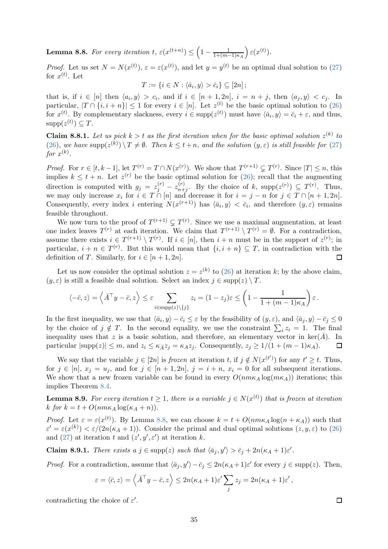**Lemma 8.8.** For every iteration  $t$ ,  $\varepsilon(x^{(t+n)}) \leq \left(1 - \frac{1}{1 + (m - 1)}\right)$  $\frac{1}{1+(m-1)\kappa_A}\Big)\,\varepsilon(x^{(t)}).$ 

*Proof.* Let us set  $N = N(x^{(t)})$ ,  $\varepsilon = \varepsilon(x^{(t)})$ , and let  $y = y^{(t)}$  be an optimal dual solution to [\(27\)](#page-33-1) for  $x^{(t)}$ . Let

 $T := \{i \in N : \langle \bar{a}_i, y \rangle > \bar{c}_i\} \subseteq [2n]$ ;

that is, if  $i \in [n]$  then  $\langle a_i, y \rangle > c_i$ , and if  $i \in [n+1, 2n]$ ,  $i = n + j$ , then  $\langle a_j, y \rangle < c_j$ . In particular,  $|T \cap \{i, i + n\}| \leq 1$  for every  $i \in [n]$ . Let  $z^{(t)}$  be the basic optimal solution to [\(26\)](#page-33-2) for  $x^{(t)}$ . By complementary slackness, every  $i \in \text{supp}(z^{(t)})$  must have  $\langle \bar{a}_i, y \rangle = \bar{c}_i + \varepsilon$ , and thus,  $supp(z^{(t)}) \subseteq T$ .

**Claim 8.8.1.** Let us pick  $k > t$  as the first iteration when for the basic optimal solution  $z^{(k)}$  to  $(26)$ , we have  $\text{supp}(z^{(k)}) \setminus T \neq \emptyset$ . Then  $k \leq t+n$ , and the solution  $(y, \varepsilon)$  is still feasible for  $(27)$ for  $x^{(k)}$ .

*Proof.* For  $r \in [t, k-1]$ , let  $T^{(r)} = T \cap N(x^{(r)})$ . We show that  $T^{(r+1)} \subsetneq T^{(r)}$ . Since  $|T| \leq n$ , this implies  $k \leq t + n$ . Let  $z^{(r)}$  be the basic optimal solution for [\(26\)](#page-33-2); recall that the augmenting direction is computed with  $g_j = z_j^{(r)} - z_{n+1}^{(r)}$  $_{n+j}^{(r)}$ . By the choice of k, supp $(z^{(r)}) \subseteq T^{(r)}$ . Thus, we may only increase  $x_i$  for  $i \in T \cap [n]$  and decrease it for  $i = j - n$  for  $j \in T \cap [n + 1, 2n]$ . Consequently, every index *i* entering  $N(x^{(r+1)})$  has  $\langle \bar{a}_i, y \rangle < \bar{c}_i$ , and therefore  $(y, \varepsilon)$  remains feasible throughout.

We now turn to the proof of  $T^{(r+1)} \subsetneq T^{(r)}$ . Since we use a maximal augmentation, at least one index leaves  $T^{(r)}$  at each iteration. We claim that  $T^{(r+1)} \setminus T^{(r)} = \emptyset$ . For a contradiction, assume there exists  $i \in T^{(r+1)} \setminus T^{(r)}$ . If  $i \in [n]$ , then  $i + n$  must be in the support of  $z^{(r)}$ ; in particular,  $i + n \in T^{(r)}$ . But this would mean that  $\{i, i + n\} \subseteq T$ , in contradiction with the definition of T. Similarly, for  $i \in [n+1, 2n]$ . П

Let us now consider the optimal solution  $z = z^{(k)}$  to [\(26\)](#page-33-2) at iteration k; by the above claim,  $(y, \varepsilon)$  is still a feasible dual solution. Select an index  $j \in \text{supp}(z) \setminus T$ .

$$
\langle -\bar{c}, z \rangle = \left\langle \bar{A}^\top y - \bar{c}, z \right\rangle \leq \varepsilon \sum_{i \in \text{supp}(z) \setminus \{j\}} z_i = (1 - z_j)\varepsilon \leq \left(1 - \frac{1}{1 + (m-1)\kappa_A}\right)\varepsilon.
$$

In the first inequality, we use that  $\langle \bar{a}_i, y \rangle - \bar{c}_i \le \varepsilon$  by the feasibility of  $(y, \varepsilon)$ , and  $\langle \bar{a}_j, y \rangle - \bar{c}_j \le 0$ by the choice of  $j \notin T$ . In the second equality, we use the constraint  $\sum_i z_i = 1$ . The final inequality uses that z is a basic solution, and therefore, an elementary vector in ker( $\bar{A}$ ). In particular  $|\text{supp}(z)| \leq m$ , and  $z_i \leq \kappa_{\bar{A}} z_i = \kappa_A z_i$ . Consequently,  $z_i \geq 1/(1 + (m-1)\kappa_A)$ . 口

We say that the variable  $j \in [2n]$  is *frozen* at iteration t, if  $j \notin N(x^{(t')})$  for any  $t' \geq t$ . Thus, for  $j \in [n]$ ,  $x_j = u_j$ , and for  $j \in [n+1, 2n]$ ,  $j = i + n$ ,  $x_i = 0$  for all subsequent iterations. We show that a new frozen variable can be found in every  $O(n m \kappa_A) \log(m \kappa_A)$  iterations; this implies Theorem [8.4.](#page-31-1)

**Lemma 8.9.** For every iteration  $t \geq 1$ , there is a variable  $j \in N(x^{(t)})$  that is frozen at iteration k for  $k = t + O(n m \kappa_A \log(\kappa_A + n)).$ 

*Proof.* Let  $\varepsilon = \varepsilon(x^{(t)})$ . By Lemma [8.8,](#page-33-0) we can choose  $k = t + O(n m \kappa_A \log(n + \kappa_A))$  such that  $\varepsilon' = \varepsilon(x^{(k)}) < \varepsilon/(2n(\kappa_A + 1))$ . Consider the primal and dual optimal solutions  $(z, y, \varepsilon)$  to  $(26)$ and [\(27\)](#page-33-1) at iteration t and  $(z', y', \varepsilon')$  at iteration k.

<span id="page-34-0"></span>**Claim 8.9.1.** There exists  $a \, j \in \text{supp}(z)$  such that  $\langle \bar{a}_j, y' \rangle > \bar{c}_j + 2n(\kappa_A + 1)\varepsilon'.$ 

*Proof.* For a contradiction, assume that  $\langle \bar{a}_j, y' \rangle - \bar{c}_j \leq 2n(\kappa_A + 1)\varepsilon'$  for every  $j \in \text{supp}(z)$ . Then,

$$
\varepsilon = \langle \bar{c}, z \rangle = \left\langle \bar{A}^\top y - \bar{c}, z \right\rangle \leq 2n(\kappa_A + 1)\varepsilon' \sum_j z_j = 2n(\kappa_A + 1)\varepsilon',
$$

contradicting the choice of  $\varepsilon'$ .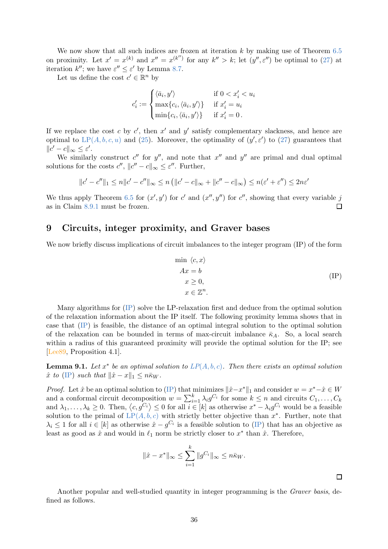We now show that all such indices are frozen at iteration  $k$  by making use of Theorem [6.5](#page-23-2) on proximity. Let  $x' = x^{(k)}$  and  $x'' = x^{(k'')}$  for any  $k'' > k$ ; let  $(y'', \varepsilon'')$  be optimal to [\(27\)](#page-33-1) at iteration  $k''$ ; we have  $\varepsilon'' \leq \varepsilon'$  by Lemma [8.7.](#page-33-3)

Let us define the cost  $c' \in \mathbb{R}^n$  by

$$
c'_{i} := \begin{cases} \langle \bar{a}_{i}, y' \rangle & \text{if } 0 < x'_{i} < u_{i} \\ \max\{c_{i}, \langle \bar{a}_{i}, y' \rangle\} & \text{if } x'_{i} = u_{i} \\ \min\{c_{i}, \langle \bar{a}_{i}, y' \rangle\} & \text{if } x'_{i} = 0. \end{cases}
$$

If we replace the cost c by  $c'$ , then  $x'$  and  $y'$  satisfy complementary slackness, and hence are optimal to  $LP(A, b, c, u)$  $LP(A, b, c, u)$  $LP(A, b, c, u)$  and [\(25\)](#page-33-4). Moreover, the optimality of  $(y', \varepsilon')$  to [\(27\)](#page-33-1) guarantees that  $||c' - c||_{\infty} \leq \varepsilon'.$ 

We similarly construct  $c''$  for  $y''$ , and note that  $x''$  and  $y''$  are primal and dual optimal solutions for the costs  $c''$ ,  $||c'' - c||_{\infty} \le \varepsilon''$ . Further,

$$
||c' - c''||_1 \le n||c' - c''||_{\infty} \le n (||c' - c||_{\infty} + ||c'' - c||_{\infty}) \le n(\varepsilon' + \varepsilon'') \le 2n\varepsilon'
$$

We thus apply Theorem [6.5](#page-23-2) for  $(x', y')$  for c' and  $(x'', y'')$  for c'', showing that every variable j as in Claim [8.9.1](#page-34-0) must be frozen.  $\Box$ 

# <span id="page-35-0"></span>9 Circuits, integer proximity, and Graver bases

We now briefly discuss implications of circuit imbalances to the integer program (IP) of the form

<span id="page-35-1"></span>
$$
\min \langle c, x \rangle
$$
  
\n
$$
Ax = b
$$
  
\n
$$
x \ge 0,
$$
  
\n
$$
x \in \mathbb{Z}^n.
$$
  
\n
$$
(IP)
$$

Many algorithms for [\(IP\)](#page-35-1) solve the LP-relaxation first and deduce from the optimal solution of the relaxation information about the IP itself. The following proximity lemma shows that in case that [\(IP\)](#page-35-1) is feasible, the distance of an optimal integral solution to the optimal solution of the relaxation can be bounded in terms of max-circuit imbalance  $\bar{\kappa}_A$ . So, a local search within a radius of this guaranteed proximity will provide the optimal solution for the IP; see [\[Lee89,](#page-40-0) Proposition 4.1].

**Lemma 9.1.** Let  $x^*$  be an optimal solution to  $LP(A, b, c)$  $LP(A, b, c)$  $LP(A, b, c)$ . Then there exists an optimal solution  $\hat{x}$  to [\(IP\)](#page-35-1) such that  $\|\hat{x} - x\|_1 \leq n \bar{\kappa}_W$ .

*Proof.* Let  $\hat{x}$  be an optimal solution to [\(IP\)](#page-35-1) that minimizes  $\|\hat{x}-x^*\|_1$  and consider  $w = x^*-\hat{x} \in W$ and a conformal circuit decomposition  $w = \sum_{i=1}^{k} \lambda_i g^{C_i}$  for some  $k \leq n$  and circuits  $C_1, \ldots, C_k$ and  $\lambda_1, \ldots, \lambda_k \geq 0$ . Then,  $\langle c, g^{C_i} \rangle \leq 0$  for all  $i \in [k]$  as otherwise  $x^* - \lambda_i g^{C_i}$  would be a feasible solution to the primal of  $LP(A, b, c)$  $LP(A, b, c)$  $LP(A, b, c)$  with strictly better objective than  $x^*$ . Further, note that  $\lambda_i \leq 1$  for all  $i \in [k]$  as otherwise  $\hat{x} - g^{C_i}$  is a feasible solution to [\(IP\)](#page-35-1) that has an objective as least as good as  $\hat{x}$  and would in  $\ell_1$  norm be strictly closer to  $x^*$  than  $\hat{x}$ . Therefore,

$$
\|\hat{x} - x^*\|_{\infty} \le \sum_{i=1}^k \|g^{C_i}\|_{\infty} \le n\bar{\kappa}_W.
$$

 $\Box$ 

Another popular and well-studied quantity in integer programming is the Graver basis, defined as follows.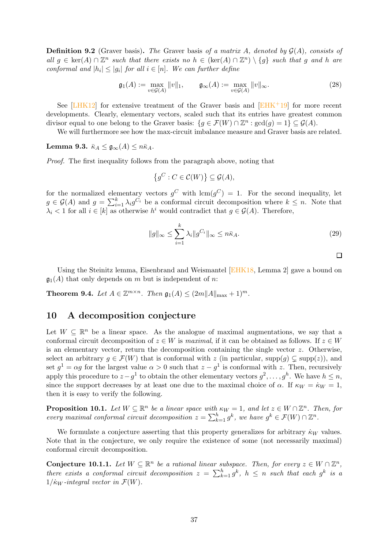**Definition 9.2** (Graver basis). The Graver basis of a matrix A, denoted by  $\mathcal{G}(A)$ , consists of all  $g \in \text{ker}(A) \cap \mathbb{Z}^n$  such that there exists no  $h \in (\text{ker}(A) \cap \mathbb{Z}^n) \setminus \{g\}$  such that g and h are conformal and  $|h_i| \leq |g_i|$  for all  $i \in [n]$ . We can further define

$$
\mathfrak{g}_1(A) := \max_{v \in \mathcal{G}(A)} ||v||_1, \qquad \mathfrak{g}_{\infty}(A) := \max_{v \in \mathcal{G}(A)} ||v||_{\infty}.
$$
 (28)

See  $[LHK12]$  for extensive treatment of the Graver basis and  $[EHK<sup>+</sup>19]$  for more recent developments. Clearly, elementary vectors, scaled such that its entries have greatest common divisor equal to one belong to the Graver basis:  $\{g \in \mathcal{F}(W) \cap \mathbb{Z}^n : \gcd(g) = 1\} \subseteq \mathcal{G}(A)$ .

We will furthermore see how the max-circuit imbalance measure and Graver basis are related.

Lemma 9.3.  $\bar{\kappa}_A \leq \mathfrak{g}_{\infty}(A) \leq n\bar{\kappa}_A$ .

Proof. The first inequality follows from the paragraph above, noting that

$$
\left\{ g^C : C \in \mathcal{C}(W) \right\} \subseteq \mathcal{G}(A),
$$

for the normalized elementary vectors  $g^C$  with  $\text{lcm}(g^C) = 1$ . For the second inequality, let  $g \in \mathcal{G}(A)$  and  $g = \sum_{i=1}^{k} \lambda_i g^{C_i}$  be a conformal circuit decomposition where  $k \leq n$ . Note that  $\lambda_i$  < 1 for all  $i \in [k]$  as otherwise  $h^i$  would contradict that  $g \in \mathcal{G}(A)$ . Therefore,

$$
||g||_{\infty} \le \sum_{i=1}^{k} \lambda_i ||g^{C_i}||_{\infty} \le n\bar{\kappa}_A.
$$
\n(29)

 $\Box$ 

Using the Steinitz lemma, Eisenbrand and Weismantel [\[EHK18,](#page-39-15) Lemma 2] gave a bound on  $\mathfrak{g}_1(A)$  that only depends on m but is independent of n:

**Theorem 9.4.** Let  $A \in \mathbb{Z}^{m \times n}$ . Then  $\mathfrak{g}_1(A) \leq (2m||A||_{\max} + 1)^m$ .

## <span id="page-36-0"></span>10 A decomposition conjecture

Let  $W \subseteq \mathbb{R}^n$  be a linear space. As the analogue of maximal augmentations, we say that a conformal circuit decomposition of  $z \in W$  is maximal, if it can be obtained as follows. If  $z \in W$ is an elementary vector, return the decomposition containing the single vector z. Otherwise, select an arbitrary  $g \in \mathcal{F}(W)$  that is conformal with z (in particular, supp(q)  $\subsetneq$  supp(z)), and set  $g^1 = \alpha g$  for the largest value  $\alpha > 0$  such that  $z - g^1$  is conformal with z. Then, recursively apply this procedure to  $z - g^1$  to obtain the other elementary vectors  $g^2, \ldots, g^h$ . We have  $h \leq n$ , since the support decreases by at least one due to the maximal choice of  $\alpha$ . If  $\kappa_W = \kappa_W = 1$ , then it is easy to verify the following.

<span id="page-36-1"></span>**Proposition 10.1.** Let  $W \subseteq \mathbb{R}^n$  be a linear space with  $\kappa_W = 1$ , and let  $z \in W \cap \mathbb{Z}^n$ . Then, for every maximal conformal circuit decomposition  $z = \sum_{k=1}^{h} g^k$ , we have  $g^k \in \mathcal{F}(W) \cap \mathbb{Z}^n$ .

We formulate a conjecture asserting that this property generalizes for arbitrary  $\kappa_W$  values. Note that in the conjecture, we only require the existence of some (not necessarily maximal) conformal circuit decomposition.

**Conjecture 10.1.1.** Let  $W \subseteq \mathbb{R}^n$  be a rational linear subspace. Then, for every  $z \in W \cap \mathbb{Z}^n$ , there exists a conformal circuit decomposition  $z = \sum_{k=1}^{h} g^k$ ,  $h \leq n$  such that each  $g^k$  is a  $1/\kappa_W$ -integral vector in  $\mathcal{F}(W)$ .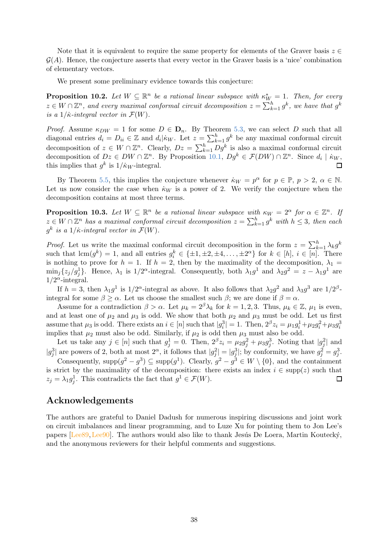Note that it is equivalent to require the same property for elements of the Graver basis  $z \in \mathbb{C}$  $\mathcal{G}(A)$ . Hence, the conjecture asserts that every vector in the Graver basis is a 'nice' combination of elementary vectors.

We present some preliminary evidence towards this conjecture:

**Proposition 10.2.** Let  $W \subseteq \mathbb{R}^n$  be a rational linear subspace with  $\kappa_{W_i}^* = 1$ . Then, for every  $z \in W \cap \mathbb{Z}^n$ , and every maximal conformal circuit decomposition  $z = \sum_{k=1}^h g^k$ , we have that  $g^k$ is a  $1/\dot{\kappa}$ -integral vector in  $\mathcal{F}(W)$ .

*Proof.* Assume  $\kappa_{DW} = 1$  for some  $D \in \mathbf{D}_n$ . By Theorem [5.3,](#page-19-8) we can select D such that all diagonal entries  $d_i = D_{ii} \in \mathbb{Z}$  and  $d_i | \dot{\kappa}_W$ . Let  $z = \sum_{k=1}^h g^k$  be any maximal conformal circuit decomposition of  $z \in W \cap \mathbb{Z}^n$ . Clearly,  $Dz = \sum_{k=1}^h Dg^k$  is also a maximal conformal circuit decomposition of  $Dz \in DW \cap \mathbb{Z}^n$ . By Proposition [10.1,](#page-36-1)  $Dg^k \in \mathcal{F}(DW) \cap \mathbb{Z}^n$ . Since  $d_i | k_W$ , this implies that  $g^k$  is  $1/\dot{\kappa}_W$ -integral.

By Theorem [5.5,](#page-20-1) this implies the conjecture whenever  $\dot{\kappa}_W = p^{\alpha}$  for  $p \in \mathbb{P}, p > 2, \alpha \in \mathbb{N}$ . Let us now consider the case when  $\dot{\kappa}_W$  is a power of 2. We verify the conjecture when the decomposition contains at most three terms.

**Proposition 10.3.** Let  $W \subseteq \mathbb{R}^n$  be a rational linear subspace with  $\kappa_W = 2^{\alpha}$  for  $\alpha \in \mathbb{Z}^n$ . If  $z \in W \cap \mathbb{Z}^n$  has a maximal conformal circuit decomposition  $z = \sum_{k=1}^h g^k$  with  $h \leq 3$ , then each  $g^k$  is a  $1/\dot{\kappa}$ -integral vector in  $\mathcal{F}(W)$ .

*Proof.* Let us write the maximal conformal circuit decomposition in the form  $z = \sum_{k=1}^{h} \lambda_k g^k$ such that  $\text{lcm}(g^k) = 1$ , and all entries  $g_i^k \in {\pm 1, \pm 2, \pm 4, ..., \pm 2^{\alpha}}$  for  $k \in [h], i \in [n]$ . There is nothing to prove for  $h = 1$ . If  $h = 2$ , then by the maximality of the decomposition,  $\lambda_1 =$  $\min_j\{z_j/g_j\}$ . Hence,  $\lambda_1$  is  $1/2^{\alpha}$ -integral. Consequently, both  $\lambda_1g^1$  and  $\lambda_2g^2 = z - \lambda_1g^1$  are  $1/2^{\alpha}$ -integral.

If  $h = 3$ , then  $\lambda_1 g^1$  is  $1/2^{\alpha}$ -integral as above. It also follows that  $\lambda_2 g^2$  and  $\lambda_3 g^3$  are  $1/2^{\beta}$ integral for some  $\beta \geq \alpha$ . Let us choose the smallest such  $\beta$ ; we are done if  $\beta = \alpha$ .

Assume for a contradiction  $\beta > \alpha$ . Let  $\mu_k = 2^{\beta} \lambda_k$  for  $k = 1, 2, 3$ . Thus,  $\mu_k \in \mathbb{Z}$ ,  $\mu_1$  is even, and at least one of  $\mu_2$  and  $\mu_3$  is odd. We show that both  $\mu_2$  and  $\mu_3$  must be odd. Let us first assume that  $\mu_3$  is odd. There exists an  $i \in [n]$  such that  $|g_i^3| = 1$ . Then,  $2^{\beta} z_i = \mu_1 g_i^1 + \mu_2 g_i^2 + \mu_3 g_i^3$ implies that  $\mu_2$  must also be odd. Similarly, if  $\mu_2$  is odd then  $\mu_3$  must also be odd.

Let us take any  $j \in [n]$  such that  $g_j^1 = 0$ . Then,  $2^{\beta} z_i = \mu_2 g_j^2 + \mu_3 g_j^3$ . Noting that  $|g_j^2|$  and  $|g_j^3|$  are powers of 2, both at most  $2^{\alpha}$ , it follows that  $|g_j^2| = |g_j^3|$ ; by conformity, we have  $g_j^2 = g_j^3$ .

Consequently,  $\text{supp}(g^2 - g^3) \subseteq \text{supp}(g^1)$ . Clearly,  $g^2 - g^3 \in W \setminus \{0\}$ , and the containment is strict by the maximality of the decomposition: there exists an index  $i \in \text{supp}(z)$  such that  $z_i = \lambda_1 q_i^1$ . This contradicts the fact that  $q^1 \in \mathcal{F}(W)$ .  $z_j = \lambda_1 g_j^1$ . This contradicts the fact that  $g^1 \in \mathcal{F}(W)$ .

## Acknowledgements

The authors are grateful to Daniel Dadush for numerous inspiring discussions and joint work on circuit imbalances and linear programming, and to Luze Xu for pointing them to Jon Lee's papers [Lee $89$ , Lee $90$ ]. The authors would also like to thank Jesús De Loera, Martin Koutecký, and the anonymous reviewers for their helpful comments and suggestions.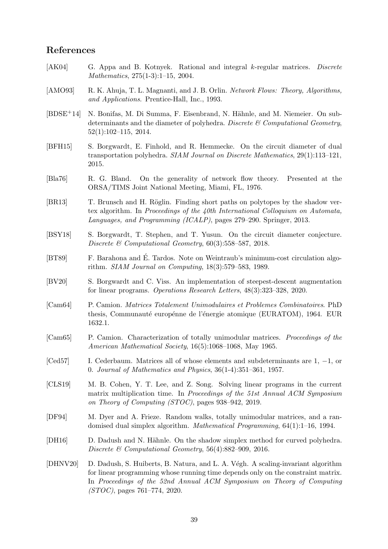# References

- <span id="page-38-2"></span>[AK04] G. Appa and B. Kotnyek. Rational and integral k-regular matrices. Discrete Mathematics, 275(1-3):1–15, 2004.
- <span id="page-38-8"></span>[AMO93] R. K. Ahuja, T. L. Magnanti, and J. B. Orlin. Network Flows: Theory, Algorithms, and Applications. Prentice-Hall, Inc., 1993.
- <span id="page-38-5"></span>[BDSE<sup>+</sup>14] N. Bonifas, M. Di Summa, F. Eisenbrand, N. Hähnle, and M. Niemeier. On subdeterminants and the diameter of polyhedra. Discrete  $\mathcal C$  Computational Geometry, 52(1):102–115, 2014.
- <span id="page-38-11"></span>[BFH15] S. Borgwardt, E. Finhold, and R. Hemmecke. On the circuit diameter of dual transportation polyhedra. SIAM Journal on Discrete Mathematics, 29(1):113–121, 2015.
- <span id="page-38-13"></span>[Bla76] R. G. Bland. On the generality of network flow theory. Presented at the ORSA/TIMS Joint National Meeting, Miami, FL, 1976.
- <span id="page-38-6"></span>[BR13] T. Brunsch and H. Röglin. Finding short paths on polytopes by the shadow vertex algorithm. In Proceedings of the 40th International Colloquium on Automata, Languages, and Programming (ICALP), pages 279–290. Springer, 2013.
- <span id="page-38-12"></span>[BSY18] S. Borgwardt, T. Stephen, and T. Yusun. On the circuit diameter conjecture. Discrete & Computational Geometry,  $60(3):558-587$ , 2018.
- <span id="page-38-15"></span>[BT89] F. Barahona and É. Tardos. Note on Weintraub's minimum-cost circulation algorithm. SIAM Journal on Computing, 18(3):579–583, 1989.
- <span id="page-38-14"></span>[BV20] S. Borgwardt and C. Viss. An implementation of steepest-descent augmentation for linear programs. Operations Research Letters, 48(3):323–328, 2020.
- <span id="page-38-0"></span>[Cam64] P. Camion. Matrices Totalement Unimodulaires et Problemes Combinatoires. PhD thesis, Communauté europénne de l'énergie atomique (EURATOM), 1964. EUR 1632.1.
- <span id="page-38-9"></span>[Cam65] P. Camion. Characterization of totally unimodular matrices. Proceedings of the American Mathematical Society, 16(5):1068–1068, May 1965.
- <span id="page-38-3"></span>[Ced57] I. Cederbaum. Matrices all of whose elements and subdeterminants are 1, −1, or 0. Journal of Mathematics and Physics, 36(1-4):351–361, 1957.
- <span id="page-38-10"></span>[CLS19] M. B. Cohen, Y. T. Lee, and Z. Song. Solving linear programs in the current matrix multiplication time. In Proceedings of the 51st Annual ACM Symposium on Theory of Computing (STOC), pages 938–942, 2019.
- <span id="page-38-4"></span>[DF94] M. Dyer and A. Frieze. Random walks, totally unimodular matrices, and a randomised dual simplex algorithm. Mathematical Programming, 64(1):1–16, 1994.
- <span id="page-38-7"></span>[DH16] D. Dadush and N. Hähnle. On the shadow simplex method for curved polyhedra. Discrete & Computational Geometry, 56(4):882–909, 2016.
- <span id="page-38-1"></span>[DHNV20] D. Dadush, S. Huiberts, B. Natura, and L. A. V´egh. A scaling-invariant algorithm for linear programming whose running time depends only on the constraint matrix. In Proceedings of the 52nd Annual ACM Symposium on Theory of Computing (STOC), pages 761–774, 2020.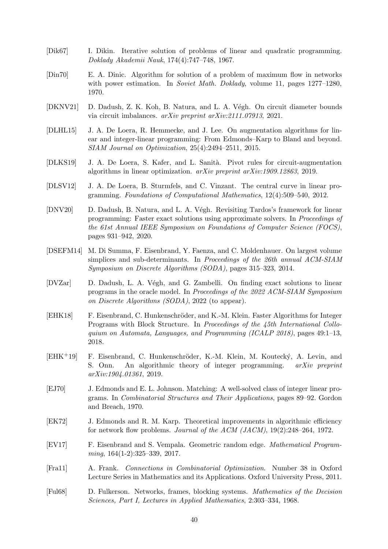- <span id="page-39-5"></span>[Dik67] I. Dikin. Iterative solution of problems of linear and quadratic programming. Doklady Akademii Nauk, 174(4):747–748, 1967.
- <span id="page-39-10"></span>[Din70] E. A. Dinic. Algorithm for solution of a problem of maximum flow in networks with power estimation. In *Soviet Math. Doklady*, volume 11, pages 1277–1280, 1970.
- <span id="page-39-9"></span>[DKNV21] D. Dadush, Z. K. Koh, B. Natura, and L. A. V´egh. On circuit diameter bounds via circuit imbalances. arXiv preprint arXiv:2111.07913, 2021.
- <span id="page-39-12"></span>[DLHL15] J. A. De Loera, R. Hemmecke, and J. Lee. On augmentation algorithms for linear and integer-linear programming: From Edmonds–Karp to Bland and beyond. SIAM Journal on Optimization, 25(4):2494–2511, 2015.
- <span id="page-39-13"></span>[DLKS19] J. A. De Loera, S. Kafer, and L. Sanità. Pivot rules for circuit-augmentation algorithms in linear optimization. arXiv preprint arXiv:1909.12863, 2019.
- <span id="page-39-8"></span>[DLSV12] J. A. De Loera, B. Sturmfels, and C. Vinzant. The central curve in linear programming. Foundations of Computational Mathematics, 12(4):509–540, 2012.
- <span id="page-39-1"></span>[DNV20] D. Dadush, B. Natura, and L. A. Végh. Revisiting Tardos's framework for linear programming: Faster exact solutions using approximate solvers. In Proceedings of the 61st Annual IEEE Symposium on Foundations of Computer Science (FOCS), pages 931–942, 2020.
- <span id="page-39-4"></span>[DSEFM14] M. Di Summa, F. Eisenbrand, Y. Faenza, and C. Moldenhauer. On largest volume simplices and sub-determinants. In Proceedings of the 26th annual ACM-SIAM Symposium on Discrete Algorithms (SODA), pages 315–323, 2014.
- <span id="page-39-6"></span>[DVZar] D. Dadush, L. A. Végh, and G. Zambelli. On finding exact solutions to linear programs in the oracle model. In Proceedings of the 2022 ACM-SIAM Symposium on Discrete Algorithms (SODA), 2022 (to appear).
- <span id="page-39-15"></span>[EHK18] F. Eisenbrand, C. Hunkenschröder, and K.-M. Klein. Faster Algorithms for Integer Programs with Block Structure. In Proceedings of the 45th International Colloquium on Automata, Languages, and Programming (ICALP 2018), pages 49:1–13, 2018.
- <span id="page-39-14"></span>[EHK<sup>+</sup>19] F. Eisenbrand, C. Hunkenschröder, K.-M. Klein, M. Koutecký, A. Levin, and S. Onn. An algorithmic theory of integer programming. arXiv preprint arXiv:1904.01361, 2019.
- <span id="page-39-3"></span>[EJ70] J. Edmonds and E. L. Johnson. Matching: A well-solved class of integer linear programs. In Combinatorial Structures and Their Applications, pages 89–92. Gordon and Breach, 1970.
- <span id="page-39-11"></span>[EK72] J. Edmonds and R. M. Karp. Theoretical improvements in algorithmic efficiency for network flow problems. Journal of the ACM  $(JACM)$ , 19(2):248–264, 1972.
- <span id="page-39-7"></span>[EV17] F. Eisenbrand and S. Vempala. Geometric random edge. Mathematical Programming, 164(1-2):325–339, 2017.
- <span id="page-39-2"></span>[Fra11] A. Frank. Connections in Combinatorial Optimization. Number 38 in Oxford Lecture Series in Mathematics and its Applications. Oxford University Press, 2011.
- <span id="page-39-0"></span>[Ful68] D. Fulkerson. Networks, frames, blocking systems. Mathematics of the Decision Sciences, Part I, Lectures in Applied Mathematics, 2:303–334, 1968.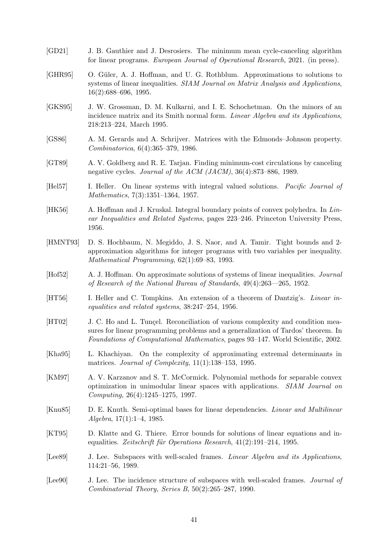- <span id="page-40-15"></span>[GD21] J. B. Gauthier and J. Desrosiers. The minimum mean cycle-canceling algorithm for linear programs. European Journal of Operational Research, 2021. (in press).
- <span id="page-40-10"></span>[GHR95] O. Güler, A. J. Hoffman, and U. G. Rothblum. Approximations to solutions to systems of linear inequalities. SIAM Journal on Matrix Analysis and Applications, 16(2):688–696, 1995.
- <span id="page-40-1"></span>[GKS95] J. W. Grossman, D. M. Kulkarni, and I. E. Schochetman. On the minors of an incidence matrix and its Smith normal form. Linear Algebra and its Applications, 218:213–224, March 1995.
- <span id="page-40-5"></span>[GS86] A. M. Gerards and A. Schrijver. Matrices with the Edmonds–Johnson property. Combinatorica, 6(4):365–379, 1986.
- <span id="page-40-14"></span>[GT89] A. V. Goldberg and R. E. Tarjan. Finding minimum-cost circulations by canceling negative cycles. Journal of the ACM (JACM), 36(4):873–886, 1989.
- <span id="page-40-2"></span>[Hel57] I. Heller. On linear systems with integral valued solutions. *Pacific Journal of* Mathematics, 7(3):1351–1364, 1957.

<span id="page-40-4"></span>[HK56] A. Hoffman and J. Kruskal. Integral boundary points of convex polyhedra. In Linear Inequalities and Related Systems, pages 223–246. Princeton University Press, 1956.

- <span id="page-40-6"></span>[HMNT93] D. S. Hochbaum, N. Megiddo, J. S. Naor, and A. Tamir. Tight bounds and 2 approximation algorithms for integer programs with two variables per inequality. Mathematical Programming, 62(1):69–83, 1993.
- <span id="page-40-13"></span>[Hof52] A. J. Hoffman. On approximate solutions of systems of linear inequalities. Journal of Research of the National Bureau of Standards, 49(4):263––265, 1952.
- <span id="page-40-3"></span>[HT56] I. Heller and C. Tompkins. An extension of a theorem of Dantzig's. Linear inequalities and related systems, 38:247–254, 1956.
- <span id="page-40-8"></span>[HT02] J. C. Ho and L. Tungel. Reconciliation of various complexity and condition measures for linear programming problems and a generalization of Tardos' theorem. In Foundations of Computational Mathematics, pages 93–147. World Scientific, 2002.
- <span id="page-40-7"></span>[Kha95] L. Khachiyan. On the complexity of approximating extremal determinants in matrices. Journal of Complexity,  $11(1):138-153$ , 1995.
- <span id="page-40-16"></span>[KM97] A. V. Karzanov and S. T. McCormick. Polynomial methods for separable convex optimization in unimodular linear spaces with applications. SIAM Journal on Computing, 26(4):1245–1275, 1997.
- <span id="page-40-9"></span>[Knu85] D. E. Knuth. Semi-optimal bases for linear dependencies. Linear and Multilinear Algebra, 17(1):1–4, 1985.
- <span id="page-40-11"></span>[KT95] D. Klatte and G. Thiere. Error bounds for solutions of linear equations and inequalities. Zeitschrift für Operations Research,  $41(2):191-214$ , 1995.
- <span id="page-40-0"></span>[Lee<sub>89]</sub> J. Lee. Subspaces with well-scaled frames. *Linear Algebra and its Applications*, 114:21–56, 1989.
- <span id="page-40-12"></span>[Lee<sub>90</sub>] J. Lee. The incidence structure of subspaces with well-scaled frames. *Journal of* Combinatorial Theory, Series B, 50(2):265–287, 1990.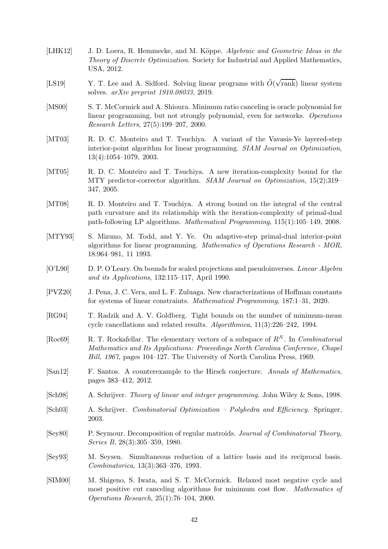- <span id="page-41-16"></span>[LHK12] J. D. Loera, R. Hemmecke, and M. Köppe. Algebraic and Geometric Ideas in the Theory of Discrete Optimization. Society for Industrial and Applied Mathematics, USA, 2012.
- <span id="page-41-9"></span>[LS19] Y. T. Lee and A. Sidford. Solving linear programs with  $\tilde{O}(\sqrt{\text{rank}})$  linear system solves. arXiv preprint 1910.08033, 2019.
- <span id="page-41-15"></span>[MS00] S. T. McCormick and A. Shioura. Minimum ratio canceling is oracle polynomial for linear programming, but not strongly polynomial, even for networks. Operations Research Letters, 27(5):199–207, 2000.
- <span id="page-41-4"></span>[MT03] R. D. C. Monteiro and T. Tsuchiya. A variant of the Vavasis-Ye layered-step interior-point algorithm for linear programming. SIAM Journal on Optimization, 13(4):1054–1079, 2003.
- <span id="page-41-12"></span>[MT05] R. D. C. Monteiro and T. Tsuchiya. A new iteration-complexity bound for the MTY predictor-corrector algorithm. *SIAM Journal on Optimization*, 15(2):319– 347, 2005.
- <span id="page-41-11"></span>[MT08] R. D. Monteiro and T. Tsuchiya. A strong bound on the integral of the central path curvature and its relationship with the iteration-complexity of primal-dual path-following LP algorithms. Mathematical Programming, 115(1):105–149, 2008.
- <span id="page-41-10"></span>[MTY93] S. Mizuno, M. Todd, and Y. Ye. On adaptive-step primal-dual interior-point algorithms for linear programming. Mathematics of Operations Research - MOR, 18:964–981, 11 1993.
- <span id="page-41-5"></span>[O'L90] D. P. O'Leary. On bounds for scaled projections and pseudoinverses. Linear Algebra and its Applications, 132:115–117, April 1990.
- <span id="page-41-8"></span>[PVZ20] J. Pena, J. C. Vera, and L. F. Zuluaga. New characterizations of Hoffman constants for systems of linear constraints. Mathematical Programming, 187:1–31, 2020.
- <span id="page-41-14"></span>[RG94] T. Radzik and A. V. Goldberg. Tight bounds on the number of minimum-mean cycle cancellations and related results. Algorithmica, 11(3):226–242, 1994.
- <span id="page-41-0"></span>[Roc69] R. T. Rockafellar. The elementary vectors of a subspace of  $R^N$ . In *Combinatorial* Mathematics and Its Applications: Proceedings North Carolina Conference, Chapel Hill, 1967, pages 104–127. The University of North Carolina Press, 1969.
- <span id="page-41-6"></span>[San12] F. Santos. A counterexample to the Hirsch conjecture. Annals of Mathematics, pages 383–412, 2012.
- <span id="page-41-2"></span>[Sch98] A. Schrijver. Theory of linear and integer programming. John Wiley & Sons, 1998.
- <span id="page-41-1"></span>[Sch03] A. Schrijver. Combinatorial Optimization – Polyhedra and Efficiency. Springer, 2003.
- <span id="page-41-3"></span>[Sey80] P. Seymour. Decomposition of regular matroids. Journal of Combinatorial Theory, Series B, 28(3):305–359, 1980.
- <span id="page-41-7"></span>[Sey93] M. Seysen. Simultaneous reduction of a lattice basis and its reciprocal basis. Combinatorica, 13(3):363–376, 1993.
- <span id="page-41-13"></span>[SIM00] M. Shigeno, S. Iwata, and S. T. McCormick. Relaxed most negative cycle and most positive cut canceling algorithms for minimum cost flow. Mathematics of Operations Research, 25(1):76–104, 2000.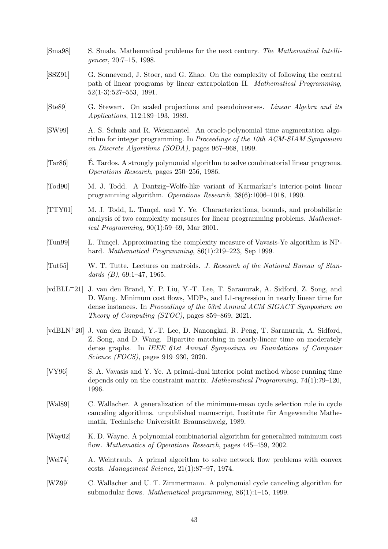- <span id="page-42-8"></span>[Sma98] S. Smale. Mathematical problems for the next century. The Mathematical Intelligencer, 20:7–15, 1998.
- <span id="page-42-10"></span>[SSZ91] G. Sonnevend, J. Stoer, and G. Zhao. On the complexity of following the central path of linear programs by linear extrapolation II. Mathematical Programming, 52(1-3):527–553, 1991.
- <span id="page-42-2"></span>[Ste89] G. Stewart. On scaled projections and pseudoinverses. Linear Algebra and its Applications, 112:189–193, 1989.
- <span id="page-42-14"></span>[SW99] A. S. Schulz and R. Weismantel. An oracle-polynomial time augmentation algorithm for integer programming. In Proceedings of the 10th ACM-SIAM Symposium on Discrete Algorithms (SODA), pages 967–968, 1999.
- <span id="page-42-9"></span>[Tar86] E. Tardos. A strongly polynomial algorithm to solve combinatorial linear programs. Operations Research, pages 250–256, 1986.
- <span id="page-42-3"></span>[Tod90] M. J. Todd. A Dantzig–Wolfe-like variant of Karmarkar's interior-point linear programming algorithm. Operations Research, 38(6):1006–1018, 1990.
- <span id="page-42-4"></span>[TTY01] M. J. Todd, L. Tunçel, and Y. Ye. Characterizations, bounds, and probabilistic analysis of two complexity measures for linear programming problems. Mathematical Programming, 90(1):59–69, Mar 2001.
- <span id="page-42-5"></span>[Tun99] L. Tunçel. Approximating the complexity measure of Vavasis-Ye algorithm is NPhard. Mathematical Programming, 86(1):219–223, Sep 1999.
- <span id="page-42-0"></span>[Tut65] W. T. Tutte. Lectures on matroids. J. Research of the National Bureau of Standards  $(B)$ , 69:1-47, 1965.
- <span id="page-42-7"></span>[vdBLL+21] J. van den Brand, Y. P. Liu, Y.-T. Lee, T. Saranurak, A. Sidford, Z. Song, and D. Wang. Minimum cost flows, MDPs, and L1-regression in nearly linear time for dense instances. In Proceedings of the 53rd Annual ACM SIGACT Symposium on Theory of Computing (STOC), pages 859–869, 2021.
- <span id="page-42-6"></span>[vdBLN+20] J. van den Brand, Y.-T. Lee, D. Nanongkai, R. Peng, T. Saranurak, A. Sidford, Z. Song, and D. Wang. Bipartite matching in nearly-linear time on moderately dense graphs. In IEEE 61st Annual Symposium on Foundations of Computer Science (FOCS), pages 919–930, 2020.
- <span id="page-42-1"></span>[VY96] S. A. Vavasis and Y. Ye. A primal-dual interior point method whose running time depends only on the constraint matrix. Mathematical Programming, 74(1):79–120, 1996.
- <span id="page-42-11"></span>[Wal89] C. Wallacher. A generalization of the minimum-mean cycle selection rule in cycle canceling algorithms. unpublished manuscript, Institute für Angewandte Mathematik, Technische Universität Braunschweig, 1989.
- <span id="page-42-13"></span>[Way02] K. D. Wayne. A polynomial combinatorial algorithm for generalized minimum cost flow. Mathematics of Operations Research, pages 445–459, 2002.
- <span id="page-42-15"></span>[Wei74] A. Weintraub. A primal algorithm to solve network flow problems with convex costs. Management Science, 21(1):87–97, 1974.
- <span id="page-42-12"></span>[WZ99] C. Wallacher and U. T. Zimmermann. A polynomial cycle canceling algorithm for submodular flows. Mathematical programming, 86(1):1–15, 1999.